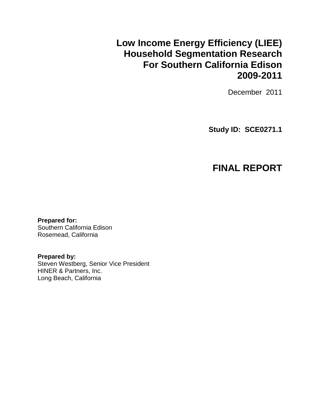# **Low Income Energy Efficiency (LIEE) Household Segmentation Research For Southern California Edison 2009-2011**

December 2011

**Study ID: SCE0271.1**

# **FINAL REPORT**

**Prepared for:**  Southern California Edison Rosemead, California

**Prepared by:**  Steven Westberg, Senior Vice President HINER & Partners, Inc. Long Beach, California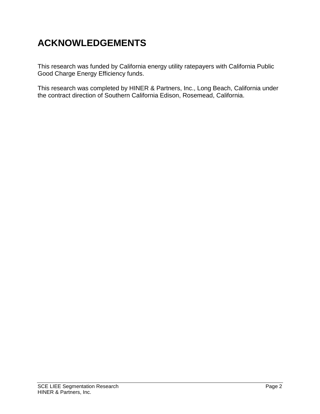# **ACKNOWLEDGEMENTS**

This research was funded by California energy utility ratepayers with California Public Good Charge Energy Efficiency funds.

This research was completed by HINER & Partners, Inc., Long Beach, California under the contract direction of Southern California Edison, Rosemead, California.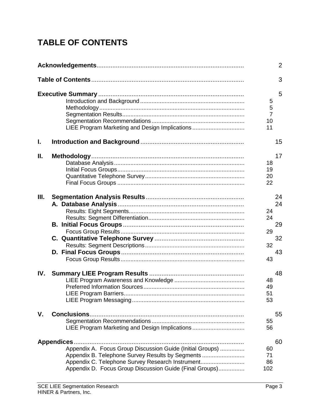# **TABLE OF CONTENTS**

|      |                                                                                                                                                                                                                              |                                      | $\overline{2}$             |
|------|------------------------------------------------------------------------------------------------------------------------------------------------------------------------------------------------------------------------------|--------------------------------------|----------------------------|
|      |                                                                                                                                                                                                                              |                                      | 3                          |
|      | LIEE Program Marketing and Design Implications                                                                                                                                                                               | 5<br>5<br>$\overline{7}$<br>10<br>11 | 5                          |
| L.   |                                                                                                                                                                                                                              |                                      | 15                         |
| Ш.   |                                                                                                                                                                                                                              | 18<br>19<br>20<br>22                 | 17                         |
| III. |                                                                                                                                                                                                                              | 24<br>24<br>29<br>32<br>43           | 24<br>24<br>29<br>32<br>43 |
| IV.  |                                                                                                                                                                                                                              | 48<br>49<br>51<br>53                 | 48                         |
| V.   | LIEE Program Marketing and Design Implications                                                                                                                                                                               | 55<br>56                             | 55                         |
|      | Appendix A. Focus Group Discussion Guide (Initial Groups)<br>Appendix B. Telephone Survey Results by Segments<br>Appendix C. Telephone Survey Research Instrument<br>Appendix D. Focus Group Discussion Guide (Final Groups) | 60<br>71<br>86<br>102                | 60                         |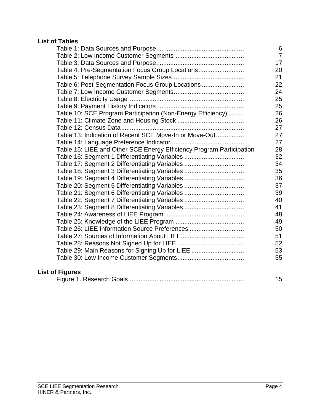## **List of Tables**

|                                                                      | 6              |
|----------------------------------------------------------------------|----------------|
|                                                                      | $\overline{7}$ |
|                                                                      | 17             |
| Table 4: Pre-Segmentation Focus Group Locations                      | 20             |
|                                                                      | 21             |
| Table 6: Post-Segmentation Focus Group Locations                     | 22             |
|                                                                      | 24             |
|                                                                      | 25             |
|                                                                      | 25             |
| Table 10: SCE Program Participation (Non-Energy Efficiency)          | 26             |
|                                                                      | 26             |
|                                                                      | 27             |
| Table 13: Indication of Recent SCE Move-In or Move-Out               | 27             |
|                                                                      | 27             |
| Table 15: LIEE and Other SCE Energy Efficiency Program Participation | 28             |
| Table 16: Segment 1 Differentiating Variables                        | 32             |
| Table 17: Segment 2 Differentiating Variables                        | 34             |
| Table 18: Segment 3 Differentiating Variables                        | 35             |
| Table 19: Segment 4 Differentiating Variables                        | 36             |
| Table 20: Segment 5 Differentiating Variables                        | 37             |
| Table 21: Segment 6 Differentiating Variables                        | 39             |
| Table 22: Segment 7 Differentiating Variables                        | 40             |
| Table 23: Segment 8 Differentiating Variables                        | 41             |
|                                                                      | 48             |
|                                                                      | 49             |
| Table 26: LIEE Information Source Preferences                        | 50             |
|                                                                      | 51             |
|                                                                      | 52             |
| Table 29: Main Reasons for Signing Up for LIEE                       | 53             |
|                                                                      | 55             |
|                                                                      |                |

# **List of Figures**

|--|--|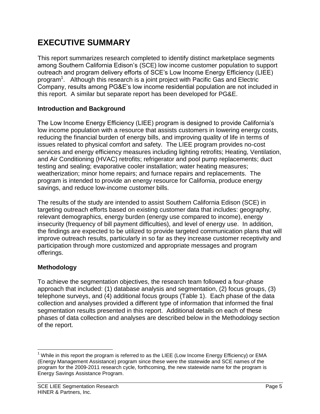# **EXECUTIVE SUMMARY**

This report summarizes research completed to identify distinct marketplace segments among Southern California Edison's (SCE) low income customer population to support outreach and program delivery efforts of SCE's Low Income Energy Efficiency (LIEE) program<sup>1</sup>. Although this research is a joint project with Pacific Gas and Electric Company, results among PG&E's low income residential population are not included in this report. A similar but separate report has been developed for PG&E.

## **Introduction and Background**

The Low Income Energy Efficiency (LIEE) program is designed to provide California's low income population with a resource that assists customers in lowering energy costs, reducing the financial burden of energy bills, and improving quality of life in terms of issues related to physical comfort and safety. The LIEE program provides no-cost services and energy efficiency measures including lighting retrofits; Heating, Ventilation, and Air Conditioning (HVAC) retrofits; refrigerator and pool pump replacements; duct testing and sealing; evaporative cooler installation; water heating measures; weatherization; minor home repairs; and furnace repairs and replacements. The program is intended to provide an energy resource for California, produce energy savings, and reduce low-income customer bills.

The results of the study are intended to assist Southern California Edison (SCE) in targeting outreach efforts based on existing customer data that includes: geography, relevant demographics, energy burden (energy use compared to income), energy insecurity (frequency of bill payment difficulties), and level of energy use. In addition, the findings are expected to be utilized to provide targeted communication plans that will improve outreach results, particularly in so far as they increase customer receptivity and participation through more customized and appropriate messages and program offerings.

# **Methodology**

To achieve the segmentation objectives, the research team followed a four-phase approach that included: (1) database analysis and segmentation, (2) focus groups, (3) telephone surveys, and (4) additional focus groups (Table 1). Each phase of the data collection and analyses provided a different type of information that informed the final segmentation results presented in this report. Additional details on each of these phases of data collection and analyses are described below in the Methodology section of the report.

 $\overline{a}$ <sup>1</sup> While in this report the program is referred to as the LIEE (Low Income Energy Efficiency) or EMA (Energy Management Assistance) program since these were the statewide and SCE names of the program for the 2009-2011 research cycle, forthcoming, the new statewide name for the program is Energy Savings Assistance Program.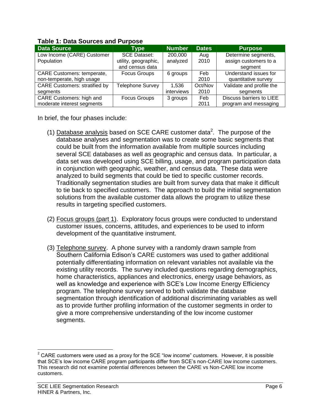| <b>Data Source</b>                   | <b>Type</b>          | <b>Number</b> | <b>Dates</b> | <b>Purpose</b>           |  |  |  |  |
|--------------------------------------|----------------------|---------------|--------------|--------------------------|--|--|--|--|
| Low Income (CARE) Customer           | <b>SCE Dataset:</b>  | 200,000       | Aug          | Determine segments,      |  |  |  |  |
| Population                           | utility, geographic, | analyzed      | 2010         | assign customers to a    |  |  |  |  |
|                                      | and census data      |               |              | segment                  |  |  |  |  |
| <b>CARE Customers: temperate,</b>    | <b>Focus Groups</b>  | 6 groups      | Feb          | Understand issues for    |  |  |  |  |
| non-temperate, high usage            |                      |               | 2010         | quantitative survey      |  |  |  |  |
| <b>CARE Customers: stratified by</b> | Telephone Survey     | 1,536         | Oct/Nov      | Validate and profile the |  |  |  |  |
| segments                             |                      | interviews    | 2010         | segments                 |  |  |  |  |
| <b>CARE Customers: high and</b>      | <b>Focus Groups</b>  | 3 groups      | Feb          | Discuss barriers to LIEE |  |  |  |  |
| moderate interest segments           |                      |               | 2011         | program and messaging    |  |  |  |  |

### **Table 1: Data Sources and Purpose**

In brief, the four phases include:

- (1) Database analysis based on SCE CARE customer data<sup>2</sup>. The purpose of the database analyses and segmentation was to create some basic segments that could be built from the information available from multiple sources including several SCE databases as well as geographic and census data. In particular, a data set was developed using SCE billing, usage, and program participation data in conjunction with geographic, weather, and census data. These data were analyzed to build segments that could be tied to specific customer records. Traditionally segmentation studies are built from survey data that make it difficult to tie back to specified customers. The approach to build the initial segmentation solutions from the available customer data allows the program to utilize these results in targeting specified customers.
- (2) Focus groups (part 1). Exploratory focus groups were conducted to understand customer issues, concerns, attitudes, and experiences to be used to inform development of the quantitative instrument.
- (3) Telephone survey. A phone survey with a randomly drawn sample from Southern California Edison's CARE customers was used to gather additional potentially differentiating information on relevant variables not available via the existing utility records. The survey included questions regarding demographics, home characteristics, appliances and electronics, energy usage behaviors, as well as knowledge and experience with SCE's Low Income Energy Efficiency program. The telephone survey served to both validate the database segmentation through identification of additional discriminating variables as well as to provide further profiling information of the customer segments in order to give a more comprehensive understanding of the low income customer segments.

 $\overline{a}$ 

 $2$  CARE customers were used as a proxy for the SCE "low income" customers. However, it is possible that SCE's low income CARE program participants differ from SCE's non-CARE low income customers. This research did not examine potential differences between the CARE vs Non-CARE low income customers.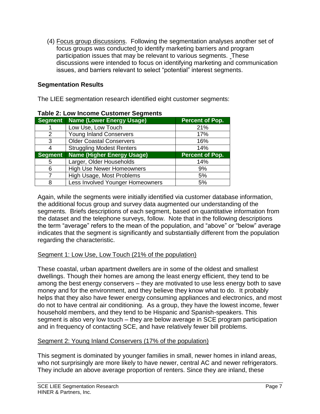(4) Focus group discussions. Following the segmentation analyses another set of focus groups was conducted to identify marketing barriers and program participation issues that may be relevant to various segments. These discussions were intended to focus on identifying marketing and communication issues, and barriers relevant to select "potential" interest segments.

## **Segmentation Results**

The LIEE segmentation research identified eight customer segments:

| <b>Segment</b> | <b>Name (Lower Energy Usage)</b>  | <b>Percent of Pop.</b> |
|----------------|-----------------------------------|------------------------|
|                | Low Use, Low Touch                | 21%                    |
| 2              | <b>Young Inland Conservers</b>    | 17%                    |
| 3              | <b>Older Coastal Conservers</b>   | 16%                    |
| 4              | <b>Struggling Modest Renters</b>  | 14%                    |
| <b>Segment</b> | <b>Name (Higher Energy Usage)</b> | <b>Percent of Pop.</b> |
| 5              | Larger, Older Households          | 14%                    |
| 6              | <b>High Use Newer Homeowners</b>  | 9%                     |
|                | High Usage, Most Problems         | 5%                     |
| 8              | Less Involved Younger Homeowners  | 5%                     |

### **Table 2: Low Income Customer Segments**

Again, while the segments were initially identified via customer database information, the additional focus group and survey data augmented our understanding of the segments. Briefs descriptions of each segment, based on quantitative information from the dataset and the telephone surveys, follow. Note that in the following descriptions the term "average" refers to the mean of the population, and "above" or "below" average indicates that the segment is significantly and substantially different from the population regarding the characteristic.

## Segment 1: Low Use, Low Touch (21% of the population)

These coastal, urban apartment dwellers are in some of the oldest and smallest dwellings. Though their homes are among the least energy efficient, they tend to be among the best energy conservers – they are motivated to use less energy both to save money and for the environment, and they believe they know what to do. It probably helps that they also have fewer energy consuming appliances and electronics, and most do not to have central air conditioning. As a group, they have the lowest income, fewer household members, and they tend to be Hispanic and Spanish-speakers. This segment is also very low touch – they are below average in SCE program participation and in frequency of contacting SCE, and have relatively fewer bill problems.

## Segment 2: Young Inland Conservers (17% of the population)

This segment is dominated by younger families in small, newer homes in inland areas, who not surprisingly are more likely to have newer, central AC and newer refrigerators. They include an above average proportion of renters. Since they are inland, these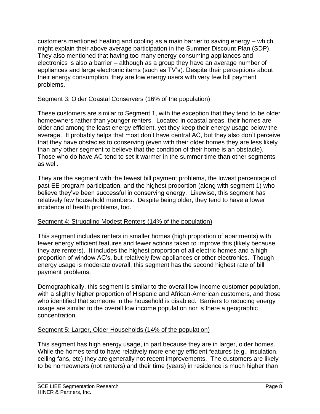customers mentioned heating and cooling as a main barrier to saving energy – which might explain their above average participation in the Summer Discount Plan (SDP). They also mentioned that having too many energy-consuming appliances and electronics is also a barrier – although as a group they have an average number of appliances and large electronic items (such as TV's). Despite their perceptions about their energy consumption, they are low energy users with very few bill payment problems.

## Segment 3: Older Coastal Conservers (16% of the population)

These customers are similar to Segment 1, with the exception that they tend to be older homeowners rather than younger renters. Located in coastal areas, their homes are older and among the least energy efficient, yet they keep their energy usage below the average. It probably helps that most don't have central AC, but they also don't perceive that they have obstacles to conserving (even with their older homes they are less likely than any other segment to believe that the condition of their home is an obstacle). Those who do have AC tend to set it warmer in the summer time than other segments as well.

They are the segment with the fewest bill payment problems, the lowest percentage of past EE program participation, and the highest proportion (along with segment 1) who believe they've been successful in conserving energy. Likewise, this segment has relatively few household members. Despite being older, they tend to have a lower incidence of health problems, too.

# Segment 4: Struggling Modest Renters (14% of the population)

This segment includes renters in smaller homes (high proportion of apartments) with fewer energy efficient features and fewer actions taken to improve this (likely because they are renters). It includes the highest proportion of all electric homes and a high proportion of window AC's, but relatively few appliances or other electronics. Though energy usage is moderate overall, this segment has the second highest rate of bill payment problems.

Demographically, this segment is similar to the overall low income customer population, with a slightly higher proportion of Hispanic and African-American customers, and those who identified that someone in the household is disabled. Barriers to reducing energy usage are similar to the overall low income population nor is there a geographic concentration.

## Segment 5: Larger, Older Households (14% of the population)

This segment has high energy usage, in part because they are in larger, older homes. While the homes tend to have relatively more energy efficient features (e.g., insulation, ceiling fans, etc) they are generally not recent improvements. The customers are likely to be homeowners (not renters) and their time (years) in residence is much higher than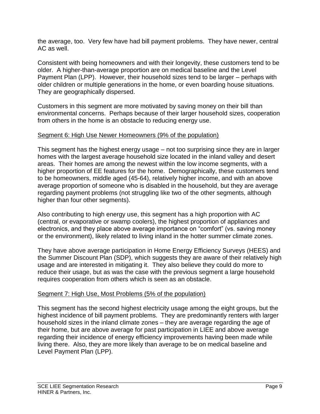the average, too. Very few have had bill payment problems. They have newer, central AC as well.

Consistent with being homeowners and with their longevity, these customers tend to be older. A higher-than-average proportion are on medical baseline and the Level Payment Plan (LPP). However, their household sizes tend to be larger – perhaps with older children or multiple generations in the home, or even boarding house situations. They are geographically dispersed.

Customers in this segment are more motivated by saving money on their bill than environmental concerns. Perhaps because of their larger household sizes, cooperation from others in the home is an obstacle to reducing energy use.

# Segment 6: High Use Newer Homeowners (9% of the population)

This segment has the highest energy usage – not too surprising since they are in larger homes with the largest average household size located in the inland valley and desert areas. Their homes are among the newest within the low income segments, with a higher proportion of EE features for the home. Demographically, these customers tend to be homeowners, middle aged (45-64), relatively higher income, and with an above average proportion of someone who is disabled in the household, but they are average regarding payment problems (not struggling like two of the other segments, although higher than four other segments).

Also contributing to high energy use, this segment has a high proportion with AC (central, or evaporative or swamp coolers), the highest proportion of appliances and electronics, and they place above average importance on "comfort" (vs. saving money or the environment), likely related to living inland in the hotter summer climate zones.

They have above average participation in Home Energy Efficiency Surveys (HEES) and the Summer Discount Plan (SDP), which suggests they are aware of their relatively high usage and are interested in mitigating it. They also believe they could do more to reduce their usage, but as was the case with the previous segment a large household requires cooperation from others which is seen as an obstacle.

# Segment 7: High Use, Most Problems (5% of the population)

This segment has the second highest electricity usage among the eight groups, but the highest incidence of bill payment problems. They are predominantly renters with larger household sizes in the inland climate zones – they are average regarding the age of their home, but are above average for past participation in LIEE and above average regarding their incidence of energy efficiency improvements having been made while living there. Also, they are more likely than average to be on medical baseline and Level Payment Plan (LPP).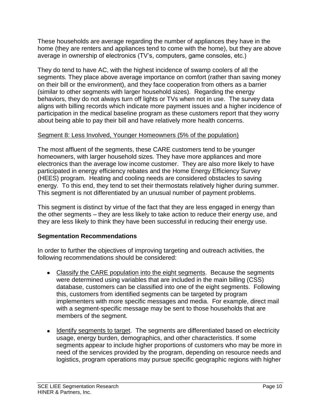These households are average regarding the number of appliances they have in the home (they are renters and appliances tend to come with the home), but they are above average in ownership of electronics (TV's, computers, game consoles, etc.)

They do tend to have AC, with the highest incidence of swamp coolers of all the segments. They place above average importance on comfort (rather than saving money on their bill or the environment), and they face cooperation from others as a barrier (similar to other segments with larger household sizes). Regarding the energy behaviors, they do not always turn off lights or TVs when not in use. The survey data aligns with billing records which indicate more payment issues and a higher incidence of participation in the medical baseline program as these customers report that they worry about being able to pay their bill and have relatively more health concerns.

## Segment 8: Less Involved, Younger Homeowners (5% of the population)

The most affluent of the segments, these CARE customers tend to be younger homeowners, with larger household sizes. They have more appliances and more electronics than the average low income customer. They are also more likely to have participated in energy efficiency rebates and the Home Energy Efficiency Survey (HEES) program. Heating and cooling needs are considered obstacles to saving energy. To this end, they tend to set their thermostats relatively higher during summer. This segment is not differentiated by an unusual number of payment problems.

This segment is distinct by virtue of the fact that they are less engaged in energy than the other segments – they are less likely to take action to reduce their energy use, and they are less likely to think they have been successful in reducing their energy use.

# **Segmentation Recommendations**

In order to further the objectives of improving targeting and outreach activities, the following recommendations should be considered:

- Classify the CARE population into the eight segments. Because the segments were determined using variables that are included in the main billing (CSS) database, customers can be classified into one of the eight segments. Following this, customers from identified segments can be targeted by program implementers with more specific messages and media. For example, direct mail with a segment-specific message may be sent to those households that are members of the segment.
- Identify segments to target. The segments are differentiated based on electricity usage, energy burden, demographics, and other characteristics. If some segments appear to include higher proportions of customers who may be more in need of the services provided by the program, depending on resource needs and logistics, program operations may pursue specific geographic regions with higher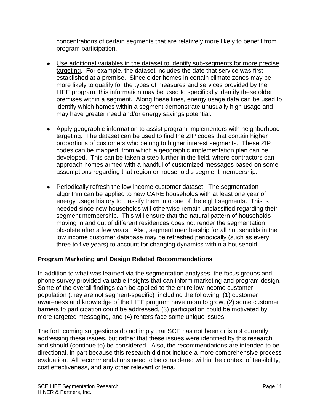concentrations of certain segments that are relatively more likely to benefit from program participation.

- Use additional variables in the dataset to identify sub-segments for more precise targeting. For example, the dataset includes the date that service was first established at a premise. Since older homes in certain climate zones may be more likely to qualify for the types of measures and services provided by the LIEE program, this information may be used to specifically identify these older premises within a segment. Along these lines, energy usage data can be used to identify which homes within a segment demonstrate unusually high usage and may have greater need and/or energy savings potential.
- Apply geographic information to assist program implementers with neighborhood targeting. The dataset can be used to find the ZIP codes that contain higher proportions of customers who belong to higher interest segments. These ZIP codes can be mapped, from which a geographic implementation plan can be developed. This can be taken a step further in the field, where contractors can approach homes armed with a handful of customized messages based on some assumptions regarding that region or household's segment membership.
- Periodically refresh the low income customer dataset. The segmentation algorithm can be applied to new CARE households with at least one year of energy usage history to classify them into one of the eight segments. This is needed since new households will otherwise remain unclassified regarding their segment membership. This will ensure that the natural pattern of households moving in and out of different residences does not render the segmentation obsolete after a few years. Also, segment membership for all households in the low income customer database may be refreshed periodically (such as every three to five years) to account for changing dynamics within a household.

# **Program Marketing and Design Related Recommendations**

In addition to what was learned via the segmentation analyses, the focus groups and phone survey provided valuable insights that can inform marketing and program design. Some of the overall findings can be applied to the entire low income customer population (they are not segment-specific) including the following: (1) customer awareness and knowledge of the LIEE program have room to grow, (2) some customer barriers to participation could be addressed, (3) participation could be motivated by more targeted messaging, and (4) renters face some unique issues.

The forthcoming suggestions do not imply that SCE has not been or is not currently addressing these issues, but rather that these issues were identified by this research and should (continue to) be considered. Also, the recommendations are intended to be directional, in part because this research did not include a more comprehensive process evaluation. All recommendations need to be considered within the context of feasibility, cost effectiveness, and any other relevant criteria.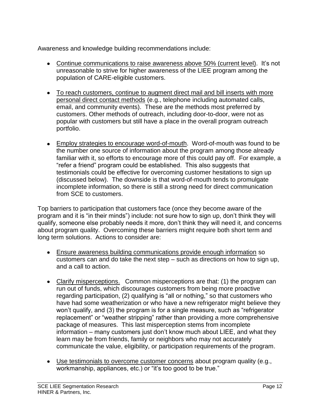Awareness and knowledge building recommendations include:

- Continue communications to raise awareness above 50% (current level). It's not unreasonable to strive for higher awareness of the LIEE program among the population of CARE-eligible customers.
- To reach customers, continue to augment direct mail and bill inserts with more personal direct contact methods (e.g., telephone including automated calls, email, and community events). These are the methods most preferred by customers. Other methods of outreach, including door-to-door, were not as popular with customers but still have a place in the overall program outreach portfolio.
- **Employ strategies to encourage word-of-mouth.** Word-of-mouth was found to be the number one source of information about the program among those already familiar with it, so efforts to encourage more of this could pay off. For example, a "refer a friend" program could be established. This also suggests that testimonials could be effective for overcoming customer hesitations to sign up (discussed below). The downside is that word-of-mouth tends to promulgate incomplete information, so there is still a strong need for direct communication from SCE to customers.

Top barriers to participation that customers face (once they become aware of the program and it is "in their minds") include: not sure how to sign up, don't think they will qualify, someone else probably needs it more, don't think they will need it, and concerns about program quality. Overcoming these barriers might require both short term and long term solutions. Actions to consider are:

- Ensure awareness building communications provide enough information so customers can and do take the next step – such as directions on how to sign up, and a call to action.
- Clarify misperceptions. Common misperceptions are that: (1) the program can run out of funds, which discourages customers from being more proactive regarding participation, (2) qualifying is "all or nothing," so that customers who have had some weatherization or who have a new refrigerator might believe they won't qualify, and (3) the program is for a single measure, such as "refrigerator replacement" or "weather stripping" rather than providing a more comprehensive package of measures. This last misperception stems from incomplete information – many customers just don't know much about LIEE, and what they learn may be from friends, family or neighbors who may not accurately communicate the value, eligibility, or participation requirements of the program.
- Use testimonials to overcome customer concerns about program quality (e.g., workmanship, appliances, etc.) or "it's too good to be true."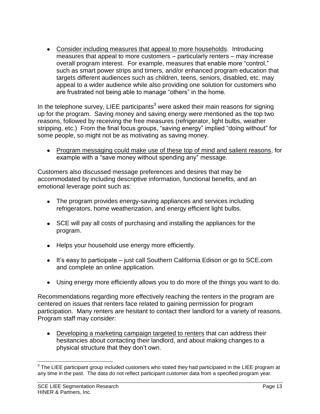Consider including measures that appeal to more households. Introducing measures that appeal to more customers – particularly renters – may increase overall program interest. For example, measures that enable more "control," such as smart power strips and timers, and/or enhanced program education that targets different audiences such as children, teens, seniors, disabled, etc. may appeal to a wider audience while also providing one solution for customers who are frustrated not being able to manage "others" in the home.

In the telephone survey, LIEE participants<sup>3</sup> were asked their main reasons for signing up for the program. Saving money and saving energy were mentioned as the top two reasons, followed by receiving the free measures (refrigerator, light bulbs, weather stripping, etc.) From the final focus groups, "saving energy" implied "doing without" for some people, so might not be as motivating as saving money.

Program messaging could make use of these top of mind and salient reasons, for example with a "save money without spending any" message.

Customers also discussed message preferences and desires that may be accommodated by including descriptive information, functional benefits, and an emotional leverage point such as:

- The program provides energy-saving appliances and services including refrigerators, home weatherization, and energy efficient light bulbs.
- SCE will pay all costs of purchasing and installing the appliances for the program.
- Helps your household use energy more efficiently.
- $\bullet$  It's easy to participate just call Southern California Edison or go to SCE.com and complete an online application.
- Using energy more efficiently allows you to do more of the things you want to do.

Recommendations regarding more effectively reaching the renters in the program are centered on issues that renters face related to gaining permission for program participation. Many renters are hesitant to contact their landlord for a variety of reasons. Program staff may consider:

Developing a marketing campaign targeted to renters that can address their hesitancies about contacting their landlord, and about making changes to a physical structure that they don't own.

 3 The LIEE participant group included customers who stated they had participated in the LIEE program at any time in the past. The data do not reflect participant customer data from a specified program year.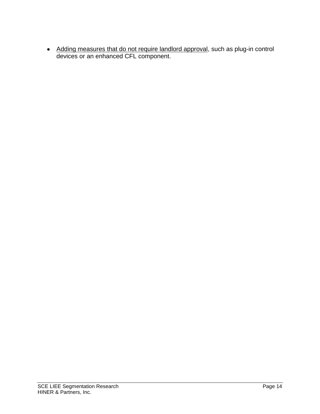Adding measures that do not require landlord approval, such as plug-in control devices or an enhanced CFL component.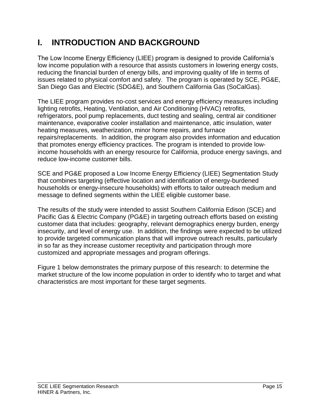# **I. INTRODUCTION AND BACKGROUND**

The Low Income Energy Efficiency (LIEE) program is designed to provide California's low income population with a resource that assists customers in lowering energy costs, reducing the financial burden of energy bills, and improving quality of life in terms of issues related to physical comfort and safety. The program is operated by SCE, PG&E, San Diego Gas and Electric (SDG&E), and Southern California Gas (SoCalGas).

The LIEE program provides no-cost services and energy efficiency measures including lighting retrofits, Heating, Ventilation, and Air Conditioning (HVAC) retrofits, refrigerators, pool pump replacements, duct testing and sealing, central air conditioner maintenance, evaporative cooler installation and maintenance, attic insulation, water heating measures, weatherization, minor home repairs, and furnace repairs/replacements. In addition, the program also provides information and education that promotes energy efficiency practices. The program is intended to provide lowincome households with an energy resource for California, produce energy savings, and reduce low-income customer bills.

SCE and PG&E proposed a Low Income Energy Efficiency (LIEE) Segmentation Study that combines targeting (effective location and identification of energy-burdened households or energy-insecure households) with efforts to tailor outreach medium and message to defined segments within the LIEE eligible customer base.

The results of the study were intended to assist Southern California Edison (SCE) and Pacific Gas & Electric Company (PG&E) in targeting outreach efforts based on existing customer data that includes: geography, relevant demographics energy burden, energy insecurity, and level of energy use. In addition, the findings were expected to be utilized to provide targeted communication plans that will improve outreach results, particularly in so far as they increase customer receptivity and participation through more customized and appropriate messages and program offerings.

Figure 1 below demonstrates the primary purpose of this research: to determine the market structure of the low income population in order to identify who to target and what characteristics are most important for these target segments.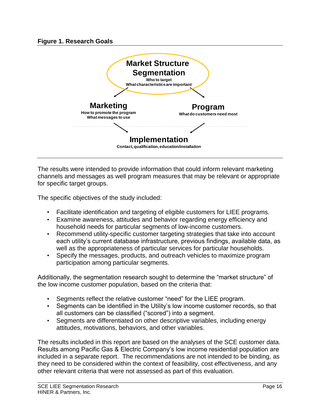

The results were intended to provide information that could inform relevant marketing channels and messages as well program measures that may be relevant or appropriate for specific target groups.

The specific objectives of the study included:

- Facilitate identification and targeting of eligible customers for LIEE programs.
- Examine awareness, attitudes and behavior regarding energy efficiency and household needs for particular segments of low-income customers.
- Recommend utility-specific customer targeting strategies that take into account each utility's current database infrastructure, previous findings, available data, as well as the appropriateness of particular services for particular households.
- Specify the messages, products, and outreach vehicles to maximize program participation among particular segments.

Additionally, the segmentation research sought to determine the "market structure" of the low income customer population, based on the criteria that:

- Segments reflect the relative customer "need" for the LIEE program.
- Segments can be identified in the Utility's low income customer records, so that all customers can be classified ("scored") into a segment.
- Segments are differentiated on other descriptive variables, including energy attitudes, motivations, behaviors, and other variables.

The results included in this report are based on the analyses of the SCE customer data. Results among Pacific Gas & Electric Company's low income residential population are included in a separate report. The recommendations are not intended to be binding, as they need to be considered within the context of feasibility, cost effectiveness, and any other relevant criteria that were not assessed as part of this evaluation.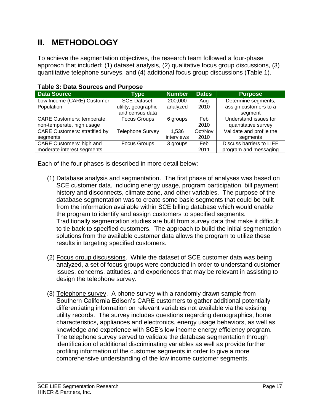# **II. METHODOLOGY**

To achieve the segmentation objectives, the research team followed a four-phase approach that included: (1) dataset analysis, (2) qualitative focus group discussions, (3) quantitative telephone surveys, and (4) additional focus group discussions (Table 1).

| <b>Data Source</b>                   | <b>Type</b>             | <b>Number</b> | <b>Dates</b> | <b>Purpose</b>           |
|--------------------------------------|-------------------------|---------------|--------------|--------------------------|
| Low Income (CARE) Customer           | <b>SCE Dataset:</b>     | 200,000       | Aug          | Determine segments,      |
| Population                           | utility, geographic,    | analyzed      | 2010         | assign customers to a    |
|                                      | and census data         |               |              | segment                  |
| <b>CARE Customers: temperate,</b>    | <b>Focus Groups</b>     | 6 groups      | Feb          | Understand issues for    |
| non-temperate, high usage            |                         |               | 2010         | quantitative survey      |
| <b>CARE Customers: stratified by</b> | <b>Telephone Survey</b> | 1,536         | Oct/Nov      | Validate and profile the |
| segments                             |                         | interviews    | 2010         | segments                 |
| <b>CARE Customers: high and</b>      | <b>Focus Groups</b>     | 3 groups      | Feb          | Discuss barriers to LIEE |
| moderate interest segments           |                         |               | 2011         | program and messaging    |

# **Table 3: Data Sources and Purpose**

Each of the four phases is described in more detail below:

- (1) Database analysis and segmentation. The first phase of analyses was based on SCE customer data, including energy usage, program participation, bill payment history and disconnects, climate zone, and other variables. The purpose of the database segmentation was to create some basic segments that could be built from the information available within SCE billing database which would enable the program to identify and assign customers to specified segments. Traditionally segmentation studies are built from survey data that make it difficult to tie back to specified customers. The approach to build the initial segmentation solutions from the available customer data allows the program to utilize these results in targeting specified customers.
- (2) Focus group discussions. While the dataset of SCE customer data was being analyzed, a set of focus groups were conducted in order to understand customer issues, concerns, attitudes, and experiences that may be relevant in assisting to design the telephone survey.
- (3) Telephone survey. A phone survey with a randomly drawn sample from Southern California Edison's CARE customers to gather additional potentially differentiating information on relevant variables not available via the existing utility records. The survey includes questions regarding demographics, home characteristics, appliances and electronics, energy usage behaviors, as well as knowledge and experience with SCE's low income energy efficiency program. The telephone survey served to validate the database segmentation through identification of additional discriminating variables as well as provide further profiling information of the customer segments in order to give a more comprehensive understanding of the low income customer segments.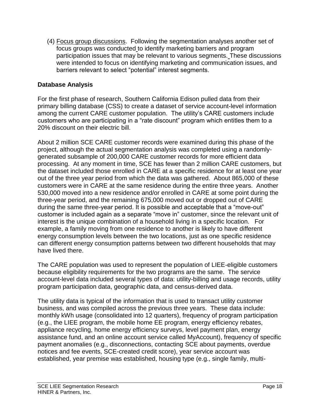(4) Focus group discussions. Following the segmentation analyses another set of focus groups was conducted to identify marketing barriers and program participation issues that may be relevant to various segments. These discussions were intended to focus on identifying marketing and communication issues, and barriers relevant to select "potential" interest segments.

## **Database Analysis**

For the first phase of research, Southern California Edison pulled data from their primary billing database (CSS) to create a dataset of service account-level information among the current CARE customer population. The utility's CARE customers include customers who are participating in a "rate discount" program which entitles them to a 20% discount on their electric bill.

About 2 million SCE CARE customer records were examined during this phase of the project, although the actual segmentation analysis was completed using a randomlygenerated subsample of 200,000 CARE customer records for more efficient data processing. At any moment in time, SCE has fewer than 2 million CARE customers, but the dataset included those enrolled in CARE at a specific residence for at least one year out of the three year period from which the data was gathered. About 865,000 of these customers were in CARE at the same residence during the entire three years. Another 530,000 moved into a new residence and/or enrolled in CARE at some point during the three-year period, and the remaining 675,000 moved out or dropped out of CARE during the same three-year period. It is possible and acceptable that a "move-out" customer is included again as a separate "move in" customer, since the relevant unit of interest is the unique combination of a household living in a specific location. For example, a family moving from one residence to another is likely to have different energy consumption levels between the two locations, just as one specific residence can different energy consumption patterns between two different households that may have lived there.

The CARE population was used to represent the population of LIEE-eligible customers because eligibility requirements for the two programs are the same. The service account-level data included several types of data: utility-billing and usage records, utility program participation data, geographic data, and census-derived data.

The utility data is typical of the information that is used to transact utility customer business, and was compiled across the previous three years. These data include: monthly kWh usage (consolidated into 12 quarters), frequency of program participation (e.g., the LIEE program, the mobile home EE program, energy efficiency rebates, appliance recycling, home energy efficiency surveys, level payment plan, energy assistance fund, and an online account service called MyAccount), frequency of specific payment anomalies (e.g., disconnections, contacting SCE about payments, overdue notices and fee events, SCE-created credit score), year service account was established, year premise was established, housing type (e.g., single family, multi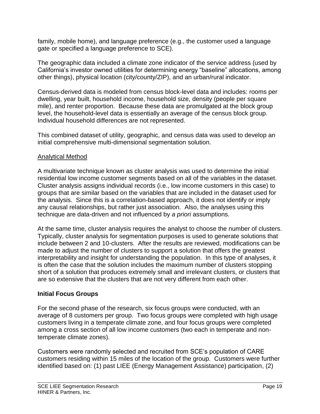family, mobile home), and language preference (e.g., the customer used a language gate or specified a language preference to SCE).

The geographic data included a climate zone indicator of the service address (used by California's investor owned utilities for determining energy "baseline" allocations, among other things), physical location (city/county/ZIP), and an urban/rural indicator.

Census-derived data is modeled from census block-level data and includes: rooms per dwelling, year built, household income, household size, density (people per square mile), and renter proportion. Because these data are promulgated at the block group level, the household-level data is essentially an average of the census block group. Individual household differences are not represented.

This combined dataset of utility, geographic, and census data was used to develop an initial comprehensive multi-dimensional segmentation solution.

# Analytical Method

A multivariate technique known as cluster analysis was used to determine the initial residential low income customer segments based on all of the variables in the dataset. Cluster analysis assigns individual records (i.e., low income customers in this case) to groups that are similar based on the variables that are included in the dataset used for the analysis. Since this is a correlation-based approach, it does not identify or imply any causal relationships, but rather just association. Also, the analyses using this technique are data-driven and not influenced by *a priori* assumptions.

At the same time, cluster analysis requires the analyst to choose the number of clusters. Typically, cluster analysis for segmentation purposes is used to generate solutions that include between 2 and 10-clusters. After the results are reviewed, modifications can be made to adjust the number of clusters to support a solution that offers the greatest interpretability and insight for understanding the population. In this type of analyses, it is often the case that the solution includes the maximum number of clusters stopping short of a solution that produces extremely small and irrelevant clusters, or clusters that are so extensive that the clusters that are not very different from each other.

## **Initial Focus Groups**

For the second phase of the research, six focus groups were conducted, with an average of 8 customers per group. Two focus groups were completed with high usage customers living in a temperate climate zone, and four focus groups were completed among a cross section of all low income customers (two each in temperate and nontemperate climate zones).

Customers were randomly selected and recruited from SCE's population of CARE customers residing within 15 miles of the location of the group. Customers were further identified based on: (1) past LIEE (Energy Management Assistance) participation, (2)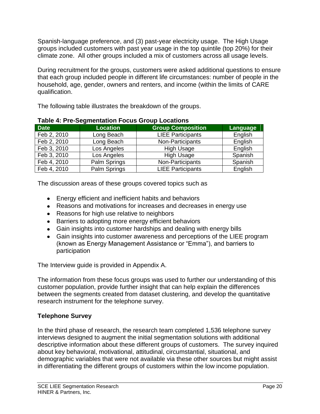Spanish-language preference, and (3) past-year electricity usage. The High Usage groups included customers with past year usage in the top quintile (top 20%) for their climate zone. All other groups included a mix of customers across all usage levels.

During recruitment for the groups, customers were asked additional questions to ensure that each group included people in different life circumstances: number of people in the household, age, gender, owners and renters, and income (within the limits of CARE qualification.

The following table illustrates the breakdown of the groups.

| <b>Date</b> | <b>Location</b> | <b>Group Composition</b> | Language |  |  |  |  |  |
|-------------|-----------------|--------------------------|----------|--|--|--|--|--|
| Feb 2, 2010 | Long Beach      | <b>LIEE Participants</b> | English  |  |  |  |  |  |
| Feb 2, 2010 | Long Beach      | Non-Participants         | English  |  |  |  |  |  |
| Feb 3, 2010 | Los Angeles     | <b>High Usage</b>        | English  |  |  |  |  |  |
| Feb 3, 2010 | Los Angeles     | <b>High Usage</b>        | Spanish  |  |  |  |  |  |
| Feb 4, 2010 | Palm Springs    | Non-Participants         | Spanish  |  |  |  |  |  |
| Feb 4, 2010 | Palm Springs    | <b>LIEE Participants</b> | English  |  |  |  |  |  |

|  | <b>Table 4: Pre-Segmentation Focus Group Locations</b> |  |  |
|--|--------------------------------------------------------|--|--|
|  |                                                        |  |  |

The discussion areas of these groups covered topics such as

- Energy efficient and inefficient habits and behaviors
- Reasons and motivations for increases and decreases in energy use
- Reasons for high use relative to neighbors
- Barriers to adopting more energy efficient behaviors
- Gain insights into customer hardships and dealing with energy bills
- Gain insights into customer awareness and perceptions of the LIEE program (known as Energy Management Assistance or "Emma"), and barriers to participation

The Interview guide is provided in Appendix A.

The information from these focus groups was used to further our understanding of this customer population, provide further insight that can help explain the differences between the segments created from dataset clustering, and develop the quantitative research instrument for the telephone survey.

# **Telephone Survey**

In the third phase of research, the research team completed 1,536 telephone survey interviews designed to augment the initial segmentation solutions with additional descriptive information about these different groups of customers. The survey inquired about key behavioral, motivational, attitudinal, circumstantial, situational, and demographic variables that were not available via these other sources but might assist in differentiating the different groups of customers within the low income population.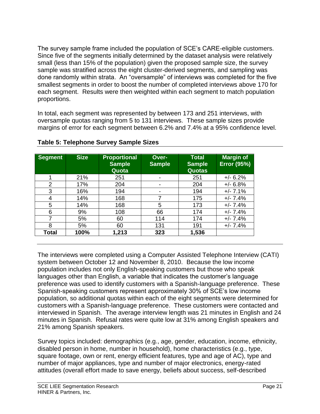The survey sample frame included the population of SCE's CARE-eligible customers. Since five of the segments initially determined by the dataset analysis were relatively small (less than 15% of the population) given the proposed sample size, the survey sample was stratified across the eight cluster-derived segments, and sampling was done randomly within strata. An "oversample" of interviews was completed for the five smallest segments in order to boost the number of completed interviews above 170 for each segment. Results were then weighted within each segment to match population proportions.

In total, each segment was represented by between 173 and 251 interviews, with oversample quotas ranging from 5 to 131 interviews. These sample sizes provide margins of error for each segment between 6.2% and 7.4% at a 95% confidence level.

| <b>Segment</b> | <b>Size</b> | <b>Proportional</b><br><b>Sample</b><br>Quota | Over-<br><b>Sample</b> | <b>Total</b><br><b>Sample</b><br>Quotas | <b>Margin of</b><br><b>Error (95%)</b> |
|----------------|-------------|-----------------------------------------------|------------------------|-----------------------------------------|----------------------------------------|
|                | 21%         | 251                                           | -                      | 251                                     | $+/- 6.2%$                             |
| $\overline{2}$ | 17%         | 204                                           | -                      | 204                                     | $+/- 6.8%$                             |
| 3              | 16%         | 194                                           | -                      | 194                                     | $+/- 7.1%$                             |
| 4              | 14%         | 168                                           | 7                      | 175                                     | $+/- 7.4%$                             |
| 5              | 14%         | 168                                           | 5                      | 173                                     | $+/- 7.4%$                             |
| 6              | 9%          | 108                                           | 66                     | 174                                     | $+/- 7.4%$                             |
| 7              | 5%          | 60                                            | 114                    | 174                                     | $+/- 7.4%$                             |
| 8              | 5%          | 60                                            | 131                    | 191                                     | $+/- 7.4%$                             |
| <b>Total</b>   | 100%        | 1,213                                         | 323                    | 1,536                                   |                                        |

# **Table 5: Telephone Survey Sample Sizes**

The interviews were completed using a Computer Assisted Telephone Interview (CATI) system between October 12 and November 8, 2010. Because the low income population includes not only English-speaking customers but those who speak languages other than English, a variable that indicates the customer's language preference was used to identify customers with a Spanish-language preference. These Spanish-speaking customers represent approximately 30% of SCE's low income population, so additional quotas within each of the eight segments were determined for customers with a Spanish-language preference. These customers were contacted and interviewed in Spanish. The average interview length was 21 minutes in English and 24 minutes in Spanish. Refusal rates were quite low at 31% among English speakers and 21% among Spanish speakers.

Survey topics included: demographics (e.g., age, gender, education, income, ethnicity, disabled person in home, number in household), home characteristics (e.g., type, square footage, own or rent, energy efficient features, type and age of AC), type and number of major appliances, type and number of major electronics, energy-rated attitudes (overall effort made to save energy, beliefs about success, self-described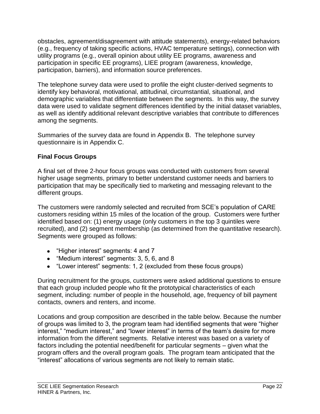obstacles, agreement/disagreement with attitude statements), energy-related behaviors (e.g., frequency of taking specific actions, HVAC temperature settings), connection with utility programs (e.g., overall opinion about utility EE programs, awareness and participation in specific EE programs), LIEE program (awareness, knowledge, participation, barriers), and information source preferences.

The telephone survey data were used to profile the eight cluster-derived segments to identify key behavioral, motivational, attitudinal, circumstantial, situational, and demographic variables that differentiate between the segments. In this way, the survey data were used to validate segment differences identified by the initial dataset variables, as well as identify additional relevant descriptive variables that contribute to differences among the segments.

Summaries of the survey data are found in Appendix B. The telephone survey questionnaire is in Appendix C.

# **Final Focus Groups**

A final set of three 2-hour focus groups was conducted with customers from several higher usage segments, primary to better understand customer needs and barriers to participation that may be specifically tied to marketing and messaging relevant to the different groups.

The customers were randomly selected and recruited from SCE's population of CARE customers residing within 15 miles of the location of the group. Customers were further identified based on: (1) energy usage (only customers in the top 3 quintiles were recruited), and (2) segment membership (as determined from the quantitative research). Segments were grouped as follows:

- "Higher interest" segments: 4 and 7
- "Medium interest" segments: 3, 5, 6, and 8
- "Lower interest" segments: 1, 2 (excluded from these focus groups)

During recruitment for the groups, customers were asked additional questions to ensure that each group included people who fit the prototypical characteristics of each segment, including: number of people in the household, age, frequency of bill payment contacts, owners and renters, and income.

Locations and group composition are described in the table below. Because the number of groups was limited to 3, the program team had identified segments that were "higher interest," "medium interest," and "lower interest" in terms of the team's desire for more information from the different segments. Relative interest was based on a variety of factors including the potential need/benefit for particular segments – given what the program offers and the overall program goals. The program team anticipated that the "interest" allocations of various segments are not likely to remain static.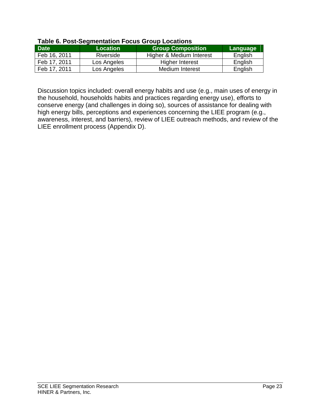|              | $14000$ VI I VOI VVYIIIVIIIWIIVII I VVAU VIVAP EVVAIIVIIU |                          |          |  |  |  |  |  |  |
|--------------|-----------------------------------------------------------|--------------------------|----------|--|--|--|--|--|--|
| <b>Date</b>  | <b>Location</b>                                           | <b>Group Composition</b> | Language |  |  |  |  |  |  |
| Feb 16, 2011 | Riverside                                                 | Higher & Medium Interest | English  |  |  |  |  |  |  |
| Feb 17, 2011 | Los Angeles                                               | <b>Higher Interest</b>   | English  |  |  |  |  |  |  |
| Feb 17, 2011 | Los Angeles                                               | Medium Interest          | English  |  |  |  |  |  |  |

### **Table 6. Post-Segmentation Focus Group Locations**

Discussion topics included: overall energy habits and use (e.g., main uses of energy in the household, households habits and practices regarding energy use), efforts to conserve energy (and challenges in doing so), sources of assistance for dealing with high energy bills, perceptions and experiences concerning the LIEE program (e.g., awareness, interest, and barriers), review of LIEE outreach methods, and review of the LIEE enrollment process (Appendix D).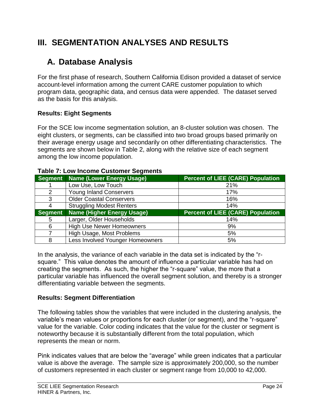# **III. SEGMENTATION ANALYSES AND RESULTS**

# **A. Database Analysis**

For the first phase of research, Southern California Edison provided a dataset of service account-level information among the current CARE customer population to which program data, geographic data, and census data were appended. The dataset served as the basis for this analysis.

# **Results: Eight Segments**

For the SCE low income segmentation solution, an 8-cluster solution was chosen. The eight clusters, or segments, can be classified into two broad groups based primarily on their average energy usage and secondarily on other differentiating characteristics. The segments are shown below in Table 2, along with the relative size of each segment among the low income population.

|                | Segment   Name (Lower Energy Usage) | <b>Percent of LIEE (CARE) Population</b> |
|----------------|-------------------------------------|------------------------------------------|
|                | Low Use, Low Touch                  | 21%                                      |
| 2              | <b>Young Inland Conservers</b>      | 17%                                      |
| 3              | <b>Older Coastal Conservers</b>     | 16%                                      |
| 4              | <b>Struggling Modest Renters</b>    | 14%                                      |
| <b>Segment</b> | <b>Name (Higher Energy Usage)</b>   | <b>Percent of LIEE (CARE) Population</b> |
| 5              | Larger, Older Households            | 14%                                      |
| 6              | <b>High Use Newer Homeowners</b>    | 9%                                       |
|                | High Usage, Most Problems           | 5%                                       |
| 8              | Less Involved Younger Homeowners    | 5%                                       |

### **Table 7: Low Income Customer Segments**

In the analysis, the variance of each variable in the data set is indicated by the "rsquare." This value denotes the amount of influence a particular variable has had on creating the segments. As such, the higher the "r-square" value, the more that a particular variable has influenced the overall segment solution, and thereby is a stronger differentiating variable between the segments.

# **Results: Segment Differentiation**

The following tables show the variables that were included in the clustering analysis, the variable's mean values or proportions for each cluster (or segment), and the "r-square" value for the variable. Color coding indicates that the value for the cluster or segment is noteworthy because it is substantially different from the total population, which represents the mean or norm.

Pink indicates values that are below the "average" while green indicates that a particular value is above the average. The sample size is approximately 200,000, so the number of customers represented in each cluster or segment range from 10,000 to 42,000.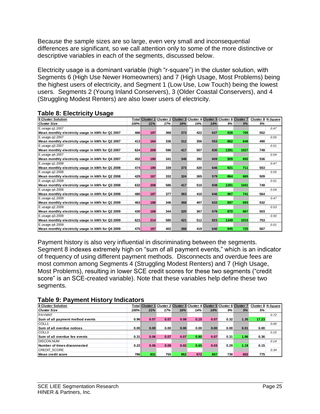Because the sample sizes are so large, even very small and inconsequential differences are significant, so we call attention only to some of the more distinctive or descriptive variables in each of the segments, discussed below.

Electricity usage is a dominant variable (high "r-square") in the cluster solution, with Segments 6 (High Use Newer Homeowners) and 7 (High Usage, Most Problems) being the highest users of electricity, and Segment 1 (Low Use, Low Touch) being the lowest users. Segments 2 (Young Inland Conservers), 3 (Older Coastal Conservers), and 4 (Struggling Modest Renters) are also lower users of electricity.

| <b>8 Cluster Solution</b>                         |      |     |     |     |     |     |      | Total Cluster 1 Cluster 2 Cluster 3 Cluster 4 Cluster 5 Cluster 6 Cluster 7 | Cluster 8 R-Square |      |
|---------------------------------------------------|------|-----|-----|-----|-----|-----|------|-----------------------------------------------------------------------------|--------------------|------|
| <b>Cluster Size</b>                               | 100% | 21% | 17% | 16% | 14% | 14% | 9%   | 5%                                                                          | 5%                 |      |
| E.usage.q1.2007                                   |      |     |     |     |     |     |      |                                                                             |                    | 0.47 |
| Mean monthly electricity usage in kWh for Q1 2007 | 466  | 197 | 368 | 373 | 422 | 637 | 928  | 705                                                                         | 552                |      |
| E.usage.g2.2007                                   |      |     |     |     |     |     |      |                                                                             |                    | 0.55 |
| Mean monthly electricity usage in kWh for Q2 2007 | 413  | 164 | 336 | 312 | 356 | 553 | 862  | 646                                                                         | 490                |      |
| E.usage.g3.2007                                   |      |     |     |     |     |     |      |                                                                             |                    | 0.51 |
| Mean monthly electricity usage in kWh for Q3 2007 | 624  | 209 | 596 | 417 | 507 | 830 | 1391 | 1027                                                                        | 749                |      |
| E.usage.g4.2007                                   |      |     |     |     |     |     |      |                                                                             |                    | 0.54 |
| Mean monthly electricity usage in kWh for Q4 2007 | 452  | 180 | 341 | 348 | 392 | 609 | 909  | 692                                                                         | 536                |      |
| E.usage.q1.2008                                   |      |     |     |     |     |     |      |                                                                             |                    | 0.47 |
| Mean monthly electricity usage in kWh for Q1 2008 | 474  | 190 | 339 | 373 | 420 | 646 | 921  | 711                                                                         | 553                |      |
| E.usage.g2.2008                                   |      |     |     |     |     |     |      |                                                                             |                    | 0.55 |
| Mean monthly electricity usage in kWh for Q2 2008 | 429  | 167 | 332 | 324 | 365 | 579 | 864  | 665                                                                         | 509                |      |
| E.usage.g3.2008                                   |      |     |     |     |     |     |      |                                                                             |                    | 0.51 |
| Mean monthly electricity usage in kWh for Q3 2008 | 632  | 208 | 586 | 417 | 510 | 838 | 1391 | 1041                                                                        | 749                |      |
| E.usage.g4.2008                                   |      |     |     |     |     |     |      |                                                                             |                    | 0.54 |
| Mean monthly electricity usage in kWh for Q4 2008 | 480  | 187 | 377 | 363 | 410 | 646 | 967  | 741                                                                         | 564                |      |
| E.usage.g1.2009                                   |      |     |     |     |     |     |      |                                                                             |                    | 0.47 |
| Mean monthly electricity usage in kWh for Q1 2009 | 463  | 188 | 346 | 368 | 407 | 633 | 897  | 693                                                                         | 532                |      |
| E.usage.g2.2009                                   |      |     |     |     |     |     |      |                                                                             |                    | 0.53 |
| Mean monthly electricity usage in kWh for Q2 2009 | 430  | 168 | 344 | 325 | 367 | 578 | 870  | 667                                                                         | 503                |      |
| E.usage.g3.2009                                   |      |     |     |     |     |     |      |                                                                             |                    | 0.50 |
| Mean monthly electricity usage in kWh for Q3 2009 | 623  | 214 | 585 | 421 | 512 | 823 | 1349 | 1015                                                                        | 753                |      |
| E.usage.g4.2009                                   |      |     |     |     |     |     |      |                                                                             |                    | 0.51 |
| Mean monthly electricity usage in kWh for Q4 2009 | 475  | 197 | 402 | 368 | 419 | 640 | 945  | 725                                                                         | 567                |      |

## **Table 8: Electricity Usage**

Payment history is also very influential in discriminating between the segments. Segment 8 indexes extremely high on "sum of all payment events," which is an indicator of frequency of using different payment methods. Disconnects and overdue fees are most common among Segments 4 (Struggling Modest Renters) and 7 (High Usage, Most Problems), resulting in lower SCE credit scores for these two segments ("credit score" is an SCE-created variable). Note that these variables help define these two segments.

### **Table 9: Payment History Indicators**

| <b>8 Cluster Solution</b>        |      | <b>Total Cluster 1</b> |      |      |      |      |      | Cluster 2 Cluster 3 Cluster 4 Cluster 5 Cluster 6 Cluster 7 | Cluster 8 R-Square |      |
|----------------------------------|------|------------------------|------|------|------|------|------|-------------------------------------------------------------|--------------------|------|
| <b>Cluster Size</b>              | 100% | 21%                    | 17%  | 16%  | 14%  | 14%  | 9%   | 5%                                                          | 5%                 |      |
| <b>PAYMNT</b>                    |      |                        |      |      |      |      |      |                                                             |                    | 0.72 |
| Sum of all payment method events | 0.96 | 0.07                   | 0.07 | 0.08 | 0.15 | 0.07 | 0.32 | 1.35                                                        | 17.23              |      |
| COLL1                            |      |                        |      |      |      |      |      |                                                             |                    | 0.00 |
| Sum of all overdue notices       | 0.00 | 0.00                   | 0.00 | 0.00 | 0.00 | 0.00 | 0.00 | 0.01                                                        | 0.00               |      |
| COLL3                            |      |                        |      |      |      |      |      |                                                             |                    | 0.15 |
| Sum of all overdue fee events    | 0.31 | 0.06                   | 0.07 | 0.07 | 0.80 | 0.07 | 0.31 | 1.96                                                        | 0.36               |      |
| <b>DISCON.NUM</b>                |      |                        |      |      |      |      |      |                                                             |                    | 0.14 |
| Number of times disconnected     | 0.22 | 0.06                   | 0.09 | 0.02 | 0.65 | 0.03 | 0.29 | 1.18                                                        | 0.15               |      |
| <b>CREDIT SCORE</b>              |      |                        |      |      |      |      |      |                                                             |                    | 0.34 |
| Mean credit score                | 786I | 831                    | 755  | 862  | 672  | 857  | 738  | 602                                                         | 775                |      |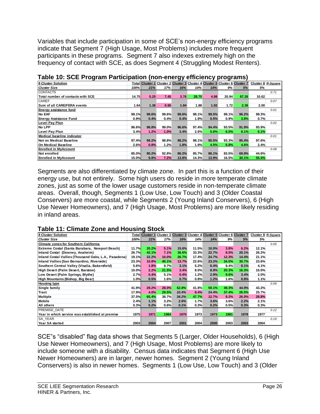Variables that include participation in some of SCE's non-energy efficiency programs indicate that Segment 7 (High Usage, Most Problems) includes more frequent participants in these programs. Segment 7 also indexes extremely high on the frequency of contact with SCE, as does Segment 4 (Struggling Modest Renters).

| -                                 |       |                        |       | JJ    |         |       | ÷            |                                                             |       |                    |
|-----------------------------------|-------|------------------------|-------|-------|---------|-------|--------------|-------------------------------------------------------------|-------|--------------------|
| 8 Cluster Solution                |       | <b>Total Cluster 1</b> |       |       |         |       |              | Cluster 2 Cluster 3 Cluster 4 Cluster 5 Cluster 6 Cluster 7 |       | Cluster 8 R-Square |
| <b>Cluster Size</b>               | 100%  | 21%                    | 17%   | 16%   | 14%     | 14%   | 9%           | 5%                                                          | 5%    |                    |
| <b>CONTACTS</b>                   |       |                        |       |       |         |       |              |                                                             |       | 0.71               |
| Total number of contacts with SCE | 14.75 | 5.25                   | 7.45  | 3.76  | 28.70   | 4.98  | 20.94        | 87.26                                                       | 10.62 |                    |
| <b>CAREF</b>                      |       |                        |       |       |         |       |              |                                                             |       | 0.07               |
| Sum of all CARE/FERA events       | 1.64  | 1.36                   | 0.95  | 1.84  | 1.88    | 1.92  | 1.72         | 2.36                                                        | 2.00  |                    |
| Energy assistance fund            |       |                        |       |       |         |       |              |                                                             |       | 0.01               |
| <b>No EAF</b>                     | 99.1% | 99.6%                  | 99.6% | 99.6% | 98.1%   | 99.5% | 99.1%        | 96.2%                                                       | 99.3% |                    |
| <b>Energy Assistance Fund</b>     | 0.9%  | 0.4%                   | 0.4%  | 0.4%  | 1.9%    | 0.5%  | 0.9%         | 3.8%                                                        | 0.7%  |                    |
| <b>Level Pay Plan</b>             |       |                        |       |       |         |       |              |                                                             |       | 0.02               |
| <b>No LPP</b>                     | 96.6% | 98.8%                  | 99.0% | 96.6% | 97.4%   | 94.4% | 93.5%        | 91.9%                                                       | 93.9% |                    |
| <b>Level Pay Plan</b>             | 3.4%  | 1.2%                   | 1.0%  | 3.4%  | 2.6%    | 5.6%  | 6.5%         | 8.1%                                                        | 6.1%  |                    |
| Medical baseline indicator        |       |                        |       |       |         |       |              |                                                             |       | 0.01               |
| Not on Medical Baseline           | 97.4% | 99.2%                  | 98.8% | 98.2% | 98.1%   | 95.5% | 93.3%        | 95.4%                                                       | 97.6% |                    |
| On Medical Baseline               | 2.6%  | 0.8%                   | 1.2%  | 1.8%  | $1.9\%$ | 4.5%  | 6.8%         | 4.6%                                                        | 2.4%  |                    |
| <b>Enrolled in MvAccount</b>      |       |                        |       |       |         |       |              |                                                             |       | 0.08               |
| Not enrolled                      | 85.0% | 90.2%                  | 92.8% | 86.2% | 85.7%   | 86.1% | 83.5%        | 69.9%                                                       | 44.6% |                    |
| lEnrolled in MvAccount            | 15.0% | 9.8%                   | 7.2%  | 13.8% | 14.3%   | 13.9% | <b>16.5%</b> | 30.1%                                                       | 55.4% |                    |

|  | Table 10: SCE Program Participation (non-energy efficiency programs) |
|--|----------------------------------------------------------------------|
|--|----------------------------------------------------------------------|

Segments are also differentiated by climate zone. In part this is a function of their energy use, but not entirely. Some high users do reside in more temperate climate zones, just as some of the lower usage customers reside in non-temperate climate areas. Overall, though, Segments 1 (Low Use, Low Touch) and 3 (Older Coastal Conservers) are more coastal, while Segments 2 (Young Inland Conservers), 6 (High Use Newer Homeowners), and 7 (High Usage, Most Problems) are more likely residing in inland areas.

### **Table 11: Climate Zone and Housing Stock**

| 8 Cluster Solution                                    |              | Total Cluster 1 |       |       |       |       |       | Cluster 2 Cluster 3 Cluster 4 Cluster 5 Cluster 6 Cluster 7 |       | Cluster 8 R-Square |
|-------------------------------------------------------|--------------|-----------------|-------|-------|-------|-------|-------|-------------------------------------------------------------|-------|--------------------|
| <b>Cluster Size</b>                                   | 100%         | 21%             | 17%   | 16%   | 14%   | 14%   | 9%    | 5%                                                          | 5%    |                    |
| <b>Climate zones for Southern California</b>          |              |                 |       |       |       |       |       |                                                             |       | 0.05               |
| Extreme Costal (Santa Barabara, Newport Beach)        | <b>11.7%</b> | 20.2%           | 5.1%  | 15.6% | 11.5% | 10.0% | 3.8%  | 6.2%                                                        | 12.1% |                    |
| Inland Costal (Downey, Anaheim)                       | 26.7%        | 42.1%           | 7.1%  | 36.6% | 33.3% | 22.7% | 8.5%  | 20.1%                                                       | 26.2% |                    |
| Inland Costal Vallies (Thousand Oaks, L.A., Pasadena) | 19.1%        | 22.2%           | 10.0% | 26.7% | 17.4% | 24.7% | 12.3% | 14.4%                                                       | 21.1% |                    |
| Inland Vallies (San Bernardino, Riverside)            | 23.3%        | 10.8%           | 40.1% | 13.7% | 22.6% | 23.2% | 34.5% | 30.7%                                                       | 23.6% |                    |
| Southern Central Valley (Visalia, Bakersfield)        | 5.6%         | 1.8%            | 9.7%  | 3.1%  | 5.2%  | 6.4%  | 9.4%  | 8.1%                                                        | 4.1%  |                    |
| High Desert (Palm Desert, Barstow)                    | 10.0%        | 2.2%            | 21.5% | 3.4%  | 8.0%  | 8.9%  | 20.3% | 16.3%                                                       | 10.0% |                    |
| Low Desert (Palm Springs, Blythe)                     | 2.7%         | 0.4%            | 5.1%  | 0.4%  | 1.2%  | 2.9%  | 9.6%  | 3.4%                                                        | 2.0%  |                    |
| High Mountains (Bishop, Big Bear)                     | 1.0%         | 0.5%            | 1.6%  | 0.7%  | 0.8%  | 1.2%  | 1.6%  | 0.8%                                                        | 1.1%  |                    |
| <b>Housing type</b>                                   |              |                 |       |       |       |       |       |                                                             |       | 0.09               |
| Single family                                         | 41.9%        | 29.2%           | 28.0% | 52.8% | 41.8% | 59.1% | 49.3% | 44.9%                                                       | 43.2% |                    |
| <b>Tract</b>                                          | 17.9%        | 4.0%            | 29.5% | 10.4% | 8.4%  | 24.4% | 37.4% | 26.5%                                                       | 25.7% |                    |
| <b>Multiple</b>                                       | 37.5%        | 65.4%           | 38.7% | 34.2% | 47.7% | 12.7% | 9.2%  | 26.0%                                                       | 28.8% |                    |
| <b>Mobile</b>                                         | 2.4%         | 1.1%            | 3.2%  | 2.6%  | 1.7%  | 3.6%  | 3.6%  | 2.2%                                                        | 2.1%  |                    |
| All others                                            | 0.3%         | 0.2%            | 0.6%  | 0.1%  | 0.3%  | 0.2%  | 0.5%  | 0.3%                                                        | 0.3%  |                    |
| <b>PREMISE DATE</b>                                   |              |                 |       |       |       |       |       |                                                             |       | 0.12               |
| Year in which service was established at premise      | 1975         | 1971            | 1984  | 1970  | 1973  | 1973  | 1981  | 1978                                                        | 1977  |                    |
| <b>SA YEAR</b>                                        |              |                 |       |       |       |       |       |                                                             |       | 0.19               |
| Year SA started                                       | 2003         | 2004            | 2007  | 2001  | 2004  | 2000  | 2003  | 2003                                                        | 2004  |                    |

SCE"s "disabled" flag data shows that Segments 5 (Larger, Older Households), 6 (High Use Newer Homeowners), and 7 (High Usage, Most Problems) are more likely to include someone with a disability. Census data indicates that Segment 6 (High Use Newer Homeowners) are in larger, newer homes. Segment 2 (Young Inland Conservers) is also in newer homes. Segments 1 (Low Use, Low Touch) and 3 (Older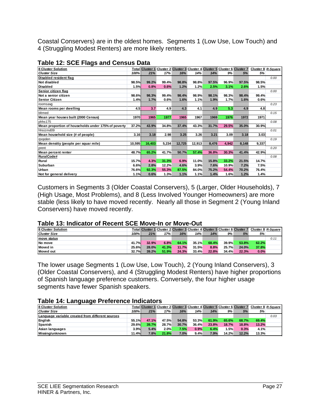Coastal Conservers) are in the oldest homes. Segments 1 (Low Use, Low Touch) and 4 (Struggling Modest Renters) are more likely renters.

| 8 Cluster Solution                                  |        | <b>Total Cluster 1</b> |       |        |        |       |       | Cluster 2 Cluster 3 Cluster 4 Cluster 5 Cluster 6 Cluster 7 | Cluster 8 R-Square |      |
|-----------------------------------------------------|--------|------------------------|-------|--------|--------|-------|-------|-------------------------------------------------------------|--------------------|------|
| <b>Cluster Size</b>                                 | 100%   | 21%                    | 17%   | 16%    | 14%    | 14%   | 9%    | 5%                                                          | 5%                 |      |
| Disabled resident flag                              |        |                        |       |        |        |       |       |                                                             |                    | 0.00 |
| Not disabled                                        | 98.5%  | 99.2%                  | 99.4% | 98.8%  | 98.8%  | 97.5% | 96.9% | 97.5%                                                       | 98.5%              |      |
| <b>Disabled</b>                                     | 1.5%   | 0.8%                   | 0.6%  | 1.2%   | 1.2%   | 2.5%  | 3.1%  | 2.6%                                                        | 1.5%               |      |
| Senior citizen flag                                 |        |                        |       |        |        |       |       |                                                             |                    | 0.00 |
| Not a senior citizen                                | 98.6%  | 98.3%                  | 99.4% | 98.4%  | 98.9%  | 98.1% | 98.3% | 98.4%                                                       | 99.4%              |      |
| <b>Senior Citizen</b>                               | 1.4%   | 1.7%                   | 0.6%  | 1.6%   | 1.1%   | 1.9%  | 1.7%  | 1.6%                                                        | 0.6%               |      |
| roomsavg                                            |        |                        |       |        |        |       |       |                                                             |                    | 0.23 |
| Mean rooms per dwelling                             | 4.5    | 3.7                    | 4.9   | 4.3    | 4.1    | 4.9   | 5.3   | 4.9                                                         | 4.8                |      |
| bltmed                                              |        |                        |       |        |        |       |       |                                                             |                    | 0.15 |
| Mean year houses built (2000 Census)                | 1970   | 1965                   | 1977  | 1965   | 1967   | 1969  | 1976  | 1972                                                        | 1971               |      |
| phhs175                                             |        |                        |       |        |        |       |       |                                                             |                    | 0.08 |
| Mean proportion of households under 175% of poverty | 37.2%  | 43.9%                  | 34.8% | 37.4%  | 43.3%  | 31.7% | 29.5% | 35.0%                                                       | 30.9%              |      |
| hhsizmd09                                           |        |                        |       |        |        |       |       |                                                             |                    | 0.01 |
| Mean household size (# of people)                   | 3.16   | 3.18                   | 2.98  | 3.25   | 3.26   | 3.21  | 3.09  | 3.18                                                        | 3.03               |      |
| rpopden                                             |        |                        |       |        |        |       |       |                                                             |                    | 0.19 |
| Mean densitiy (people per squar mile)               | 10,595 | 16,403                 | 5,234 | 12,725 | 12,913 | 8,476 | 4,942 | 8,148                                                       | 9,337              |      |
| prent                                               |        |                        |       |        |        |       |       |                                                             |                    | 0.20 |
| Mean percent renter                                 | 48.7%  | 65.2%                  | 41.7% | 50.7%  | 57.4%  | 36.8% | 30.3% | 41.4%                                                       | 42.9%              |      |
| RuralCode#                                          |        |                        |       |        |        |       |       |                                                             |                    | 0.08 |
| Rural                                               | 15.7%  | 4.3%                   | 31.3% | 6.9%   | 11.0%  | 15.8% | 33.2% | 21.5%                                                       | 14.7%              |      |
| Suburban                                            | 6.6%   | 2.8%                   | 12.2% | 4.6%   | 3.9%   | 7.6%  | 10.9% | 7.2%                                                        | 7.5%               |      |
| Urban                                               | 76.6%  | 92.3%                  | 55.3% | 87.5%  | 84.0%  | 75.2% | 54.4% | 70.2%                                                       | 76.4%              |      |
| Not for general delivery                            | 1.1%   | 0.6%                   | 1.3%  | 1.1%   | 1.1%   | 1.4%  | 1.6%  | 1.2%                                                        | 1.4%               |      |

#### **Table 12: SCE Flags and Census Data**

Customers in Segments 3 (Older Coastal Conservers), 5 (Larger, Older Households), 7 (High Usage, Most Problems), and 8 (Less Involved Younger Homeowners) are more stable (less likely to have moved recently. Nearly all those in Segment 2 (Young Inland Conservers) have moved recently.

### **Table 13: Indicator of Recent SCE Move-In or Move-Out**

| <b>8 Cluster Solution</b> |       | <b>Total Cluster 1</b> |       |       |       |       |       |       | Cluster 2 Cluster 3 Cluster 4 Cluster 5 Cluster 6 Cluster 7 Cluster 8 R-Square |      |
|---------------------------|-------|------------------------|-------|-------|-------|-------|-------|-------|--------------------------------------------------------------------------------|------|
| <b>Cluster Size</b>       | 100%  | 21%                    | 17%   | 16%   | 14%   | 14%   | 9%    | 5%    | 5%                                                                             |      |
| <b>Imove status</b>       |       |                        |       |       |       |       |       |       |                                                                                | 0.11 |
| No move                   | 41.7% | 32.9%                  | 6.8%  | 64.1% | 35.1% | 68.4% | 39.9% | 53.8% | 62.2%                                                                          |      |
| Moved in                  | 25.6% | 28.0%                  | 41.3% | 11.7% | 31.5% | 8.8%  | 25.7% | 24.0% | 37.8%                                                                          |      |
| Moved out                 | 32.7% | 39.2%                  | 51.9% | 24.3% | 33.4% | 22.8% | 34.4% | 22.3% | 0.0%                                                                           |      |

The lower usage Segments 1 (Low Use, Low Touch), 2 (Young Inland Conservers), 3 (Older Coastal Conservers), and 4 (Struggling Modest Renters) have higher proportions of Spanish language preference customers. Conversely, the four higher usage segments have fewer Spanish speakers.

### **Table 14: Language Preference Indicators**

| <b>8 Cluster Solution</b>                        |       | <b>Total Cluster 1</b> |       |       |       |       |       |       | Cluster 2 Cluster 3 Cluster 4 Cluster 5 Cluster 6 Cluster 7 Cluster 8 R-Square |      |
|--------------------------------------------------|-------|------------------------|-------|-------|-------|-------|-------|-------|--------------------------------------------------------------------------------|------|
| <b>Cluster Size</b>                              | 100%  | 21%                    | 17%   | 16%   | 14%   | 14%   | 9%    | 5%    | 5%                                                                             |      |
| Language variable created from different sources |       |                        |       |       |       |       |       |       |                                                                                | 0.03 |
| English                                          | 55.1% | 47.1%                  | 47.5% | 54.8% | 53.3% | 61.9% | 65.6% | 68.7% | 69.4%                                                                          |      |
| Spanish                                          | 29.6% | 39.7%                  | 28.7% | 30.7% | 36.4% | 23.8% | 18.7% | 18.8% | 13.2%                                                                          |      |
| Asian languages                                  | 3.9%  | 5.4%                   | 2.0%  | 7.5%  | 0.9%  | 6.4%  | 1.5%  | 0.3%  | 4.1%                                                                           |      |
| Missing/unknown                                  | 11.4% | 7.8%                   | 21.8% | 7.0%  | 9.4%  | 7.9%  | 14.2% | 12.2% | 13.3%                                                                          |      |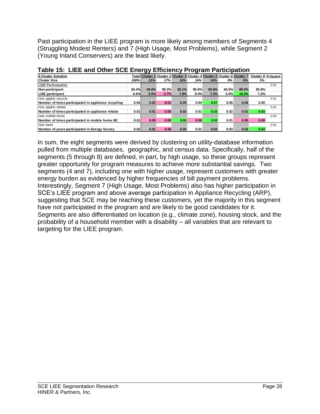Past participation in the LIEE program is more likely among members of Segments 4 (Struggling Modest Renters) and 7 (High Usage, Most Problems), while Segment 2 (Young Inland Conservers) are the least likely.

|                                                     |       | ັ                      |       |       |       |       |       |                                                             |       |                    |
|-----------------------------------------------------|-------|------------------------|-------|-------|-------|-------|-------|-------------------------------------------------------------|-------|--------------------|
| <b>8 Cluster Solution</b>                           |       | <b>Total Cluster 1</b> |       |       |       |       |       | Cluster 2 Cluster 3 Cluster 4 Cluster 5 Cluster 6 Cluster 7 |       | Cluster 8 R-Square |
| <b>Cluster Size</b>                                 | 100%  | 21%                    | 17%   | 16%   | 14%   | 14%   | 9%    | 5%                                                          | 5%    |                    |
| <b>LIEE Participation</b>                           |       |                        |       |       |       |       |       |                                                             |       | 0.01               |
| Non-participant                                     | 93.4% | 94.6%                  | 96.3% | 92.1% | 90.6% | 92.6% | 94.5% | 90.0%                                                       | 92.8% |                    |
| <b>LIEE</b> participant                             | 6.6%  | 5.5%                   | 3.7%  | 7.9%  | 9.4%  | 7.5%  | 5.5%  | 10.0%                                                       | 7.2%  |                    |
| nrec.applnc.recycle                                 |       |                        |       |       |       |       |       |                                                             |       | 0.01               |
| Number of times participated in appliance recycling | 0.04  | 0.02                   | 0.01  | 0.05  | 0.04  | 0.07  | 0.05  | 0.06                                                        | 0.05  |                    |
| nrec.applnc.rebate                                  |       |                        |       |       |       |       |       |                                                             |       | 0.01               |
| Number of times participated in appliance rebate    | 0.01  | 0.01                   | 0.00  | 0.02  | 0.01  | 0.03  | 0.02  | 0.01                                                        | 0.03  |                    |
| nrec.mobile.home                                    |       |                        |       |       |       |       |       |                                                             |       | 0.00               |
| Number of times participated in mobile home EE      | 0.01  | 0.00                   | 0.00  | 0.02  | 0.00  | 0.02  | 0.01  | 0.00                                                        | 0.00  |                    |
| nrec.hees                                           |       |                        |       |       |       |       |       |                                                             |       | 0.01               |
| Number of years participated in Energy Survey       | 0.02  | 0.01                   | 0.00  | 0.02  | 0.01  | 0.03  | 0.03  | 0.02                                                        | 0.04  |                    |
|                                                     |       |                        |       |       |       |       |       |                                                             |       |                    |

|  | Table 15: LIEE and Other SCE Energy Efficiency Program Participation |  |  |  |
|--|----------------------------------------------------------------------|--|--|--|
|  |                                                                      |  |  |  |

In sum, the eight segments were derived by clustering on utility-database information pulled from multiple databases, geographic, and census data. Specifically, half of the segments (5 through 8) are defined, in part, by high usage, so these groups represent greater opportunity for program measures to achieve more substantial savings. Two segments (4 and 7), including one with higher usage, represent customers with greater energy burden as evidenced by higher frequencies of bill payment problems. Interestingly, Segment 7 (High Usage, Most Problems) also has higher participation in SCE's LIEE program and above average participation in Appliance Recycling (ARP), suggesting that SCE may be reaching these customers, yet the majority in this segment have not participated in the program and are likely to be good candidates for it. Segments are also differentiated on location (e.g., climate zone), housing stock, and the probability of a household member with a disability – all variables that are relevant to targeting for the LIEE program.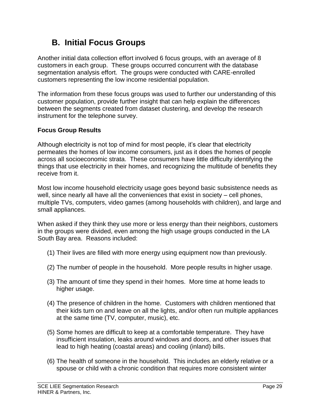# **B. Initial Focus Groups**

Another initial data collection effort involved 6 focus groups, with an average of 8 customers in each group. These groups occurred concurrent with the database segmentation analysis effort. The groups were conducted with CARE-enrolled customers representing the low income residential population.

The information from these focus groups was used to further our understanding of this customer population, provide further insight that can help explain the differences between the segments created from dataset clustering, and develop the research instrument for the telephone survey.

## **Focus Group Results**

Although electricity is not top of mind for most people, it's clear that electricity permeates the homes of low income consumers, just as it does the homes of people across all socioeconomic strata. These consumers have little difficulty identifying the things that use electricity in their homes, and recognizing the multitude of benefits they receive from it.

Most low income household electricity usage goes beyond basic subsistence needs as well, since nearly all have all the conveniences that exist in society – cell phones, multiple TVs, computers, video games (among households with children), and large and small appliances.

When asked if they think they use more or less energy than their neighbors, customers in the groups were divided, even among the high usage groups conducted in the LA South Bay area. Reasons included:

- (1) Their lives are filled with more energy using equipment now than previously.
- (2) The number of people in the household. More people results in higher usage.
- (3) The amount of time they spend in their homes. More time at home leads to higher usage.
- (4) The presence of children in the home. Customers with children mentioned that their kids turn on and leave on all the lights, and/or often run multiple appliances at the same time (TV, computer, music), etc.
- (5) Some homes are difficult to keep at a comfortable temperature. They have insufficient insulation, leaks around windows and doors, and other issues that lead to high heating (coastal areas) and cooling (inland) bills.
- (6) The health of someone in the household. This includes an elderly relative or a spouse or child with a chronic condition that requires more consistent winter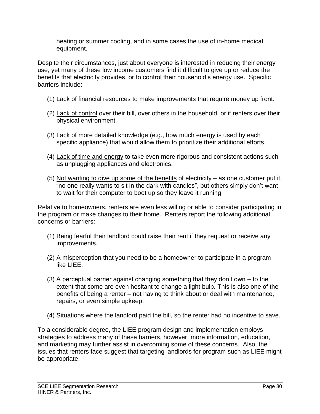heating or summer cooling, and in some cases the use of in-home medical equipment.

Despite their circumstances, just about everyone is interested in reducing their energy use, yet many of these low income customers find it difficult to give up or reduce the benefits that electricity provides, or to control their household's energy use. Specific barriers include:

- (1) Lack of financial resources to make improvements that require money up front.
- (2) Lack of control over their bill, over others in the household, or if renters over their physical environment.
- (3) Lack of more detailed knowledge (e.g., how much energy is used by each specific appliance) that would allow them to prioritize their additional efforts.
- (4) Lack of time and energy to take even more rigorous and consistent actions such as unplugging appliances and electronics.
- (5) Not wanting to give up some of the benefits of electricity as one customer put it, "no one really wants to sit in the dark with candles", but others simply don't want to wait for their computer to boot up so they leave it running.

Relative to homeowners, renters are even less willing or able to consider participating in the program or make changes to their home. Renters report the following additional concerns or barriers:

- (1) Being fearful their landlord could raise their rent if they request or receive any improvements.
- (2) A misperception that you need to be a homeowner to participate in a program like LIEE.
- (3) A perceptual barrier against changing something that they don't own to the extent that some are even hesitant to change a light bulb. This is also one of the benefits of being a renter – not having to think about or deal with maintenance, repairs, or even simple upkeep.
- (4) Situations where the landlord paid the bill, so the renter had no incentive to save.

To a considerable degree, the LIEE program design and implementation employs strategies to address many of these barriers, however, more information, education, and marketing may further assist in overcoming some of these concerns. Also, the issues that renters face suggest that targeting landlords for program such as LIEE might be appropriate.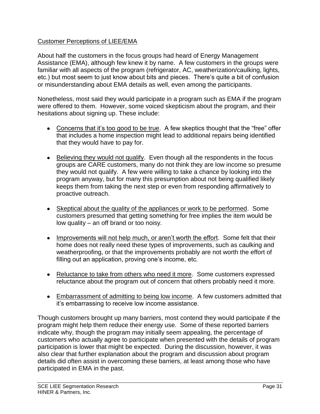## Customer Perceptions of LIEE/EMA

About half the customers in the focus groups had heard of Energy Management Assistance (EMA), although few knew it by name. A few customers in the groups were familiar with all aspects of the program (refrigerator, AC, weatherization/caulking, lights, etc.) but most seem to just know about bits and pieces. There's quite a bit of confusion or misunderstanding about EMA details as well, even among the participants.

Nonetheless, most said they would participate in a program such as EMA if the program were offered to them. However, some voiced skepticism about the program, and their hesitations about signing up. These include:

- Concerns that it's too good to be true. A few skeptics thought that the "free" offer that includes a home inspection might lead to additional repairs being identified that they would have to pay for.
- Believing they would not qualify. Even though all the respondents in the focus groups are CARE customers, many do not think they are low income so presume they would not qualify. A few were willing to take a chance by looking into the program anyway, but for many this presumption about not being qualified likely keeps them from taking the next step or even from responding affirmatively to proactive outreach.
- Skeptical about the quality of the appliances or work to be performed. Some customers presumed that getting something for free implies the item would be low quality – an off brand or too noisy.
- Improvements will not help much, or aren't worth the effort. Some felt that their home does not really need these types of improvements, such as caulking and weatherproofing, or that the improvements probably are not worth the effort of filling out an application, proving one's income, etc.
- Reluctance to take from others who need it more. Some customers expressed reluctance about the program out of concern that others probably need it more.
- Embarrassment of admitting to being low income. A few customers admitted that it's embarrassing to receive low income assistance.

Though customers brought up many barriers, most contend they would participate if the program might help them reduce their energy use. Some of these reported barriers indicate why, though the program may initially seem appealing, the percentage of customers who actually agree to participate when presented with the details of program participation is lower that might be expected. During the discussion, however, it was also clear that further explanation about the program and discussion about program details did often assist in overcoming these barriers, at least among those who have participated in EMA in the past.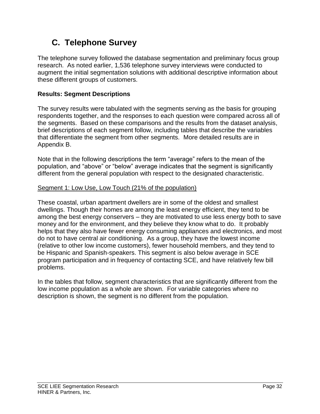# **C. Telephone Survey**

The telephone survey followed the database segmentation and preliminary focus group research. As noted earlier, 1,536 telephone survey interviews were conducted to augment the initial segmentation solutions with additional descriptive information about these different groups of customers.

# **Results: Segment Descriptions**

The survey results were tabulated with the segments serving as the basis for grouping respondents together, and the responses to each question were compared across all of the segments. Based on these comparisons and the results from the dataset analysis, brief descriptions of each segment follow, including tables that describe the variables that differentiate the segment from other segments. More detailed results are in Appendix B.

Note that in the following descriptions the term "average" refers to the mean of the population, and "above" or "below" average indicates that the segment is significantly different from the general population with respect to the designated characteristic.

## Segment 1: Low Use, Low Touch (21% of the population)

These coastal, urban apartment dwellers are in some of the oldest and smallest dwellings. Though their homes are among the least energy efficient, they tend to be among the best energy conservers – they are motivated to use less energy both to save money and for the environment, and they believe they know what to do. It probably helps that they also have fewer energy consuming appliances and electronics, and most do not to have central air conditioning. As a group, they have the lowest income (relative to other low income customers), fewer household members, and they tend to be Hispanic and Spanish-speakers. This segment is also below average in SCE program participation and in frequency of contacting SCE, and have relatively few bill problems.

In the tables that follow, segment characteristics that are significantly different from the low income population as a whole are shown. For variable categories where no description is shown, the segment is no different from the population.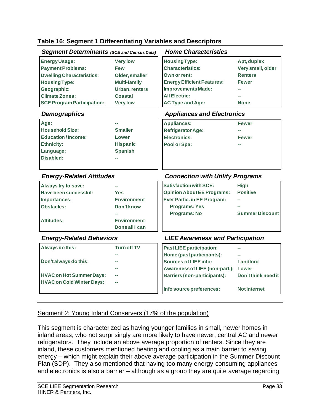### **Table 16: Segment 1 Differentiating Variables and Descriptors**

|                                   | <b>Segment Determinants (SCE and Census Data)</b> | <b>Home Characteristics</b>             |                        |
|-----------------------------------|---------------------------------------------------|-----------------------------------------|------------------------|
| <b>Energy Usage:</b>              | <b>Very low</b>                                   | <b>Housing Type:</b>                    | Apt, duplex            |
| <b>Payment Problems:</b>          | <b>Few</b>                                        | <b>Characteristics:</b>                 | Very small, older      |
| <b>Dwelling Characteristics:</b>  | Older, smaller                                    | Own or rent:                            | <b>Renters</b>         |
| <b>Housing Type:</b>              | <b>Multi-family</b>                               | <b>Energy Efficient Features:</b>       | <b>Fewer</b>           |
| Geographic:                       | <b>Urban, renters</b>                             | <b>Improvements Made:</b>               |                        |
| <b>Climate Zones:</b>             | <b>Coastal</b>                                    | <b>All Electric:</b>                    |                        |
| <b>SCE Program Participation:</b> | <b>Very low</b>                                   | <b>AC Type and Age:</b>                 | <b>None</b>            |
| <b>Demographics</b>               |                                                   | <b>Appliances and Electronics</b>       |                        |
| Age:                              |                                                   | <b>Appliances:</b>                      | <b>Fewer</b>           |
| <b>Household Size:</b>            | <b>Smaller</b>                                    | <b>Refrigerator Age:</b>                |                        |
| <b>Education/Income:</b>          | Lower                                             | <b>Electronics:</b>                     | <b>Fewer</b>           |
| <b>Ethnicity:</b>                 | <b>Hispanic</b>                                   | Pool or Spa:                            |                        |
| Language:                         | <b>Spanish</b>                                    |                                         |                        |
| Disabled:                         |                                                   |                                         |                        |
|                                   |                                                   |                                         |                        |
|                                   |                                                   |                                         |                        |
| <b>Energy-Related Attitudes</b>   |                                                   | <b>Connection with Utility Programs</b> |                        |
| Always try to save:               |                                                   | <b>Satisfaction with SCE:</b>           | <b>High</b>            |
| Have been successful:             | Yes                                               | <b>Opinion About EE Programs:</b>       | <b>Positive</b>        |
| Importances:                      | <b>Environment</b>                                | <b>Ever Partic. in EE Program:</b>      |                        |
| <b>Obstacles:</b>                 | Don't know                                        | <b>Programs: Yes</b>                    |                        |
|                                   |                                                   | Programs: No                            | <b>Summer Discount</b> |
| <b>Attitudes:</b>                 | <b>Environment</b>                                |                                         |                        |
|                                   | Done all I can                                    |                                         |                        |
| <b>Energy-Related Behaviors</b>   |                                                   | <b>LIEE Awareness and Participation</b> |                        |
| Always do this:                   | <b>Turn off TV</b>                                | <b>Past LIEE participation:</b>         |                        |
|                                   |                                                   | Home (past participants):               |                        |
| Don't always do this:             |                                                   | <b>Sources of LIEE info:</b>            | Landlord               |
|                                   |                                                   | Awareness of LIEE (non-part.): Lower    |                        |
| <b>HVAC on Hot Summer Days:</b>   |                                                   | <b>Barriers (non-participants):</b>     | Don't think need it    |
| <b>HVAC on Cold Winter Days:</b>  |                                                   | Info source preferences:                |                        |

### This segment is characterized as having younger families in small, newer homes in inland areas, who not surprisingly are more likely to have newer, central AC and newer refrigerators. They include an above average proportion of renters. Since they are inland, these customers mentioned heating and cooling as a main barrier to saving energy – which might explain their above average participation in the Summer Discount Plan (SDP). They also mentioned that having too many energy-consuming appliances and electronics is also a barrier – although as a group they are quite average regarding

Segment 2: Young Inland Conservers (17% of the population)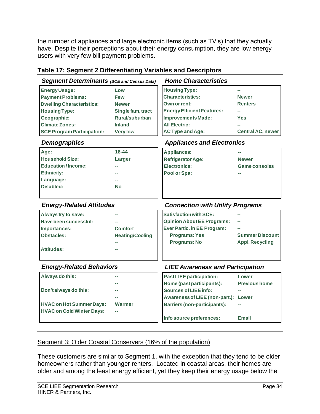the number of appliances and large electronic items (such as TV's) that they actually have. Despite their perceptions about their energy consumption, they are low energy users with very few bill payment problems.

| <b>Segment Determinants (SCE and Census Data)</b> |                        | <b>Home Characteristics</b>             |                        |
|---------------------------------------------------|------------------------|-----------------------------------------|------------------------|
| <b>Energy Usage:</b>                              | Low                    | <b>Housing Type:</b>                    | $\sim$                 |
| <b>Payment Problems:</b>                          | <b>Few</b>             | <b>Characteristics:</b>                 | <b>Newer</b>           |
| <b>Dwelling Characteristics:</b>                  | <b>Newer</b>           | Own or rent:                            | <b>Renters</b>         |
| <b>Housing Type:</b>                              | Single fam, tract      | <b>Energy Efficient Features:</b>       |                        |
| Geographic:                                       | Rural/suburban         | <b>Improvements Made:</b>               | Yes                    |
| <b>Climate Zones:</b>                             | <b>Inland</b>          | <b>All Electric:</b>                    |                        |
| <b>SCE Program Participation:</b>                 | <b>Very low</b>        | <b>AC Type and Age:</b>                 | Central AC, newer      |
| <b>Demographics</b>                               |                        | <b>Appliances and Electronics</b>       |                        |
| Age:                                              | 18-44                  | <b>Appliances:</b>                      |                        |
| <b>Household Size:</b>                            | Larger                 | <b>Refrigerator Age:</b>                | <b>Newer</b>           |
| <b>Education/Income:</b>                          |                        | <b>Electronics:</b>                     | <b>Game consoles</b>   |
| <b>Ethnicity:</b>                                 |                        | Pool or Spa:                            |                        |
| Language:                                         |                        |                                         |                        |
| Disabled:                                         | No                     |                                         |                        |
|                                                   |                        |                                         |                        |
| <b>Energy-Related Attitudes</b>                   |                        | <b>Connection with Utility Programs</b> |                        |
|                                                   |                        |                                         |                        |
| Always try to save:                               |                        | <b>Satisfaction with SCE:</b>           |                        |
| Have been successful:                             |                        | <b>Opinion About EE Programs:</b>       |                        |
| Importances:                                      | <b>Comfort</b>         | <b>Ever Partic. in EE Program:</b>      |                        |
| Obstacles:                                        | <b>Heating/Cooling</b> | <b>Programs: Yes</b>                    | <b>Summer Discount</b> |
|                                                   |                        | Programs: No                            | <b>Appl. Recycling</b> |
| <b>Attitudes:</b>                                 |                        |                                         |                        |
| <b>Energy-Related Behaviors</b>                   |                        | <b>LIEE Awareness and Participation</b> |                        |
| Always do this:                                   |                        | <b>Past LIEE participation:</b>         | Lower                  |
|                                                   |                        | Home (past participants):               | <b>Previous home</b>   |
| Don't always do this:                             |                        | <b>Sources of LIEE info:</b>            |                        |
|                                                   |                        | Awareness of LIEE (non-part.): Lower    |                        |
| <b>HVAC on Hot Summer Days:</b>                   | Warmer                 | <b>Barriers (non-participants):</b>     |                        |
| <b>HVAC on Cold Winter Days:</b>                  |                        |                                         |                        |
|                                                   |                        | Info source preferences:                | <b>Email</b>           |

## **Table 17: Segment 2 Differentiating Variables and Descriptors**

## Segment 3: Older Coastal Conservers (16% of the population)

These customers are similar to Segment 1, with the exception that they tend to be older homeowners rather than younger renters. Located in coastal areas, their homes are older and among the least energy efficient, yet they keep their energy usage below the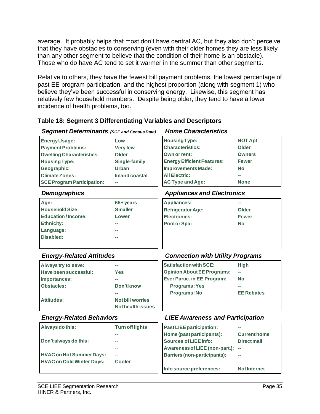average. It probably helps that most don't have central AC, but they also don't perceive that they have obstacles to conserving (even with their older homes they are less likely than any other segment to believe that the condition of their home is an obstacle). Those who do have AC tend to set it warmer in the summer than other segments.

Relative to others, they have the fewest bill payment problems, the lowest percentage of past EE program participation, and the highest proportion (along with segment 1) who believe they've been successful in conserving energy. Likewise, this segment has relatively few household members. Despite being older, they tend to have a lower incidence of health problems, too.

| <b>Housing Type:</b><br><b>Energy Usage:</b><br><b>NOT Apt</b><br>Low<br><b>Characteristics:</b><br><b>Payment Problems:</b><br>Older<br><b>Very few</b><br><b>Dwelling Characteristics:</b><br>Own or rent:<br>Older<br><b>Owners</b> |  |
|----------------------------------------------------------------------------------------------------------------------------------------------------------------------------------------------------------------------------------------|--|
|                                                                                                                                                                                                                                        |  |
|                                                                                                                                                                                                                                        |  |
|                                                                                                                                                                                                                                        |  |
| <b>Housing Type:</b><br><b>Energy Efficient Features:</b><br><b>Single-family</b><br><b>Fewer</b>                                                                                                                                      |  |
| <b>Improvements Made:</b><br>Geographic:<br><b>Urban</b><br>No                                                                                                                                                                         |  |
| <b>All Electric:</b><br><b>Climate Zones:</b><br>Inland coastal                                                                                                                                                                        |  |
| <b>SCE Program Participation:</b><br><b>AC Type and Age:</b><br><b>None</b>                                                                                                                                                            |  |
| <b>Appliances and Electronics</b><br><b>Demographics</b>                                                                                                                                                                               |  |
| Age:<br>65+ years<br><b>Appliances:</b>                                                                                                                                                                                                |  |
| <b>Household Size:</b><br><b>Smaller</b><br><b>Refrigerator Age:</b><br>Older                                                                                                                                                          |  |
| <b>Education/Income:</b><br><b>Electronics:</b><br>Lower<br><b>Fewer</b>                                                                                                                                                               |  |
| <b>Ethnicity:</b><br>Pool or Spa:<br><b>No</b>                                                                                                                                                                                         |  |
| Language:                                                                                                                                                                                                                              |  |
| Disabled:                                                                                                                                                                                                                              |  |
|                                                                                                                                                                                                                                        |  |
|                                                                                                                                                                                                                                        |  |
| <b>Energy-Related Attitudes</b><br><b>Connection with Utility Programs</b>                                                                                                                                                             |  |
| <b>Satisfaction with SCE:</b><br>Always try to save:<br><b>High</b>                                                                                                                                                                    |  |
| <b>Opinion About EE Programs:</b><br>Have been successful:<br><b>Yes</b><br>шm.                                                                                                                                                        |  |
| <b>Ever Partic. in EE Program:</b><br><b>No</b><br>Importances:                                                                                                                                                                        |  |
| <b>Programs: Yes</b><br><b>Obstacles:</b><br>Don't know                                                                                                                                                                                |  |
| <b>Programs: No</b><br><b>EE Rebates</b>                                                                                                                                                                                               |  |
| <b>Attitudes:</b><br><b>Not bill worries</b>                                                                                                                                                                                           |  |
| <b>Not health issues</b>                                                                                                                                                                                                               |  |
| <b>Energy-Related Behaviors</b><br><b>LIEE Awareness and Participation</b>                                                                                                                                                             |  |
| Always do this:<br><b>Turn off lights</b><br><b>Past LIEE participation:</b>                                                                                                                                                           |  |
| Home (past participants):<br><b>Current home</b>                                                                                                                                                                                       |  |
| Don't always do this:<br><b>Sources of LIEE info:</b><br><b>Direct mail</b>                                                                                                                                                            |  |
| Awareness of LIEE (non-part.): --                                                                                                                                                                                                      |  |
| <b>HVAC on Hot Summer Days:</b><br><b>Barriers (non-participants):</b>                                                                                                                                                                 |  |
| <b>HVAC on Cold Winter Days:</b><br><b>Cooler</b><br>Info source preferences:                                                                                                                                                          |  |

## **Table 18: Segment 3 Differentiating Variables and Descriptors**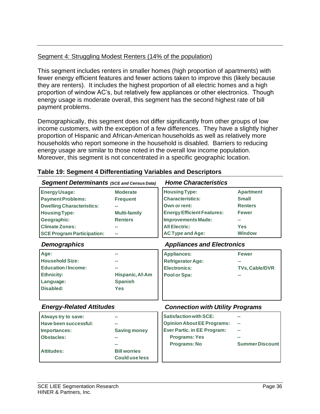## Segment 4: Struggling Modest Renters (14% of the population)

This segment includes renters in smaller homes (high proportion of apartments) with fewer energy efficient features and fewer actions taken to improve this (likely because they are renters). It includes the highest proportion of all electric homes and a high proportion of window AC's, but relatively few appliances or other electronics. Though energy usage is moderate overall, this segment has the second highest rate of bill payment problems.

Demographically, this segment does not differ significantly from other groups of low income customers, with the exception of a few differences. They have a slightly higher proportion of Hispanic and African-American households as well as relatively more households who report someone in the household is disabled. Barriers to reducing energy usage are similar to those noted in the overall low income population. Moreover, this segment is not concentrated in a specific geographic location.

| <b>Segment Determinants (SCE and Census Data)</b> |                       | <b>Home Characteristics</b>             |                        |
|---------------------------------------------------|-----------------------|-----------------------------------------|------------------------|
| <b>Energy Usage:</b>                              | <b>Moderate</b>       | <b>Housing Type:</b>                    | <b>Apartment</b>       |
| <b>Payment Problems:</b>                          | <b>Frequent</b>       | <b>Characteristics:</b>                 | <b>Small</b>           |
| <b>Dwelling Characteristics:</b>                  |                       | Own or rent:                            | <b>Renters</b>         |
| <b>Housing Type:</b>                              | <b>Multi-family</b>   | <b>Energy Efficient Features:</b>       | <b>Fewer</b>           |
| Geographic:                                       | <b>Renters</b>        | <b>Improvements Made:</b>               |                        |
| <b>Climate Zones:</b>                             |                       | <b>All Electric:</b>                    | <b>Yes</b>             |
| <b>SCE Program Participation:</b>                 |                       | <b>AC Type and Age:</b>                 | <b>Window</b>          |
| <b>Demographics</b>                               |                       | <b>Appliances and Electronics</b>       |                        |
| Age:                                              |                       | <b>Appliances:</b>                      | <b>Fewer</b>           |
| <b>Household Size:</b>                            |                       | <b>Refrigerator Age:</b>                |                        |
| <b>Education/Income:</b>                          |                       | <b>Electronics:</b>                     | TVs, Cable/DVR         |
| <b>Ethnicity:</b>                                 | Hispanic, Af-Am       | Pool or Spa:                            |                        |
| Language:                                         | <b>Spanish</b>        |                                         |                        |
| <b>Disabled:</b>                                  | <b>Yes</b>            |                                         |                        |
| <b>Energy-Related Attitudes</b>                   |                       | <b>Connection with Utility Programs</b> |                        |
|                                                   |                       | <b>Satisfaction with SCE:</b>           |                        |
| Always try to save:                               |                       |                                         |                        |
| Have been successful:                             |                       | <b>Opinion About EE Programs:</b>       |                        |
| Importances:                                      | <b>Saving money</b>   | <b>Ever Partic. in EE Program:</b>      |                        |
| <b>Obstacles:</b>                                 |                       | <b>Programs: Yes</b>                    |                        |
|                                                   |                       | Programs: No                            | <b>Summer Discount</b> |
| <b>Attitudes:</b>                                 | <b>Bill worries</b>   |                                         |                        |
|                                                   | <b>Could use less</b> |                                         |                        |

## **Table 19: Segment 4 Differentiating Variables and Descriptors**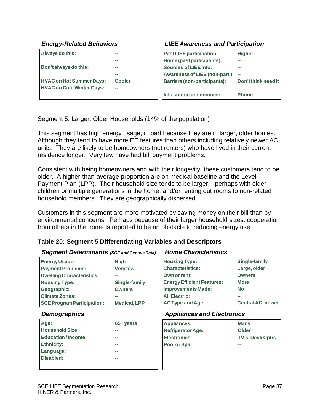| <b>Energy-Related Behaviors</b>                                     |               | <b>LIEE Awareness and Participation</b>               |                     |
|---------------------------------------------------------------------|---------------|-------------------------------------------------------|---------------------|
| Always do this:                                                     |               | Past LIEE participation:<br>Home (past participants): | <b>Higher</b>       |
| Don't always do this:                                               |               | Sources of LIEE info:                                 | --                  |
|                                                                     |               | Awareness of LIEE (non-part.):                        | <b>COL</b>          |
| <b>HVAC on Hot Summer Days:</b><br><b>HVAC on Cold Winter Days:</b> | <b>Cooler</b> | <b>Barriers (non-participants):</b>                   | Don't think need it |
|                                                                     |               | Info source preferences:                              | <b>Phone</b>        |

#### Segment 5: Larger, Older Households (14% of the population)

This segment has high energy usage, in part because they are in larger, older homes. Although they tend to have more EE features than others including relatively newer AC units. They are likely to be homeowners (not renters) who have lived in their current residence longer. Very few have had bill payment problems.

Consistent with being homeowners and with their longevity, these customers tend to be older. A higher-than-average proportion are on medical baseline and the Level Payment Plan (LPP). Their household size tends to be larger – perhaps with older children or multiple generations in the home, and/or renting out rooms to non-related household members. They are geographically dispersed.

Customers in this segment are more motivated by saving money on their bill than by environmental concerns. Perhaps because of their larger household sizes, cooperation from others in the home is reported to be an obstacle to reducing energy use.

| <b>Segment Determinants (SCE and Census Data)</b> |                     | <b>Home Characteristics</b>       |                          |
|---------------------------------------------------|---------------------|-----------------------------------|--------------------------|
| <b>Energy Usage:</b>                              | <b>High</b>         | <b>Housing Type:</b>              | <b>Single-family</b>     |
| <b>Payment Problems:</b>                          | <b>Very few</b>     | <b>Characteristics:</b>           | Large, older             |
| <b>Dwelling Characteristics:</b>                  |                     | Own or rent:                      | <b>Owners</b>            |
| <b>Housing Type:</b>                              | Single-family       | <b>Energy Efficient Features:</b> | <b>More</b>              |
| Geographic:                                       | <b>Owners</b>       | <b>Improvements Made:</b>         | <b>No</b>                |
| <b>Climate Zones:</b>                             |                     | <b>All Electric:</b>              |                          |
| <b>SCE Program Participation:</b>                 | <b>Medical, LPP</b> | <b>AC Type and Age:</b>           | <b>Central AC, newer</b> |
| <b>Demographics</b>                               |                     | <b>Appliances and Electronics</b> |                          |
| Age:                                              | 65+ years           | <b>Appliances:</b>                | Many                     |
| <b>Household Size:</b>                            |                     | <b>Refrigerator Age:</b>          | Older                    |
| <b>Education/Income:</b>                          |                     | <b>Electronics:</b>               | <b>TV's, Desk Cptrs</b>  |
| <b>Ethnicity:</b>                                 |                     | Pool or Spa:                      |                          |
| Language:                                         |                     |                                   |                          |
| Disabled:                                         |                     |                                   |                          |
|                                                   |                     |                                   |                          |

#### **Table 20: Segment 5 Differentiating Variables and Descriptors**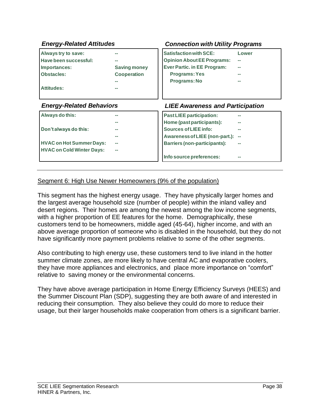| <b>Energy-Related Attitudes</b>  |                     | <b>Connection with Utility Programs</b> |        |
|----------------------------------|---------------------|-----------------------------------------|--------|
| Always try to save:              |                     | <b>Satisfaction with SCE:</b>           | Lower  |
| Have been successful:            |                     | <b>Opinion About EE Programs:</b>       | --     |
| Importances:                     | <b>Saving money</b> | <b>Ever Partic. in EE Program:</b>      |        |
| <b>Obstacles:</b>                | <b>Cooperation</b>  | <b>Programs: Yes</b>                    |        |
|                                  |                     | Programs: No                            |        |
| <b>Attitudes:</b>                |                     |                                         |        |
|                                  |                     |                                         |        |
| <b>Energy-Related Behaviors</b>  |                     | <b>LIEE Awareness and Participation</b> |        |
| Always do this:                  |                     | <b>Past LIEE participation:</b>         |        |
|                                  |                     | Home (past participants):               |        |
| Don't always do this:            |                     | Sources of LIEE info:                   |        |
|                                  |                     | Awareness of LIEE (non-part.):          | $\sim$ |
| <b>HVAC on Hot Summer Days:</b>  |                     | <b>Barriers (non-participants):</b>     |        |
| <b>HVAC on Cold Winter Days:</b> |                     |                                         |        |
|                                  |                     |                                         |        |

#### Segment 6: High Use Newer Homeowners (9% of the population)

This segment has the highest energy usage. They have physically larger homes and the largest average household size (number of people) within the inland valley and desert regions. Their homes are among the newest among the low income segments, with a higher proportion of EE features for the home. Demographically, these customers tend to be homeowners, middle aged (45-64), higher income, and with an above average proportion of someone who is disabled in the household, but they do not have significantly more payment problems relative to some of the other segments.

Also contributing to high energy use, these customers tend to live inland in the hotter summer climate zones, are more likely to have central AC and evaporative coolers, they have more appliances and electronics, and place more importance on "comfort" relative to saving money or the environmental concerns.

They have above average participation in Home Energy Efficiency Surveys (HEES) and the Summer Discount Plan (SDP), suggesting they are both aware of and interested in reducing their consumption. They also believe they could do more to reduce their usage, but their larger households make cooperation from others is a significant barrier.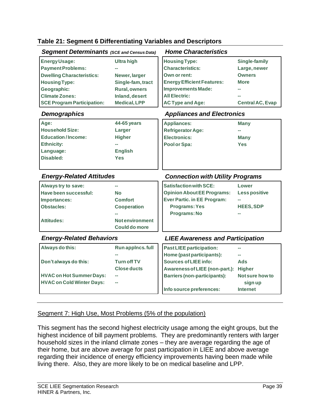#### **Table 21: Segment 6 Differentiating Variables and Descriptors**

| <b>Segment Determinants</b> (SCE and Census Data) |                       | <b>Home Characteristics</b>             |                         |
|---------------------------------------------------|-----------------------|-----------------------------------------|-------------------------|
| <b>Energy Usage:</b>                              | <b>Ultra high</b>     | <b>Housing Type:</b>                    | <b>Single-family</b>    |
| <b>Payment Problems:</b>                          |                       | <b>Characteristics:</b>                 | Large, newer            |
| <b>Dwelling Characteristics:</b>                  | Newer, larger         | Own or rent:                            | <b>Owners</b>           |
| <b>Housing Type:</b>                              | Single-fam, tract     | <b>Energy Efficient Features:</b>       | <b>More</b>             |
| Geographic:                                       | <b>Rural, owners</b>  | <b>Improvements Made:</b>               |                         |
| <b>Climate Zones:</b>                             | Inland, desert        | <b>All Electric:</b>                    |                         |
| <b>SCE Program Participation:</b>                 | <b>Medical, LPP</b>   | <b>AC Type and Age:</b>                 | <b>Central AC, Evap</b> |
| <b>Demographics</b>                               |                       | <b>Appliances and Electronics</b>       |                         |
| Age:                                              | 44-65 years           | <b>Appliances:</b>                      | <b>Many</b>             |
| <b>Household Size:</b>                            | Larger                | <b>Refrigerator Age:</b>                |                         |
| <b>Education/Income:</b>                          | <b>Higher</b>         | <b>Electronics:</b>                     | <b>Many</b>             |
| <b>Ethnicity:</b>                                 |                       | Pool or Spa:                            | <b>Yes</b>              |
| Language:                                         | <b>English</b>        |                                         |                         |
| Disabled:                                         | <b>Yes</b>            |                                         |                         |
|                                                   |                       |                                         |                         |
|                                                   |                       |                                         |                         |
| <b>Energy-Related Attitudes</b>                   |                       | <b>Connection with Utility Programs</b> |                         |
| Always try to save:                               |                       | <b>Satisfaction with SCE:</b>           | Lower                   |
| Have been successful:                             | <b>No</b>             | <b>Opinion About EE Programs:</b>       | <b>Less positive</b>    |
| Importances:                                      | <b>Comfort</b>        | <b>Ever Partic. in EE Program:</b>      |                         |
| <b>Obstacles:</b>                                 | <b>Cooperation</b>    | <b>Programs: Yes</b>                    | <b>HEES, SDP</b>        |
|                                                   |                       | Programs: No                            |                         |
| <b>Attitudes:</b>                                 | <b>Notenvironment</b> |                                         |                         |
|                                                   | <b>Could do more</b>  |                                         |                         |
| <b>Energy-Related Behaviors</b>                   |                       | <b>LIEE Awareness and Participation</b> |                         |
| Always do this:                                   | Run applncs. full     | <b>Past LIEE participation:</b>         |                         |
|                                                   |                       | Home (past participants):               |                         |
| Don't always do this:                             | <b>Turn off TV</b>    | <b>Sources of LIEE info:</b>            | Ads                     |
|                                                   | <b>Close ducts</b>    | Awareness of LIEE (non-part.): Higher   |                         |
| <b>HVAC on Hot Summer Days:</b>                   |                       | <b>Barriers (non-participants):</b>     | Not sure how to         |
| <b>HVAC on Cold Winter Days:</b>                  |                       | Info source preferences:                | sign up                 |

#### Segment 7: High Use, Most Problems (5% of the population)

This segment has the second highest electricity usage among the eight groups, but the highest incidence of bill payment problems. They are predominantly renters with larger household sizes in the inland climate zones – they are average regarding the age of their home, but are above average for past participation in LIEE and above average regarding their incidence of energy efficiency improvements having been made while living there. Also, they are more likely to be on medical baseline and LPP.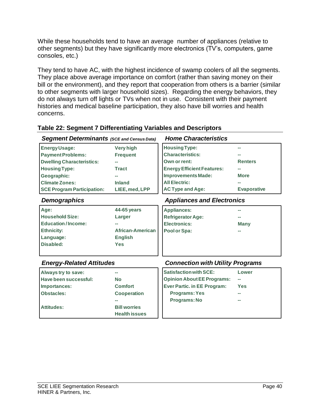While these households tend to have an average number of appliances (relative to other segments) but they have significantly more electronics (TV's, computers, game consoles, etc.)

They tend to have AC, with the highest incidence of swamp coolers of all the segments. They place above average importance on comfort (rather than saving money on their bill or the environment), and they report that cooperation from others is a barrier (similar to other segments with larger household sizes). Regarding the energy behaviors, they do not always turn off lights or TVs when not in use. Consistent with their payment histories and medical baseline participation, they also have bill worries and health concerns.

| <b>Segment Determinants (SCE and Census Data)</b> |                                             | <b>Home Characteristics</b>             |                    |
|---------------------------------------------------|---------------------------------------------|-----------------------------------------|--------------------|
| <b>Energy Usage:</b>                              | <b>Very high</b>                            | <b>Housing Type:</b>                    |                    |
| <b>Payment Problems:</b>                          | <b>Frequent</b>                             | <b>Characteristics:</b>                 |                    |
| <b>Dwelling Characteristics:</b>                  |                                             | Own or rent:                            | <b>Renters</b>     |
| <b>Housing Type:</b>                              | <b>Tract</b>                                | <b>Energy Efficient Features:</b>       |                    |
| Geographic:                                       |                                             | <b>Improvements Made:</b>               | <b>More</b>        |
| <b>Climate Zones:</b>                             | <b>Inland</b>                               | <b>All Electric:</b>                    |                    |
| <b>SCE Program Participation:</b>                 | LIEE, med, LPP                              | <b>AC Type and Age:</b>                 | <b>Evaporative</b> |
| <b>Demographics</b>                               |                                             | <b>Appliances and Electronics</b>       |                    |
| Age:                                              | 44-65 years                                 | <b>Appliances:</b>                      |                    |
| <b>Household Size:</b>                            | Larger                                      | <b>Refrigerator Age:</b>                |                    |
| <b>Education/Income:</b>                          |                                             | <b>Electronics:</b>                     | <b>Many</b>        |
| <b>Ethnicity:</b>                                 | African-American                            | Pool or Spa:                            |                    |
| Language:                                         | <b>English</b>                              |                                         |                    |
| Disabled:                                         | <b>Yes</b>                                  |                                         |                    |
| <b>Energy-Related Attitudes</b>                   |                                             | <b>Connection with Utility Programs</b> |                    |
| Always try to save:                               |                                             | <b>Satisfaction with SCE:</b>           | Lower              |
| Have been successful:                             | <b>No</b>                                   | <b>Opinion About EE Programs:</b>       |                    |
| Importances:                                      | <b>Comfort</b>                              | <b>Ever Partic. in EE Program:</b>      | <b>Yes</b>         |
| <b>Obstacles:</b>                                 | <b>Cooperation</b>                          | <b>Programs: Yes</b>                    |                    |
|                                                   |                                             | Programs: No                            |                    |
| <b>Attitudes:</b>                                 | <b>Bill worries</b><br><b>Health issues</b> |                                         |                    |

#### **Table 22: Segment 7 Differentiating Variables and Descriptors**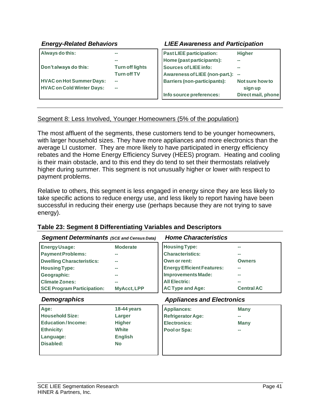#### **Always do this: -- -- Don't always do this: Turn off lights Turn off TV HVAC on Hot Summer Days: HVAC on Cold Winter Days:** *Energy-Related Behaviors LIEE Awareness and Participation* **Past LIEE participation: Higher Home (past participants):**  $Sources$  of LIEE info: **Awareness of LIEE (non-part.): -- Barriers (non-participants): Not sure how to sign up Info source preferences: Direct mail, phone**

#### Segment 8: Less Involved, Younger Homeowners (5% of the population)

The most affluent of the segments, these customers tend to be younger homeowners, with larger household sizes. They have more appliances and more electronics than the average LI customer. They are more likely to have participated in energy efficiency rebates and the Home Energy Efficiency Survey (HEES) program. Heating and cooling is their main obstacle, and to this end they do tend to set their thermostats relatively higher during summer. This segment is not unusually higher or lower with respect to payment problems.

Relative to others, this segment is less engaged in energy since they are less likely to take specific actions to reduce energy use, and less likely to report having have been successful in reducing their energy use (perhaps because they are not trying to save energy).

| <b>Segment Determinants (SCE and Census Data)</b> |                    | <b>Home Characteristics</b>       |                   |
|---------------------------------------------------|--------------------|-----------------------------------|-------------------|
| <b>Energy Usage:</b>                              | <b>Moderate</b>    | <b>Housing Type:</b>              |                   |
| <b>Payment Problems:</b>                          |                    | <b>Characteristics:</b>           |                   |
| <b>Dwelling Characteristics:</b>                  |                    | Own or rent:                      | <b>Owners</b>     |
| <b>Housing Type:</b>                              |                    | <b>Energy Efficient Features:</b> |                   |
| Geographic:                                       |                    | <b>Improvements Made:</b>         |                   |
| <b>Climate Zones:</b>                             |                    | <b>All Electric:</b>              |                   |
| <b>SCE Program Participation:</b>                 | <b>MyAcct, LPP</b> | <b>AC Type and Age:</b>           | <b>Central AC</b> |
|                                                   |                    |                                   |                   |
| <b>Demographics</b>                               |                    | <b>Appliances and Electronics</b> |                   |
| Age:                                              | 18-44 years        | <b>Appliances:</b>                | <b>Many</b>       |
| <b>Household Size:</b>                            | Larger             | <b>Refrigerator Age:</b>          |                   |
| <b>Education/Income:</b>                          | <b>Higher</b>      | <b>Electronics:</b>               | Many              |
| <b>Ethnicity:</b>                                 | <b>White</b>       | Pool or Spa:                      |                   |
| Language:                                         | <b>English</b>     |                                   |                   |
| Disabled:                                         | <b>No</b>          |                                   |                   |

#### **Table 23: Segment 8 Differentiating Variables and Descriptors**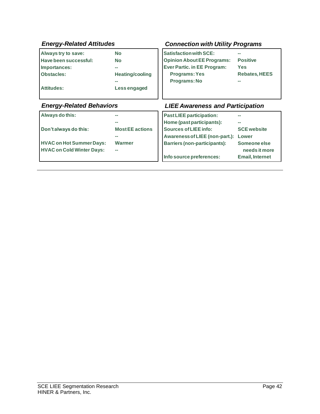| <b>Energy-Related Attitudes</b>  |                        | <b>Connection with Utility Programs</b> |                        |
|----------------------------------|------------------------|-----------------------------------------|------------------------|
| Always try to save:              | <b>No</b>              | <b>Satisfaction with SCE:</b>           |                        |
| Have been successful:            | <b>No</b>              | <b>Opinion About EE Programs:</b>       | <b>Positive</b>        |
| Importances:                     | --                     | <b>Ever Partic. in EE Program:</b>      | <b>Yes</b>             |
| <b>Obstacles:</b>                | <b>Heating/cooling</b> | <b>Programs: Yes</b>                    | <b>Rebates, HEES</b>   |
|                                  |                        | Programs: No                            |                        |
| <b>Attitudes:</b>                | Less engaged           |                                         |                        |
|                                  |                        |                                         |                        |
| <b>Energy-Related Behaviors</b>  |                        | <b>LIEE Awareness and Participation</b> |                        |
| Always do this:                  |                        | <b>Past LIEE participation:</b>         |                        |
|                                  |                        | Home (past participants):               |                        |
| Don't always do this:            | <b>Most EE actions</b> | Sources of LIEE info:                   | <b>SCE website</b>     |
|                                  |                        | Awareness of LIEE (non-part.): Lower    |                        |
| <b>HVAC on Hot Summer Days:</b>  | <b>Warmer</b>          | <b>Barriers (non-participants):</b>     | Someone else           |
| <b>HVAC on Cold Winter Days:</b> |                        |                                         | needs it more          |
|                                  |                        | Info source preferences:                | <b>Email, Internet</b> |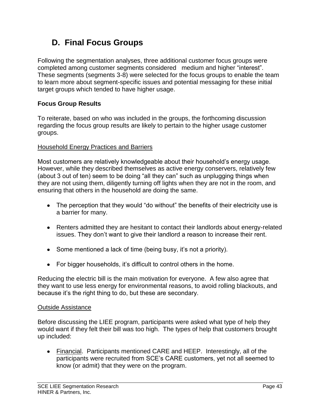## **D. Final Focus Groups**

Following the segmentation analyses, three additional customer focus groups were completed among customer segments considered medium and higher "interest". These segments (segments 3-8) were selected for the focus groups to enable the team to learn more about segment-specific issues and potential messaging for these initial target groups which tended to have higher usage.

#### **Focus Group Results**

To reiterate, based on who was included in the groups, the forthcoming discussion regarding the focus group results are likely to pertain to the higher usage customer groups.

#### Household Energy Practices and Barriers

Most customers are relatively knowledgeable about their household's energy usage. However, while they described themselves as active energy conservers, relatively few (about 3 out of ten) seem to be doing "all they can" such as unplugging things when they are not using them, diligently turning off lights when they are not in the room, and ensuring that others in the household are doing the same.

- The perception that they would "do without" the benefits of their electricity use is a barrier for many.
- Renters admitted they are hesitant to contact their landlords about energy-related issues. They don't want to give their landlord a reason to increase their rent.
- Some mentioned a lack of time (being busy, it's not a priority).
- For bigger households, it's difficult to control others in the home.

Reducing the electric bill is the main motivation for everyone. A few also agree that they want to use less energy for environmental reasons, to avoid rolling blackouts, and because it's the right thing to do, but these are secondary.

#### Outside Assistance

Before discussing the LIEE program, participants were asked what type of help they would want if they felt their bill was too high. The types of help that customers brought up included:

Financial. Participants mentioned CARE and HEEP. Interestingly, all of the participants were recruited from SCE's CARE customers, yet not all seemed to know (or admit) that they were on the program.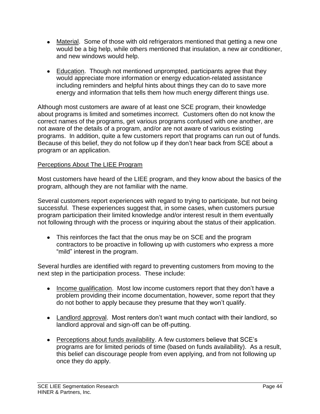- Material. Some of those with old refrigerators mentioned that getting a new one would be a big help, while others mentioned that insulation, a new air conditioner, and new windows would help.
- Education. Though not mentioned unprompted, participants agree that they would appreciate more information or energy education-related assistance including reminders and helpful hints about things they can do to save more energy and information that tells them how much energy different things use.

Although most customers are aware of at least one SCE program, their knowledge about programs is limited and sometimes incorrect. Customers often do not know the correct names of the programs, get various programs confused with one another, are not aware of the details of a program, and/or are not aware of various existing programs. In addition, quite a few customers report that programs can run out of funds. Because of this belief, they do not follow up if they don't hear back from SCE about a program or an application.

#### Perceptions About The LIEE Program

Most customers have heard of the LIEE program, and they know about the basics of the program, although they are not familiar with the name.

Several customers report experiences with regard to trying to participate, but not being successful. These experiences suggest that, in some cases, when customers pursue program participation their limited knowledge and/or interest result in them eventually not following through with the process or inquiring about the status of their application.

This reinforces the fact that the onus may be on SCE and the program contractors to be proactive in following up with customers who express a more "mild" interest in the program.

Several hurdles are identified with regard to preventing customers from moving to the next step in the participation process. These include:

- Income qualification. Most low income customers report that they don't have a problem providing their income documentation, however, some report that they do not bother to apply because they presume that they won't qualify.
- Landlord approval. Most renters don't want much contact with their landlord, so landlord approval and sign-off can be off-putting.
- Perceptions about funds availability. A few customers believe that SCE's programs are for limited periods of time (based on funds availability). As a result, this belief can discourage people from even applying, and from not following up once they do apply.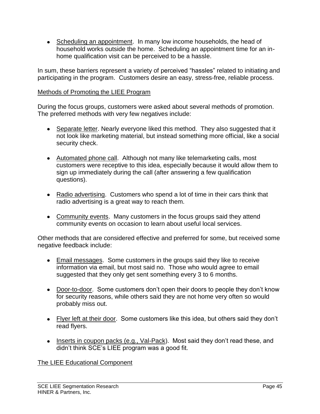• Scheduling an appointment. In many low income households, the head of household works outside the home. Scheduling an appointment time for an inhome qualification visit can be perceived to be a hassle.

In sum, these barriers represent a variety of perceived "hassles" related to initiating and participating in the program. Customers desire an easy, stress-free, reliable process.

#### Methods of Promoting the LIEE Program

During the focus groups, customers were asked about several methods of promotion. The preferred methods with very few negatives include:

- Separate letter. Nearly everyone liked this method. They also suggested that it not look like marketing material, but instead something more official, like a social security check.
- Automated phone call. Although not many like telemarketing calls, most customers were receptive to this idea, especially because it would allow them to sign up immediately during the call (after answering a few qualification questions).
- Radio advertising. Customers who spend a lot of time in their cars think that radio advertising is a great way to reach them.
- Community events. Many customers in the focus groups said they attend community events on occasion to learn about useful local services.

Other methods that are considered effective and preferred for some, but received some negative feedback include:

- Email messages. Some customers in the groups said they like to receive information via email, but most said no. Those who would agree to email suggested that they only get sent something every 3 to 6 months.
- Door-to-door. Some customers don't open their doors to people they don't know for security reasons, while others said they are not home very often so would probably miss out.
- Flyer left at their door. Some customers like this idea, but others said they don't read flyers.
- Inserts in coupon packs (e.g., Val-Pack). Most said they don't read these, and didn't think SCE's LIEE program was a good fit.

#### The LIEE Educational Component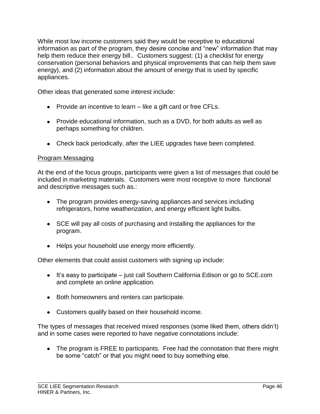While most low income customers said they would be receptive to educational information as part of the program, they desire concise and "new" information that may help them reduce their energy bill.. Customers suggest: (1) a checklist for energy conservation (personal behaviors and physical improvements that can help them save energy), and (2) information about the amount of energy that is used by specific appliances.

Other ideas that generated some interest include:

- Provide an incentive to learn like a gift card or free CFLs.
- Provide educational information, such as a DVD, for both adults as well as perhaps something for children.
- Check back periodically, after the LIEE upgrades have been completed.

#### Program Messaging

At the end of the focus groups, participants were given a list of messages that could be included in marketing materials. Customers were most receptive to more functional and descriptive messages such as.:

- The program provides energy-saving appliances and services including refrigerators, home weatherization, and energy efficient light bulbs.
- SCE will pay all costs of purchasing and installing the appliances for the program.
- Helps your household use energy more efficiently.

Other elements that could assist customers with signing up include:

- $\bullet$  It's easy to participate just call Southern California Edison or go to SCE.com and complete an online application.
- Both homeowners and renters can participate.
- Customers qualify based on their household income.

The types of messages that received mixed responses (some liked them, others didn't) and in some cases were reported to have negative connotations include:

• The program is FREE to participants. Free had the connotation that there might be some "catch" or that you might need to buy something else.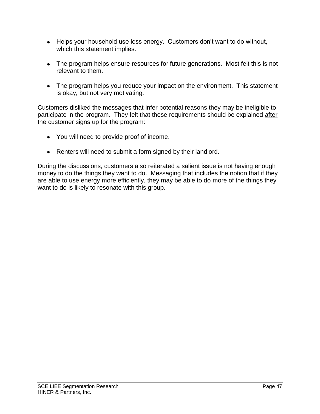- Helps your household use less energy. Customers don't want to do without, which this statement implies.
- The program helps ensure resources for future generations. Most felt this is not relevant to them.
- The program helps you reduce your impact on the environment. This statement is okay, but not very motivating.

Customers disliked the messages that infer potential reasons they may be ineligible to participate in the program. They felt that these requirements should be explained after the customer signs up for the program:

- You will need to provide proof of income.
- Renters will need to submit a form signed by their landlord.

During the discussions, customers also reiterated a salient issue is not having enough money to do the things they want to do. Messaging that includes the notion that if they are able to use energy more efficiently, they may be able to do more of the things they want to do is likely to resonate with this group.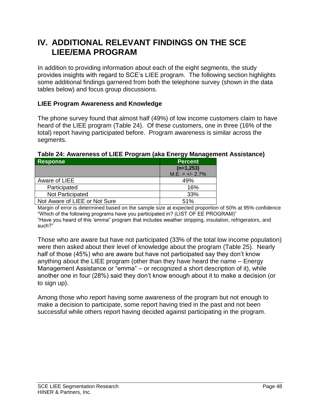## **IV. ADDITIONAL RELEVANT FINDINGS ON THE SCE LIEE/EMA PROGRAM**

In addition to providing information about each of the eight segments, the study provides insights with regard to SCE's LIEE program. The following section highlights some additional findings garnered from both the telephone survey (shown in the data tables below) and focus group discussions.

#### **LIEE Program Awareness and Knowledge**

The phone survey found that almost half (49%) of low income customers claim to have heard of the LIEE program (Table 24). Of these customers, one in three (16% of the total) report having participated before. Program awareness is similar across the segments.

#### **Response Percent (n=1,253)**  $M.E. = +/- 2.7\%$ Aware of LIEE 2004 1996 Participated 16% Not Participated 23% Not Aware of LIEE or Not Sure **Fig. 1.** 51%

#### **Table 24: Awareness of LIEE Program (aka Energy Management Assistance)**

Margin of error is determined based on the sample size at expected proportion of 50% at 95% confidence "Which of the following programs have you participated in? (LIST OF EE PROGRAM)" "Have you heard of this 'emma" program that includes weather stripping, insulation, refrigerators, and such?"

Those who are aware but have not participated (33% of the total low income population) were then asked about their level of knowledge about the program (Table 25). Nearly half of those (45%) who are aware but have not participated say they don't know anything about the LIEE program (other than they have heard the name – Energy Management Assistance or "emma" – or recognized a short description of it), while another one in four (28%) said they don't know enough about it to make a decision (or to sign up).

Among those who report having some awareness of the program but not enough to make a decision to participate, some report having tried in the past and not been successful while others report having decided against participating in the program.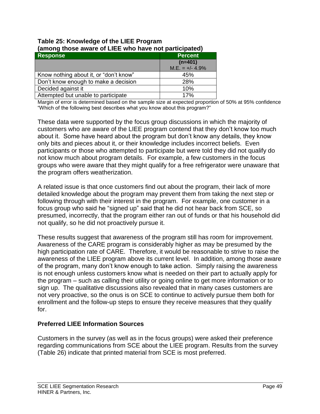| (among mose aware or Liee who have not participated) |                   |  |
|------------------------------------------------------|-------------------|--|
| <b>Response</b><br><b>Percent</b>                    |                   |  |
|                                                      | $(n=401)$         |  |
|                                                      | $M.E. = +/- 4.9%$ |  |
| Know nothing about it, or "don't know"               | 45%               |  |
| Don't know enough to make a decision                 | 28%               |  |
| Decided against it                                   | 10%               |  |
| Attempted but unable to participate                  | 17%               |  |

#### **Table 25: Knowledge of the LIEE Program (among those aware of LIEE who have not participated)**

Margin of error is determined based on the sample size at expected proportion of 50% at 95% confidence "Which of the following best describes what you know about this program?"

These data were supported by the focus group discussions in which the majority of customers who are aware of the LIEE program contend that they don't know too much about it. Some have heard about the program but don't know any details, they know only bits and pieces about it, or their knowledge includes incorrect beliefs. Even participants or those who attempted to participate but were told they did not qualify do not know much about program details. For example, a few customers in the focus groups who were aware that they might qualify for a free refrigerator were unaware that the program offers weatherization.

A related issue is that once customers find out about the program, their lack of more detailed knowledge about the program may prevent them from taking the next step or following through with their interest in the program. For example, one customer in a focus group who said he "signed up" said that he did not hear back from SCE, so presumed, incorrectly, that the program either ran out of funds or that his household did not qualify, so he did not proactively pursue it.

These results suggest that awareness of the program still has room for improvement. Awareness of the CARE program is considerably higher as may be presumed by the high participation rate of CARE. Therefore, it would be reasonable to strive to raise the awareness of the LIEE program above its current level. In addition, among those aware of the program, many don't know enough to take action. Simply raising the awareness is not enough unless customers know what is needed on their part to actually apply for the program – such as calling their utility or going online to get more information or to sign up. The qualitative discussions also revealed that in many cases customers are not very proactive, so the onus is on SCE to continue to actively pursue them both for enrollment and the follow-up steps to ensure they receive measures that they qualify for.

#### **Preferred LIEE Information Sources**

Customers in the survey (as well as in the focus groups) were asked their preference regarding communications from SCE about the LIEE program. Results from the survey (Table 26) indicate that printed material from SCE is most preferred.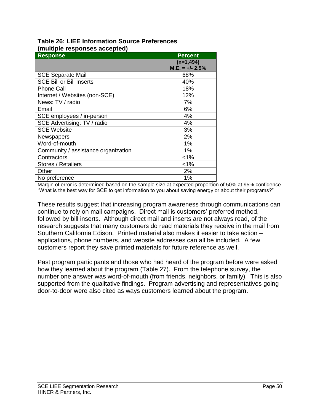| ap.o . oopoooo aooop.oo/<br><b>Response</b> | <b>Percent</b>    |
|---------------------------------------------|-------------------|
|                                             | $(n=1, 494)$      |
|                                             | $M.E. = +/- 2.5%$ |
| <b>SCE Separate Mail</b>                    | 68%               |
| <b>SCE Bill or Bill Inserts</b>             | 40%               |
| <b>Phone Call</b>                           | 18%               |
| Internet / Websites (non-SCE)               | 12%               |
| News: TV / radio                            | 7%                |
| Email                                       | 6%                |
| SCE employees / in-person                   | 4%                |
| SCE Advertising: TV / radio                 | 4%                |
| <b>SCE Website</b>                          | 3%                |
| Newspapers                                  | 2%                |
| Word-of-mouth                               | 1%                |
| Community / assistance organization         | 1%                |
| Contractors                                 | $< 1\%$           |
| Stores / Retailers                          | $< 1\%$           |
| Other                                       | 2%                |
| No preference                               | 1%                |

#### **Table 26: LIEE Information Source Preferences (multiple responses accepted)**

Margin of error is determined based on the sample size at expected proportion of 50% at 95% confidence "What is the best way for SCE to get information to you about saving energy or about their programs?"

These results suggest that increasing program awareness through communications can continue to rely on mail campaigns. Direct mail is customers' preferred method, followed by bill inserts. Although direct mail and inserts are not always read, of the research suggests that many customers do read materials they receive in the mail from Southern California Edison. Printed material also makes it easier to take action – applications, phone numbers, and website addresses can all be included. A few customers report they save printed materials for future reference as well.

Past program participants and those who had heard of the program before were asked how they learned about the program (Table 27). From the telephone survey, the number one answer was word-of-mouth (from friends, neighbors, or family). This is also supported from the qualitative findings. Program advertising and representatives going door-to-door were also cited as ways customers learned about the program.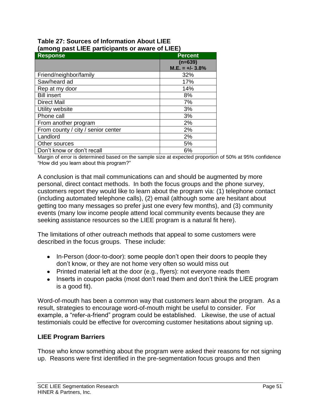#### **Table 27: Sources of Information About LIEE (among past LIEE participants or aware of LIEE)**

| - -                                |                   |
|------------------------------------|-------------------|
| Response                           | <b>Percent</b>    |
|                                    | $(n=639)$         |
|                                    | $M.E. = +/- 3.8%$ |
| Friend/neighbor/family             | 32%               |
| Saw/heard ad                       | 17%               |
| Rep at my door                     | 14%               |
| <b>Bill insert</b>                 | 8%                |
| <b>Direct Mail</b>                 | 7%                |
| Utility website                    | 3%                |
| Phone call                         | 3%                |
| From another program               | 2%                |
| From county / city / senior center | 2%                |
| Landlord                           | 2%                |
| Other sources                      | 5%                |
| Don't know or don't recall         | 6%                |

Margin of error is determined based on the sample size at expected proportion of 50% at 95% confidence "How did you learn about this program?"

A conclusion is that mail communications can and should be augmented by more personal, direct contact methods. In both the focus groups and the phone survey, customers report they would like to learn about the program via: (1) telephone contact (including automated telephone calls), (2) email (although some are hesitant about getting too many messages so prefer just one every few months), and (3) community events (many low income people attend local community events because they are seeking assistance resources so the LIEE program is a natural fit here).

The limitations of other outreach methods that appeal to some customers were described in the focus groups. These include:

- In-Person (door-to-door): some people don't open their doors to people they don't know, or they are not home very often so would miss out
- Printed material left at the door (e.g., flyers): not everyone reads them
- Inserts in coupon packs (most don't read them and don't think the LIEE program is a good fit).

Word-of-mouth has been a common way that customers learn about the program. As a result, strategies to encourage word-of-mouth might be useful to consider. For example, a "refer-a-friend" program could be established. Likewise, the use of actual testimonials could be effective for overcoming customer hesitations about signing up.

#### **LIEE Program Barriers**

Those who know something about the program were asked their reasons for not signing up. Reasons were first identified in the pre-segmentation focus groups and then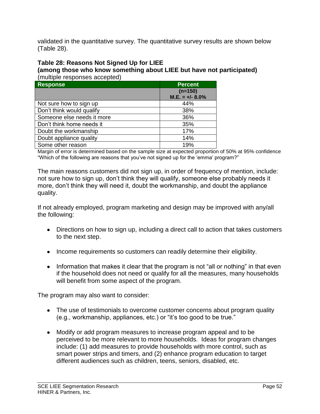validated in the quantitative survey. The quantitative survey results are shown below (Table 28).

## **Table 28: Reasons Not Signed Up for LIEE**

**(among those who know something about LIEE but have not participated)**  (multiple responses accepted)

| <b>Response</b>            | <b>Percent</b>                 |
|----------------------------|--------------------------------|
|                            | $(n=150)$<br>$M.E. = +/- 8.0%$ |
| Not sure how to sign up    | 44%                            |
| Don't think would qualify  | 38%                            |
| Someone else needs it more | 36%                            |
| Don't think home needs it  | 35%                            |
| Doubt the workmanship      | 17%                            |
| Doubt appliance quality    | 14%                            |
| Some other reason          | 19%                            |

Margin of error is determined based on the sample size at expected proportion of 50% at 95% confidence "Which of the following are reasons that you've not signed up for the 'emma' program?"

The main reasons customers did not sign up, in order of frequency of mention, include: not sure how to sign up, don't think they will qualify, someone else probably needs it more, don't think they will need it, doubt the workmanship, and doubt the appliance quality.

If not already employed, program marketing and design may be improved with any/all the following:

- Directions on how to sign up, including a direct call to action that takes customers to the next step.
- Income requirements so customers can readily determine their eligibility.
- Information that makes it clear that the program is not "all or nothing" in that even if the household does not need or qualify for all the measures, many households will benefit from some aspect of the program.

The program may also want to consider:

- The use of testimonials to overcome customer concerns about program quality (e.g., workmanship, appliances, etc.) or "it's too good to be true."
- Modify or add program measures to increase program appeal and to be perceived to be more relevant to more households. Ideas for program changes include: (1) add measures to provide households with more control, such as smart power strips and timers, and (2) enhance program education to target different audiences such as children, teens, seniors, disabled, etc.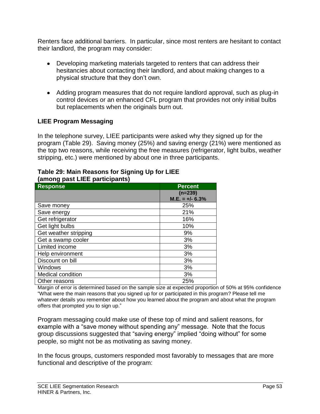Renters face additional barriers. In particular, since most renters are hesitant to contact their landlord, the program may consider:

- Developing marketing materials targeted to renters that can address their hesitancies about contacting their landlord, and about making changes to a physical structure that they don't own.
- Adding program measures that do not require landlord approval, such as plug-in control devices or an enhanced CFL program that provides not only initial bulbs but replacements when the originals burn out.

#### **LIEE Program Messaging**

In the telephone survey, LIEE participants were asked why they signed up for the program (Table 29). Saving money (25%) and saving energy (21%) were mentioned as the top two reasons, while receiving the free measures (refrigerator, light bulbs, weather stripping, etc.) were mentioned by about one in three participants.

| Response              | <b>Percent</b>    |
|-----------------------|-------------------|
|                       | $(n=239)$         |
|                       | $M.E. = +/- 6.3%$ |
| Save money            | 25%               |
| Save energy           | 21%               |
| Get refrigerator      | 16%               |
| Get light bulbs       | 10%               |
| Get weather stripping | 9%                |
| Get a swamp cooler    | 3%                |
| Limited income        | 3%                |
| Help environment      | 3%                |
| Discount on bill      | 3%                |
| <b>Windows</b>        | 3%                |
| Medical condition     | 3%                |
| Other reasons         | 25%               |

#### **Table 29: Main Reasons for Signing Up for LIEE (among past LIEE participants)**

Margin of error is determined based on the sample size at expected proportion of 50% at 95% confidence "What were the main reasons that you signed up for or participated in this program? Please tell me whatever details you remember about how you learned about the program and about what the program offers that prompted you to sign up."

Program messaging could make use of these top of mind and salient reasons, for example with a "save money without spending any" message. Note that the focus group discussions suggested that "saving energy" implied "doing without" for some people, so might not be as motivating as saving money.

In the focus groups, customers responded most favorably to messages that are more functional and descriptive of the program: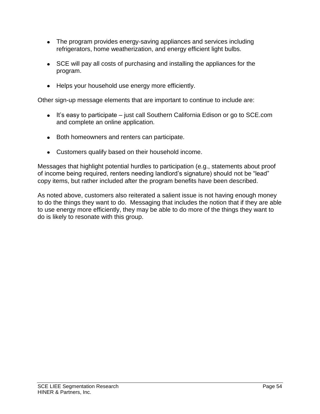- The program provides energy-saving appliances and services including refrigerators, home weatherization, and energy efficient light bulbs.
- SCE will pay all costs of purchasing and installing the appliances for the program.
- Helps your household use energy more efficiently.

Other sign-up message elements that are important to continue to include are:

- $\bullet$  It's easy to participate just call Southern California Edison or go to SCE.com and complete an online application.
- Both homeowners and renters can participate.
- Customers qualify based on their household income.

Messages that highlight potential hurdles to participation (e.g., statements about proof of income being required, renters needing landlord's signature) should not be "lead" copy items, but rather included after the program benefits have been described.

As noted above, customers also reiterated a salient issue is not having enough money to do the things they want to do. Messaging that includes the notion that if they are able to use energy more efficiently, they may be able to do more of the things they want to do is likely to resonate with this group.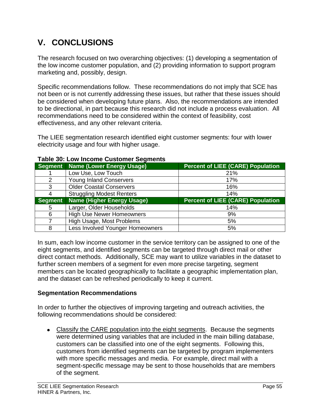# **V. CONCLUSIONS**

The research focused on two overarching objectives: (1) developing a segmentation of the low income customer population, and (2) providing information to support program marketing and, possibly, design.

Specific recommendations follow. These recommendations do not imply that SCE has not been or is not currently addressing these issues, but rather that these issues should be considered when developing future plans. Also, the recommendations are intended to be directional, in part because this research did not include a process evaluation. All recommendations need to be considered within the context of feasibility, cost effectiveness, and any other relevant criteria.

The LIEE segmentation research identified eight customer segments: four with lower electricity usage and four with higher usage.

|         | Segment Name (Lower Energy Usage) | <b>Percent of LIEE (CARE) Population</b> |  |  |  |  |  |  |  |
|---------|-----------------------------------|------------------------------------------|--|--|--|--|--|--|--|
|         | Low Use, Low Touch                | 21%                                      |  |  |  |  |  |  |  |
| 2       | Young Inland Conservers           | 17%                                      |  |  |  |  |  |  |  |
| 3       | <b>Older Coastal Conservers</b>   | 16%                                      |  |  |  |  |  |  |  |
|         | <b>Struggling Modest Renters</b>  | 14%                                      |  |  |  |  |  |  |  |
| Segment | <b>Name (Higher Energy Usage)</b> | <b>Percent of LIEE (CARE) Population</b> |  |  |  |  |  |  |  |
| 5       | Larger, Older Households          | 14%                                      |  |  |  |  |  |  |  |
| 6       | <b>High Use Newer Homeowners</b>  | 9%                                       |  |  |  |  |  |  |  |
|         | High Usage, Most Problems         | 5%                                       |  |  |  |  |  |  |  |
| 8       | Less Involved Younger Homeowners  | 5%                                       |  |  |  |  |  |  |  |

#### **Table 30: Low Income Customer Segments**

In sum, each low income customer in the service territory can be assigned to one of the eight segments, and identified segments can be targeted through direct mail or other direct contact methods. Additionally, SCE may want to utilize variables in the dataset to further screen members of a segment for even more precise targeting, segment members can be located geographically to facilitate a geographic implementation plan, and the dataset can be refreshed periodically to keep it current.

#### **Segmentation Recommendations**

In order to further the objectives of improving targeting and outreach activities, the following recommendations should be considered:

Classify the CARE population into the eight segments. Because the segments were determined using variables that are included in the main billing database, customers can be classified into one of the eight segments. Following this, customers from identified segments can be targeted by program implementers with more specific messages and media. For example, direct mail with a segment-specific message may be sent to those households that are members of the segment.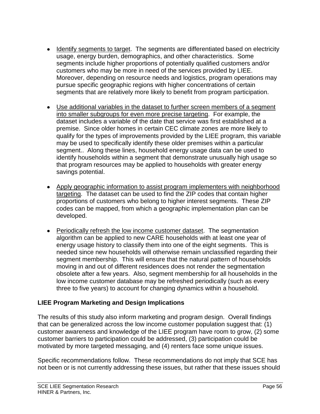- Identify segments to target. The segments are differentiated based on electricity usage, energy burden, demographics, and other characteristics. Some segments include higher proportions of potentially qualified customers and/or customers who may be more in need of the services provided by LIEE. Moreover, depending on resource needs and logistics, program operations may pursue specific geographic regions with higher concentrations of certain segments that are relatively more likely to benefit from program participation.
- Use additional variables in the dataset to further screen members of a segment into smaller subgroups for even more precise targeting. For example, the dataset includes a variable of the date that service was first established at a premise. Since older homes in certain CEC climate zones are more likely to qualify for the types of improvements provided by the LIEE program, this variable may be used to specifically identify these older premises within a particular segment.. Along these lines, household energy usage data can be used to identify households within a segment that demonstrate unusually high usage so that program resources may be applied to households with greater energy savings potential.
- Apply geographic information to assist program implementers with neighborhood targeting. The dataset can be used to find the ZIP codes that contain higher proportions of customers who belong to higher interest segments. These ZIP codes can be mapped, from which a geographic implementation plan can be developed.
- Periodically refresh the low income customer dataset. The segmentation algorithm can be applied to new CARE households with at least one year of energy usage history to classify them into one of the eight segments. This is needed since new households will otherwise remain unclassified regarding their segment membership. This will ensure that the natural pattern of households moving in and out of different residences does not render the segmentation obsolete after a few years. Also, segment membership for all households in the low income customer database may be refreshed periodically (such as every three to five years) to account for changing dynamics within a household.

#### **LIEE Program Marketing and Design Implications**

The results of this study also inform marketing and program design. Overall findings that can be generalized across the low income customer population suggest that: (1) customer awareness and knowledge of the LIEE program have room to grow, (2) some customer barriers to participation could be addressed, (3) participation could be motivated by more targeted messaging, and (4) renters face some unique issues.

Specific recommendations follow. These recommendations do not imply that SCE has not been or is not currently addressing these issues, but rather that these issues should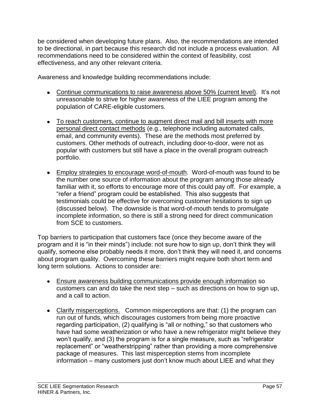be considered when developing future plans. Also, the recommendations are intended to be directional, in part because this research did not include a process evaluation. All recommendations need to be considered within the context of feasibility, cost effectiveness, and any other relevant criteria.

Awareness and knowledge building recommendations include:

- Continue communications to raise awareness above 50% (current level). It's not unreasonable to strive for higher awareness of the LIEE program among the population of CARE-eligible customers.
- To reach customers, continue to augment direct mail and bill inserts with more personal direct contact methods (e.g., telephone including automated calls, email, and community events). These are the methods most preferred by customers. Other methods of outreach, including door-to-door, were not as popular with customers but still have a place in the overall program outreach portfolio.
- Employ strategies to encourage word-of-mouth. Word-of-mouth was found to be the number one source of information about the program among those already familiar with it, so efforts to encourage more of this could pay off. For example, a "refer a friend" program could be established. This also suggests that testimonials could be effective for overcoming customer hesitations to sign up (discussed below). The downside is that word-of-mouth tends to promulgate incomplete information, so there is still a strong need for direct communication from SCE to customers.

Top barriers to participation that customers face (once they become aware of the program and it is "in their minds") include: not sure how to sign up, don't think they will qualify, someone else probably needs it more, don't think they will need it, and concerns about program quality. Overcoming these barriers might require both short term and long term solutions. Actions to consider are:

- Ensure awareness building communications provide enough information so customers can and do take the next step – such as directions on how to sign up, and a call to action.
- Clarify misperceptions. Common misperceptions are that: (1) the program can run out of funds, which discourages customers from being more proactive regarding participation, (2) qualifying is "all or nothing," so that customers who have had some weatherization or who have a new refrigerator might believe they won't qualify, and (3) the program is for a single measure, such as "refrigerator replacement" or "weatherstripping" rather than providing a more comprehensive package of measures. This last misperception stems from incomplete information – many customers just don't know much about LIEE and what they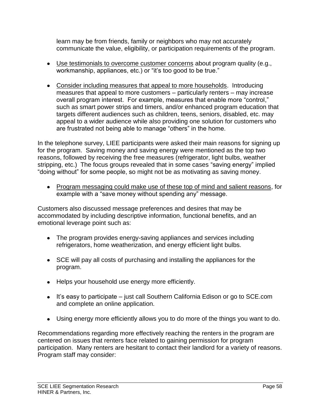learn may be from friends, family or neighbors who may not accurately communicate the value, eligibility, or participation requirements of the program.

- Use testimonials to overcome customer concerns about program quality (e.g., workmanship, appliances, etc.) or "it's too good to be true."
- Consider including measures that appeal to more households. Introducing measures that appeal to more customers – particularly renters – may increase overall program interest. For example, measures that enable more "control," such as smart power strips and timers, and/or enhanced program education that targets different audiences such as children, teens, seniors, disabled, etc. may appeal to a wider audience while also providing one solution for customers who are frustrated not being able to manage "others" in the home.

In the telephone survey, LIEE participants were asked their main reasons for signing up for the program. Saving money and saving energy were mentioned as the top two reasons, followed by receiving the free measures (refrigerator, light bulbs, weather stripping, etc.) The focus groups revealed that in some cases "saving energy" implied "doing without" for some people, so might not be as motivating as saving money.

Program messaging could make use of these top of mind and salient reasons, for example with a "save money without spending any" message.

Customers also discussed message preferences and desires that may be accommodated by including descriptive information, functional benefits, and an emotional leverage point such as:

- The program provides energy-saving appliances and services including refrigerators, home weatherization, and energy efficient light bulbs.
- SCE will pay all costs of purchasing and installing the appliances for the program.
- Helps your household use energy more efficiently.
- It's easy to participate just call Southern California Edison or go to SCE.com and complete an online application.
- Using energy more efficiently allows you to do more of the things you want to do.

Recommendations regarding more effectively reaching the renters in the program are centered on issues that renters face related to gaining permission for program participation. Many renters are hesitant to contact their landlord for a variety of reasons. Program staff may consider: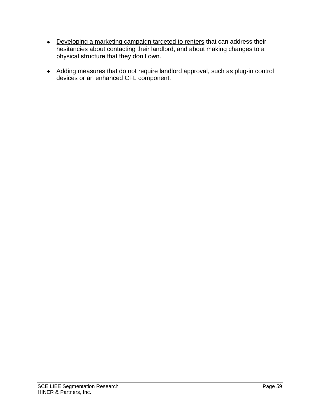- Developing a marketing campaign targeted to renters that can address their hesitancies about contacting their landlord, and about making changes to a physical structure that they don't own.
- Adding measures that do not require landlord approval, such as plug-in control devices or an enhanced CFL component.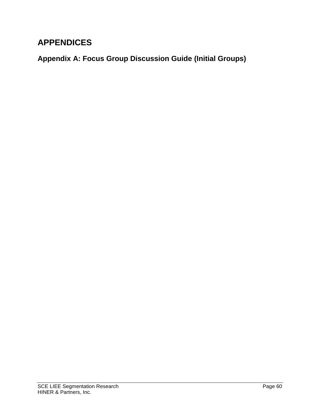## **APPENDICES**

**Appendix A: Focus Group Discussion Guide (Initial Groups)**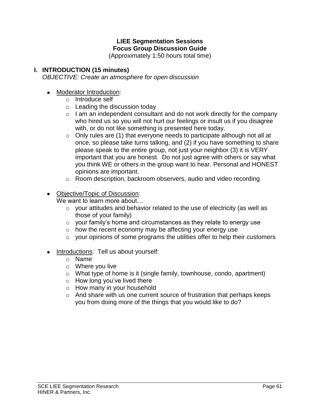### **LIEE Segmentation Sessions Focus Group Discussion Guide**

(Approximately 1:50 hours total time)

#### **I. INTRODUCTION (15 minutes)**

*OBJECTIVE: Create an atmosphere for open discussion*

- Moderator Introduction:
	- o Introduce self
	- o Leading the discussion today
	- $\circ$  I am an independent consultant and do not work directly for the company who hired us so you will not hurt our feelings or insult us if you disagree with, or do not like something is presented here today.
	- $\circ$  Only rules are (1) that everyone needs to participate although not all at once, so please take turns talking, and (2) if you have something to share please speak to the entire group, not just your neighbor (3) it is VERY important that you are honest. Do not just agree with others or say what you think WE or others in the group want to hear. Personal and HONEST opinions are important.
	- o Room description, backroom observers, audio and video recording
- Objective/Topic of Discussion:

We want to learn more about…

- o your attitudes and behavior related to the use of electricity (as well as those of your family)
- $\circ$  your family's home and circumstances as they relate to energy use
- o how the recent economy may be affecting your energy use
- $\circ$  your opinions of some programs the utilities offer to help their customers
- Introductions: Tell us about yourself:
	- o Name
	- o Where you live
	- o What type of home is it (single family, townhouse, condo, apartment)
	- $\circ$  How long you've lived there
	- o How many in your household
	- o And share with us one current source of frustration that perhaps keeps you from doing more of the things that you would like to do?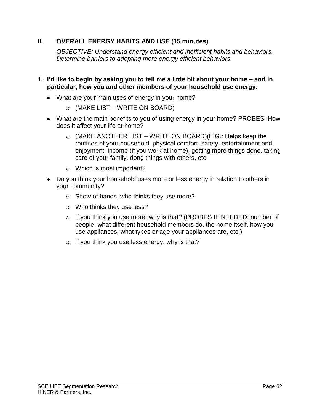#### **II. OVERALL ENERGY HABITS AND USE (15 minutes)**

*OBJECTIVE: Understand energy efficient and inefficient habits and behaviors. Determine barriers to adopting more energy efficient behaviors.* 

- **1. I'd like to begin by asking you to tell me a little bit about your home – and in particular, how you and other members of your household use energy.**
	- What are your main uses of energy in your home?
		- $\circ$  (MAKE LIST WRITE ON BOARD)
	- What are the main benefits to you of using energy in your home? PROBES: How does it affect your life at home?
		- $\circ$  (MAKE ANOTHER LIST WRITE ON BOARD)(E.G.: Helps keep the routines of your household, physical comfort, safety, entertainment and enjoyment, income (if you work at home), getting more things done, taking care of your family, dong things with others, etc.
		- o Which is most important?
	- Do you think your household uses more or less energy in relation to others in your community?
		- o Show of hands, who thinks they use more?
		- o Who thinks they use less?
		- o If you think you use more, why is that? (PROBES IF NEEDED: number of people, what different household members do, the home itself, how you use appliances, what types or age your appliances are, etc.)
		- $\circ$  If you think you use less energy, why is that?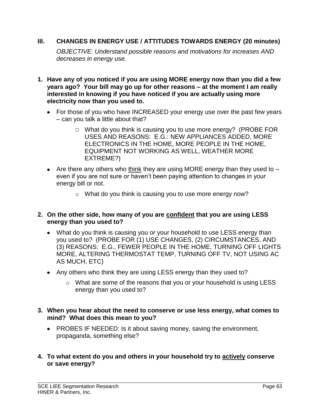#### **III. CHANGES IN ENERGY USE / ATTITUDES TOWARDS ENERGY (20 minutes)**

*OBJECTIVE: Understand possible reasons and motivations for increases AND decreases in energy use.* 

- **1. Have any of you noticed if you are using MORE energy now than you did a few years ago? Your bill may go up for other reasons – at the moment I am really interested in knowing if you have noticed if you are actually using more electricity now than you used to.** 
	- For those of you who have INCREASED your energy use over the past few years – can you talk a little about that?
		- O What do you think is causing you to use more energy? (PROBE FOR USES AND REASONS: E.G.: NEW APPLIANCES ADDED, MORE ELECTRONICS IN THE HOME, MORE PEOPLE IN THE HOME, EQUIPMENT NOT WORKING AS WELL, WEATHER MORE EXTREME?)
	- Are there any others who think they are using MORE energy than they used to  $$ even if you are not sure or haven't been paying attention to changes in your energy bill or not.
		- o What do you think is causing you to use more energy now?

#### **2. On the other side, how many of you are confident that you are using LESS energy than you used to?**

- What do you think is causing you or your household to use LESS energy than you used to? (PROBE FOR (1) USE CHANGES, (2) CIRCUMSTANCES, AND (3) REASONS: E.G., FEWER PEOPLE IN THE HOME, TURNING OFF LIGHTS MORE, ALTERING THERMOSTAT TEMP, TURNING OFF TV, NOT USING AC AS MUCH, ETC)
- Any others who think they are using LESS energy than they used to?
	- o What are some of the reasons that you or your household is using LESS energy than you used to?
- **3. When you hear about the need to conserve or use less energy, what comes to mind? What does this mean to you?** 
	- PROBES IF NEEDED: Is it about saving money, saving the environment, propaganda, something else?
- **4. To what extent do you and others in your household try to actively conserve or save energy?**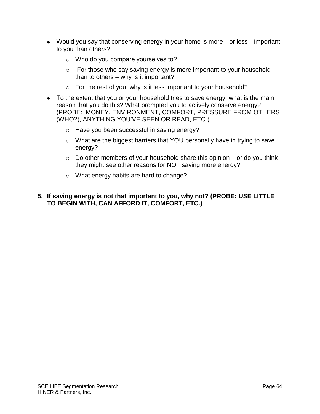- Would you say that conserving energy in your home is more—or less—important to you than others?
	- o Who do you compare yourselves to?
	- o For those who say saving energy is more important to your household than to others – why is it important?
	- $\circ$  For the rest of you, why is it less important to your household?
- To the extent that you or your household tries to save energy, what is the main reason that you do this? What prompted you to actively conserve energy? (PROBE: MONEY, ENVIRONMENT, COMFORT, PRESSURE FROM OTHERS (WHO?), ANYTHING YOU'VE SEEN OR READ, ETC.)
	- o Have you been successful in saving energy?
	- o What are the biggest barriers that YOU personally have in trying to save energy?
	- $\circ$  Do other members of your household share this opinion or do you think they might see other reasons for NOT saving more energy?
	- o What energy habits are hard to change?

#### **5. If saving energy is not that important to you, why not? (PROBE: USE LITTLE TO BEGIN WITH, CAN AFFORD IT, COMFORT, ETC.)**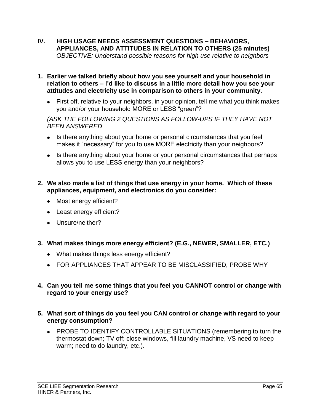- **IV. HIGH USAGE NEEDS ASSESSMENT QUESTIONS – BEHAVIORS, APPLIANCES, AND ATTITUDES IN RELATION TO OTHERS (25 minutes)**  *OBJECTIVE: Understand possible reasons for high use relative to neighbors*
- **1. Earlier we talked briefly about how you see yourself and your household in relation to others – I'd like to discuss in a little more detail how you see your attitudes and electricity use in comparison to others in your community.** 
	- First off, relative to your neighbors, in your opinion, tell me what you think makes you and/or your household MORE or LESS "green"?

#### *(ASK THE FOLLOWING 2 QUESTIONS AS FOLLOW-UPS IF THEY HAVE NOT BEEN ANSWERED*

- Is there anything about your home or personal circumstances that you feel makes it "necessary" for you to use MORE electricity than your neighbors?
- Is there anything about your home or your personal circumstances that perhaps allows you to use LESS energy than your neighbors?

#### **2. We also made a list of things that use energy in your home. Which of these appliances, equipment, and electronics do you consider:**

- Most energy efficient?
- Least energy efficient?
- Unsure/neither?
- **3. What makes things more energy efficient? (E.G., NEWER, SMALLER, ETC.)**
	- What makes things less energy efficient?
	- FOR APPLIANCES THAT APPEAR TO BE MISCLASSIFIED, PROBE WHY

#### **4. Can you tell me some things that you feel you CANNOT control or change with regard to your energy use?**

- **5. What sort of things do you feel you CAN control or change with regard to your energy consumption?**
	- PROBE TO IDENTIFY CONTROLLABLE SITUATIONS (remembering to turn the thermostat down; TV off; close windows, fill laundry machine, VS need to keep warm; need to do laundry, etc.).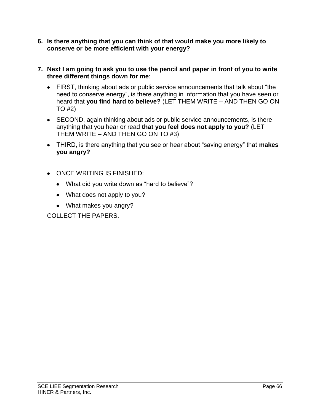- **6. Is there anything that you can think of that would make you more likely to conserve or be more efficient with your energy?**
- **7. Next I am going to ask you to use the pencil and paper in front of you to write three different things down for me**:
	- FIRST, thinking about ads or public service announcements that talk about "the need to conserve energy", is there anything in information that you have seen or heard that **you find hard to believe?** (LET THEM WRITE – AND THEN GO ON TO #2)
	- SECOND, again thinking about ads or public service announcements, is there anything that you hear or read **that you feel does not apply to you?** (LET THEM WRITE – AND THEN GO ON TO #3)
	- THIRD, is there anything that you see or hear about "saving energy" that **makes you angry?**
	- ONCE WRITING IS FINISHED:
		- What did you write down as "hard to believe"?
		- What does not apply to you?
		- What makes you angry?

COLLECT THE PAPERS.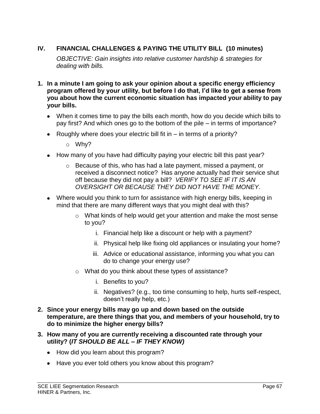## **IV. FINANCIAL CHALLENGES & PAYING THE UTILITY BILL (10 minutes)**

*OBJECTIVE: Gain insights into relative customer hardship & strategies for dealing with bills.*

- **1. In a minute I am going to ask your opinion about a specific energy efficiency program offered by your utility, but before I do that, I'd like to get a sense from you about how the current economic situation has impacted your ability to pay your bills.**
	- When it comes time to pay the bills each month, how do you decide which bills to pay first? And which ones go to the bottom of the pile – in terms of importance?
	- Roughly where does your electric bill fit in  $-$  in terms of a priority?
		- o Why?
	- How many of you have had difficulty paying your electric bill this past year?
		- o Because of this, who has had a late payment, missed a payment, or received a disconnect notice? Has anyone actually had their service shut off because they did not pay a bill? *VERIFY TO SEE IF IT IS AN OVERSIGHT OR BECAUSE THEY DID NOT HAVE THE MONEY.*
	- Where would you think to turn for assistance with high energy bills, keeping in mind that there are many different ways that you might deal with this?
		- o What kinds of help would get your attention and make the most sense to you?
			- i. Financial help like a discount or help with a payment?
			- ii. Physical help like fixing old appliances or insulating your home?
			- iii. Advice or educational assistance, informing you what you can do to change your energy use?
		- o What do you think about these types of assistance?
			- i. Benefits to you?
			- ii. Negatives? (e.g., too time consuming to help, hurts self-respect, doesn't really help, etc.)
- **2. Since your energy bills may go up and down based on the outside temperature, are there things that you, and members of your household, try to do to minimize the higher energy bills?**
- **3. How many of you are currently receiving a discounted rate through your utility? (***IT SHOULD BE ALL – IF THEY KNOW)*
	- How did you learn about this program?
	- Have you ever told others you know about this program?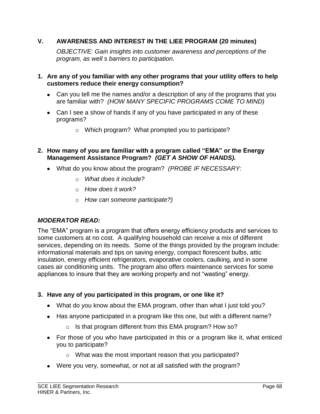#### **V. AWARENESS AND INTEREST IN THE LIEE PROGRAM (20 minutes)**

*OBJECTIVE: Gain insights into customer awareness and perceptions of the program, as well s barriers to participation.* 

- **1. Are any of you familiar with any other programs that your utility offers to help customers reduce their energy consumption?**
	- Can you tell me the names and/or a description of any of the programs that you are familiar with? *(HOW MANY SPECIFIC PROGRAMS COME TO MIND)*
	- Can I see a show of hands if any of you have participated in any of these programs?
		- o Which program? What prompted you to participate?
- **2. How many of you are familiar with a program called "EMA" or the Energy Management Assistance Program?** *(GET A SHOW OF HANDS).*
	- What do you know about the program? *(PROBE IF NECESSARY:* 
		- o *What does it include?*
		- o *How does it work?*
		- o *How can someone participate?)*

#### *MODERATOR READ:*

The "EMA" program is a program that offers energy efficiency products and services to some customers at no cost. A qualifying household can receive a mix of different services, depending on its needs. Some of the things provided by the program include: informational materials and tips on saving energy, compact florescent bulbs, attic insulation, energy efficient refrigerators, evaporative coolers, caulking, and in some cases air conditioning units. The program also offers maintenance services for some appliances to insure that they are working properly and not "wasting" energy.

#### **3. Have any of you participated in this program, or one like it?**

- What do you know about the EMA program, other than what I just told you?
- Has anyone participated in a program like this one, but with a different name?
	- o Is that program different from this EMA program? How so?
- For those of you who have participated in this or a program like it, what enticed you to participate?
	- o What was the most important reason that you participated?
- Were you very, somewhat, or not at all satisfied with the program?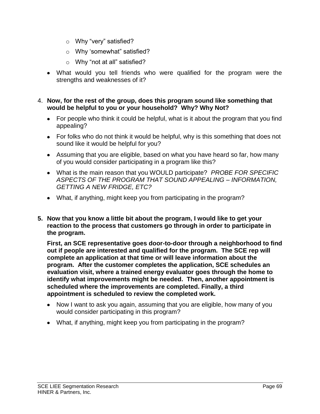- o Why "very" satisfied?
- o Why 'somewhat" satisfied?
- o Why "not at all" satisfied?
- What would you tell friends who were qualified for the program were the strengths and weaknesses of it?
- 4. **Now, for the rest of the group, does this program sound like something that would be helpful to you or your household? Why? Why Not?**
	- For people who think it could be helpful, what is it about the program that you find appealing?
	- For folks who do not think it would be helpful, why is this something that does not sound like it would be helpful for you?
	- Assuming that you are eligible, based on what you have heard so far, how many of you would consider participating in a program like this?
	- What is the main reason that you WOULD participate? *PROBE FOR SPECIFIC ASPECTS OF THE PROGRAM THAT SOUND APPEALING – INFORMATION, GETTING A NEW FRIDGE, ETC?*
	- What, if anything, might keep you from participating in the program?
- **5. Now that you know a little bit about the program, I would like to get your reaction to the process that customers go through in order to participate in the program.**

**First, an SCE representative goes door-to-door through a neighborhood to find out if people are interested and qualified for the program. The SCE rep will complete an application at that time or will leave information about the program. After the customer completes the application, SCE schedules an evaluation visit, where a trained energy evaluator goes through the home to identify what improvements might be needed. Then, another appointment is scheduled where the improvements are completed. Finally, a third appointment is scheduled to review the completed work.** 

- Now I want to ask you again, assuming that you are eligible, how many of you would consider participating in this program?
- What, if anything, might keep you from participating in the program?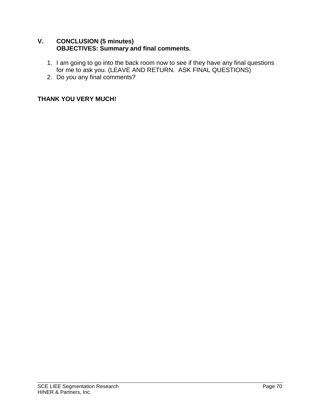#### **V. CONCLUSION (5 minutes) OBJECTIVES: Summary and final comments.**

- 1. I am going to go into the back room now to see if they have any final questions for me to ask you. (LEAVE AND RETURN. ASK FINAL QUESTIONS)
- 2. Do *you* any final comments?

#### **THANK YOU VERY MUCH!**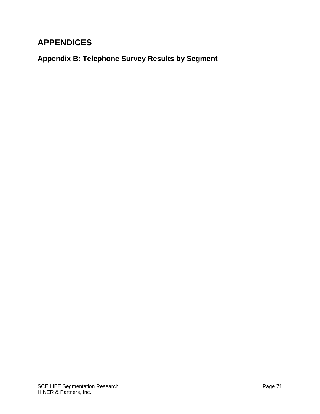## **APPENDICES**

**Appendix B: Telephone Survey Results by Segment**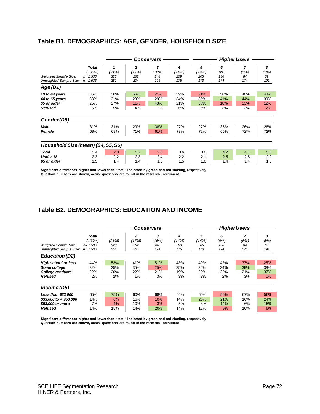#### **Table B1. DEMOGRAPHICS: AGE, GENDER, HOUSEHOLD SIZE**

|                                                                   |                                                      | <b>Conservers</b>       |                                |                          | <b>Higher Users</b>      |                          |                         |                         |                         |
|-------------------------------------------------------------------|------------------------------------------------------|-------------------------|--------------------------------|--------------------------|--------------------------|--------------------------|-------------------------|-------------------------|-------------------------|
| Weighted Sample Size:<br>Unweighted Sample Size:                  | <b>Total</b><br>(100%)<br>$n = 1,536$<br>$n = 1,536$ | (21%)<br>323<br>251     | 2<br>(17%)<br>262<br>204       | 3<br>(16%)<br>248<br>194 | 4<br>(14%)<br>209<br>175 | 5<br>(14%)<br>205<br>173 | 6<br>(9%)<br>136<br>174 | 7<br>(5%)<br>84<br>174  | 8<br>(5%)<br>69<br>191  |
| Age(D1)                                                           |                                                      |                         |                                |                          |                          |                          |                         |                         |                         |
| 18 to 44 years<br>44 to 65 years<br>65 or older<br><b>Refused</b> | 36%<br>33%<br>25%<br>5%                              | 36%<br>31%<br>27%<br>5% | 56%<br>28%<br><b>11%</b><br>4% | 21%<br>29%<br>43%<br>7%  | 39%<br>34%<br>21%<br>6%  | 21%<br>35%<br>38%<br>6%  | 38%<br>41%<br>18%<br>3% | 40%<br>44%<br>13%<br>3% | 48%<br>39%<br>12%<br>2% |
| Gender (D8)                                                       |                                                      |                         |                                |                          |                          |                          |                         |                         |                         |
| Male<br>Female                                                    | 31%<br>69%                                           | 31%<br>68%              | 29%<br>71%                     | 38%<br>61%               | 27%<br>73%               | 27%<br>72%               | 35%<br>65%              | 26%<br>72%              | 28%<br>72%              |
| Household Size (mean) (S4, S5, S6)                                |                                                      |                         |                                |                          |                          |                          |                         |                         |                         |
| <b>Total</b><br>Under 18<br>65 or older                           | 3.4<br>2.3<br>1.5                                    | 2.8<br>2.2<br>1.4       | 3.7<br>2.3<br>1.4              | 2.8<br>2.4<br>1.5        | 3.6<br>2.2<br>1.5        | 3.6<br>2.1<br>1.6        | 4.2<br>2.5<br>1.4       | 4.1<br>2.5<br>1.4       | 3.8<br>2.2<br>1.5       |

**Significant differences higher and lower than "total" indicated by green and red shading, respectively Question numbers are shown, actual questions are found in the research instrument** 

#### **Table B2. DEMOGRAPHICS: EDUCATION AND INCOME**

|                              |              | <b>Conservers</b> |                |            | <b>Higher Users</b> |            |      |      |      |
|------------------------------|--------------|-------------------|----------------|------------|---------------------|------------|------|------|------|
|                              | <b>Total</b> | 1                 | $\overline{2}$ | 3          | 4                   | 5          | 6    |      | 8    |
|                              | (100%)       | (21%)             | (17%)          | (16%)      | (14%)               | (14%)      | (9%) | (5%) | (5%) |
| <b>Weighted Sample Size:</b> | $n = 1.536$  | 323               | 262            | 248        | 209                 | 205        | 136  | 84   | 69   |
| Unweighted Sample Size:      | $n = 1,536$  | 251               | 204            | 194        | 175                 | 173        | 174  | 174  | 191  |
| <b>Education (D2)</b>        |              |                   |                |            |                     |            |      |      |      |
| <b>High school or less</b>   | 44%          | 53%               | 41%            | 51%        | 43%                 | 40%        | 42%  | 37%  | 25%  |
| Some college                 | 32%          | 25%               | 35%            | 25%        | 35%                 | 36%        | 34%  | 39%  | 38%  |
| College graduate             | 22%          | 20%               | 22%            | 21%        | 19%                 | 23%        | 22%  | 21%  | 37%  |
| <b>Refused</b>               | 2%           | 2%                | 1%             | 3%         | 3%                  | 2%         | 2%   | 3%   | 1%   |
| Income (D5)                  |              |                   |                |            |                     |            |      |      |      |
| Less than \$33,000           | 65%          | 75%               | 60%            | 68%        | 66%                 | 60%        | 56%  | 67%  | 56%  |
| $$33,000$ to < \$53,000      | 14%          | 6%                | 16%            | 10%        | 14%                 | <b>20%</b> | 21%  | 16%  | 24%  |
| \$53,000 or more             | 7%           | 4%                | 10%            | 3%         | 5%                  | 8%         | 14%  | 6%   | 15%  |
| <b>Refused</b>               | 14%          | 15%               | 14%            | <b>20%</b> | 14%                 | 12%        | 9%   | 10%  | 6%   |

**Significant differences higher and lower than "total" indicated by green and red shading, respectively Question numbers are shown, actual questions are found in the research instrument**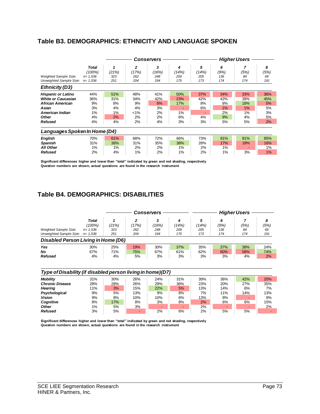# **Table B3. DEMOGRAPHICS: ETHNICITY AND LANGUAGE SPOKEN**

|                                                                                                                                          |                                                      | Conservers                               |                                             |                                          |                                     | <b>Higher Users</b>                     |                                          |                                           |                                          |  |
|------------------------------------------------------------------------------------------------------------------------------------------|------------------------------------------------------|------------------------------------------|---------------------------------------------|------------------------------------------|-------------------------------------|-----------------------------------------|------------------------------------------|-------------------------------------------|------------------------------------------|--|
| <b>Weighted Sample Size:</b><br>Unweighted Sample Size:                                                                                  | <b>Total</b><br>(100%)<br>$n = 1,536$<br>$n = 1,536$ | (21%)<br>323<br>251                      | $\mathbf{2}$<br>(17%)<br>262<br>204         | 3<br>(16%)<br>248<br>194                 | 4<br>(14%)<br>209<br>175            | 5<br>(14%)<br>205<br>173                | 6<br>(9%)<br>136<br>174                  | (5%)<br>84<br>174                         | 8<br>(5%)<br>69<br>191                   |  |
| <b>Ethnicity (D3)</b>                                                                                                                    |                                                      |                                          |                                             |                                          |                                     |                                         |                                          |                                           |                                          |  |
| <b>Hispanic or Latino</b><br><b>White or Caucasian</b><br><b>African American</b><br>Asian<br>American Indian<br>Other<br><b>Refused</b> | 44%<br>36%<br>9%<br>3%<br>1%<br>4%<br>4%             | 51%<br>31%<br>8%<br>4%<br>1%<br>2%<br>4% | 48%<br>34%<br>9%<br>4%<br>$1\%$<br>2%<br>2% | 41%<br>42%<br>6%<br>3%<br>2%<br>2%<br>4% | 50%<br>23%<br>17%<br>1%<br>6%<br>3% | 37%<br>42%<br>8%<br>6%<br>۰<br>4%<br>3% | 34%<br>42%<br>8%<br>1%<br>2%<br>9%<br>5% | 33%<br>39%<br>18%<br>1%<br>1%<br>4%<br>5% | 36%<br>45%<br>5%<br>5%<br>3%<br>5%<br>2% |  |
| Languages Spoken In Home (D4)                                                                                                            |                                                      |                                          |                                             |                                          |                                     |                                         |                                          |                                           |                                          |  |
| <b>English</b><br><b>Spanish</b><br><b>All Other</b><br><b>Refused</b>                                                                   | 70%<br>31%<br>1%<br>2%                               | 61%<br>38%<br>1%<br>4%                   | 68%<br>31%<br>2%<br>1%                      | 72%<br>35%<br>2%<br>2%                   | 66%<br>38%<br>1%<br>1%              | 73%<br>28%<br>2%<br>2%                  | 81%<br>17%<br>$1\%$<br>1%                | 81%<br>18%<br>3%                          | 85%<br>16%<br>1%<br>1%                   |  |

**Significant differences higher and lower than "total" indicated by green and red shading, respectively Question numbers are shown, actual questions are found in the research instrument** 

# **Table B4. DEMOGRAPHICS: DISABILITIES**

|                                                         |                                               |                     | <b>Conservers</b>        |                     |                          | <b>Higher Users</b>      |                         |                   |                        |
|---------------------------------------------------------|-----------------------------------------------|---------------------|--------------------------|---------------------|--------------------------|--------------------------|-------------------------|-------------------|------------------------|
| <b>Weighted Sample Size:</b><br>Unweighted Sample Size: | Total<br>(100%)<br>$n = 1,536$<br>$n = 1.536$ | (21%)<br>323<br>251 | 2<br>(17%)<br>262<br>204 | (16%)<br>248<br>194 | 4<br>(14%)<br>209<br>175 | 5<br>(14%)<br>205<br>173 | 6<br>(9%)<br>136<br>174 | (5%)<br>84<br>174 | 8<br>(5%)<br>69<br>191 |
| Disabled Person Living in Home (D6)                     |                                               |                     |                          |                     |                          |                          |                         |                   |                        |
| Yes                                                     | 30%                                           | 25%                 | 19%                      | 30%                 | 37%                      | 35%                      | 37%                     | 38%               | 24%                    |
| No                                                      | 67%                                           | 71%                 | 75%                      | 67%                 | 61%                      | 62%                      | 60%                     | 58%               | 74%                    |
| <b>Refused</b>                                          | 4%                                            | 4%                  | 5%                       | 3%                  | 3%                       | 3%                       | 3%                      | 4%                | 2%                     |

#### *Type of Disability (if disabled person living in home)(D7)*

| <b>Mobility</b>        | 31% | 30% | 26% | 24% | 31% | 39% | 36% | 42% | 20% |
|------------------------|-----|-----|-----|-----|-----|-----|-----|-----|-----|
| <b>Chronic Disease</b> | 28% | 28% | 26% | 29% | 36% | 23% | 20% | 27% | 35% |
| Hearing                | 11% | 3%  | 15% | 22% | 5%  | 13% | 14% | 6%  | 7%  |
| Psychological          | 9%  | 5%  | 13% | 9%  | 8%  | 7%  | 11% | 14% | 13% |
| Vision                 | 9%  | 8%  | 10% | 10% | 6%  | 13% | 8%  |     | 9%  |
| Cognitive              | 8%  | 17% | 8%  | 3%  | 8%  | 2%  | 6%  | 6%  | 15% |
| <b>Other</b>           | 1%  | 5%  | 3%  |     | -   | 2%  |     |     | 2%  |
| <b>Refused</b>         | 3%  | 5%  | -   | 2%  | 6%  | 2%  | 5%  | 5%  |     |
|                        |     |     |     |     |     |     |     |     |     |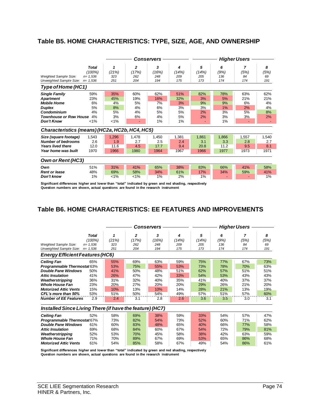# **Table B5. HOME CHARACTERISTICS: TYPE, SIZE, AGE, AND OWNERSHIP**

|                                                                                                                                                      |                                                      | <b>Conservers</b>                        |                                       |                                          |                                          | <b>Higher Users</b>                    |                                         |                                                                |                                    |  |
|------------------------------------------------------------------------------------------------------------------------------------------------------|------------------------------------------------------|------------------------------------------|---------------------------------------|------------------------------------------|------------------------------------------|----------------------------------------|-----------------------------------------|----------------------------------------------------------------|------------------------------------|--|
| Weighted Sample Size:<br>Unweighted Sample Size:                                                                                                     | <b>Total</b><br>(100%)<br>$n = 1.536$<br>$n = 1,536$ | 1<br>(21%)<br>323<br>251                 | $\overline{2}$<br>(17%)<br>262<br>204 | 3<br>(16%)<br>248<br>194                 | 4<br>(14%)<br>209<br>175                 | 5<br>(14%)<br>205<br>173               | 6<br>(9%)<br>136<br>174                 | 7<br>(5%)<br>84<br>174                                         | 8<br>(5%)<br>69<br>191             |  |
| Type of Home (HC1)                                                                                                                                   |                                                      |                                          |                                       |                                          |                                          |                                        |                                         |                                                                |                                    |  |
| <b>Single Family</b><br><b>Apartment</b><br><b>Mobile Home</b><br><b>Duplex</b><br>Condominium<br><b>Townhouse or Row House</b><br><b>Don't Know</b> | 59%<br>23%<br>6%<br>5%<br>4%<br>4%<br>$< 1\%$        | 35%<br>45%<br>4%<br>8%<br>5%<br>3%<br>1% | 60%<br>19%<br>5%<br>4%<br>4%<br>6%    | 62%<br>16%<br>7%<br>6%<br>5%<br>4%<br>1% | 51%<br>32%<br>3%<br>3%<br>5%<br>5%<br>1% | 82%<br>3%<br>9%<br>3%<br>2%<br>2%<br>٠ | 78%<br>5%<br>9%<br>1%<br>3%<br>3%<br>1% | 63%<br>21%<br>6%<br>2%<br>5%<br>3%<br>$\overline{\phantom{a}}$ | 62%<br>21%<br>4%<br>4%<br>8%<br>2% |  |
| Characteristics (means) (HC2a, HC2b, HC4, HC5)                                                                                                       |                                                      |                                          |                                       |                                          |                                          |                                        |                                         |                                                                |                                    |  |
| Size (square footage)<br><b>Number of bedrooms</b><br><b>Years lived there</b><br>Year home was built                                                | 1,543<br>2.6<br>12.0<br>1970                         | 1,296<br>1.9<br>11.6<br>1966             | 1,478<br>2.7<br>4.5<br>1980           | 1,450<br>2.5<br>17.7<br>1964             | 1,381<br>2.4<br>9.4<br>1967              | 1,861<br>3.1<br>20.8<br>1966           | 1,866<br>3.3<br>11.2<br>1977            | 1,557<br>2.8<br>9.5<br>1973                                    | 1,540<br>2.7<br>8.1<br>1971        |  |
| Own or Rent (HC3)                                                                                                                                    |                                                      |                                          |                                       |                                          |                                          |                                        |                                         |                                                                |                                    |  |
| Own<br><b>Rent or lease</b><br>Don't know                                                                                                            | 51%<br>48%<br>1%                                     | 31%<br>69%<br>$< 1\%$                    | 41%<br>58%<br>$< 1\%$                 | 65%<br>34%<br>1%                         | 38%<br>61%<br>2%                         | 83%<br>17%<br>1%                       | 66%<br>34%                              | 41%<br>59%                                                     | 58%<br>41%<br>1%                   |  |

**Significant differences higher and lower than "total" indicated by green and red shading, respectively Question numbers are shown, actual questions are found in the research instrument** 

# **Table B6. HOME CHARACTERISTICS: EE FEATURES AND IMPROVEMENTS**

|                                                                                       |            |                         | Conservers |            | <b>Higher Users</b> |            |           |           |  |
|---------------------------------------------------------------------------------------|------------|-------------------------|------------|------------|---------------------|------------|-----------|-----------|--|
| <b>Total</b><br>(100%)                                                                | 1<br>(21%) | $\overline{2}$<br>(17%) | 3<br>(16%) | 4<br>(14%) | 5<br>(14%)          | 6<br>(9%)  | 7<br>(5%) | 8<br>(5%) |  |
| <b>Weighted Sample Size:</b><br>$n = 1.536$<br>Unweighted Sample Size:<br>$n = 1.536$ | 323<br>251 | 262<br>204              | 248<br>194 | 209<br>175 | 205<br>173          | 136<br>174 | 84<br>174 | 69<br>191 |  |
| <b>Energy Efficient Features (HC6)</b>                                                |            |                         |            |            |                     |            |           |           |  |
| <b>Ceiling Fan</b><br>65%                                                             | 55%        | 69%                     | 63%        | 59%        | 75%                 | 77%        | 67%       | 73%       |  |
| <b>Programmable Thermostat 63%</b>                                                    | 53%        | 75%                     | 55%        | 53%        | 73%                 | 78%        | 70%       | 63%       |  |
| <b>Double Pane Windows</b><br>50%                                                     | 41%        | 50%                     | 48%        | 51%        | 62%                 | 57%        | 51%       | 51%       |  |
| <b>Attic Insulation</b><br>41%                                                        | 26%        | 47%                     | 42%        | 33%        | 54%                 | 53%        | 43%       | 43%       |  |
| 36%<br>Weatherstripping                                                               | 31%        | 32%                     | 40%        | 35%        | 41%                 | 40%        | 37%       | 37%       |  |
| <b>Whole House Fan</b><br>23%                                                         | 20%        | 27%                     | 20%        | 20%        | 29%                 | 26%        | 21%       | 20%       |  |
| <b>Motorized Attic Vents</b><br>15%                                                   | 10%        | 13%                     | 10%        | 14%        | 28%                 | 21%        | 13%       | 19%       |  |
| CFL's more than 50%<br>53%                                                            | 51%        | 50%                     | 54%        | 49%        | 57%                 | 51%        | 57%       | 60%       |  |
| <b>Number of EE Features</b><br>2.9                                                   | 2.4        | 3.1                     | 2.8        | 2.6        | 3.6                 | 3.5        | 3.0       | 3.1       |  |
| Installed Since Living There (if have the feature) (HC7)                              |            |                         |            |            |                     |            |           |           |  |
| <b>Ceiling Fan</b><br>52%                                                             | 58%        | 69%                     | 38%        | 59%        | 33%                 | 54%        | 57%       | 47%       |  |
| <b>Programmable Thermostat 67%</b>                                                    | 73%        | 82%                     | 54%        | 73%        | 52%                 | 60%        | 71%       | 62%       |  |
| <b>Double Pane Windows</b><br>61%                                                     | 60%        | 83%                     | 48%        | 65%        | 40%                 | 66%        | 77%       | 58%       |  |
| <b>Attic Insulation</b><br>69%                                                        | 68%        | 84%                     | 60%        | 67%        | 54%                 | 72%        | 79%       | 81%       |  |
| Weatherstripping<br>52%                                                               | 53%        | 70%                     | 45%        | 58%        | 38%                 | 42%        | 63%       | 59%       |  |
| <b>Whole House Fan</b><br>71%                                                         | 70%        | 89%                     | 67%        | 69%        | 53%                 | 65%        | 86%       | 68%       |  |
| <b>Motorized Attic Vents</b><br>61%                                                   | 54%        | 85%                     | 58%        | 67%        | 49%                 | 54%        | 86%       | 61%       |  |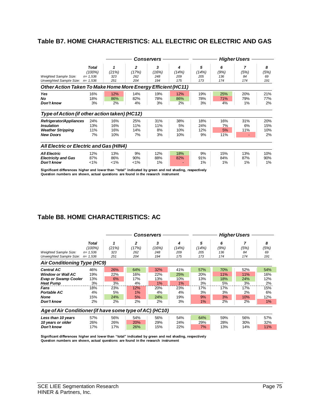# **Table B7. HOME CHARACTERISTICS: ALL ELECTRIC OR ELECTRIC AND GAS**

|                                                                                              |                                |                          |                                | Conservers             |                         |                         |                        | <b>Higher Users</b> |                         |
|----------------------------------------------------------------------------------------------|--------------------------------|--------------------------|--------------------------------|------------------------|-------------------------|-------------------------|------------------------|---------------------|-------------------------|
| <b>Weighted Sample Size:</b>                                                                 | Total<br>(100%)<br>$n = 1,536$ | (21%)<br>323             | $\overline{2}$<br>(17%)<br>262 | 3<br>(16%)<br>248      | 4<br>(14%)<br>209       | 5<br>(14%)<br>205       | 6<br>(9%)<br>136       | 7<br>(5%)<br>84     | 8<br>(5%)<br>69         |
| Unweighted Sample Size:<br>Other Action Taken To Make Home More Energy Efficient (HC11)      | $n = 1,536$                    | 251                      | 204                            | 194                    | 175                     | 173                     | 174                    | 174                 | 191                     |
| Yes<br>No<br>Don't know                                                                      | 16%<br>18%<br>3%               | 12%<br>86%<br>2%         | 14%<br>82%<br>4%               | 19%<br>78%<br>3%       | 12%<br>86%<br>2%        | 19%<br>78%<br>3%        | 25%<br>71%<br>4%       | 20%<br>79%<br>1%    | 21%<br>77%<br>2%        |
| Type of Action (if other action taken) (HC12)                                                |                                |                          |                                |                        |                         |                         |                        |                     |                         |
| Refrigerator/Appliances<br><b>Insulation</b><br><b>Weather Stripping</b><br><b>New Doors</b> | 24%<br>13%<br>11%<br>7%        | 16%<br>16%<br>16%<br>10% | 25%<br>11%<br>14%<br>7%        | 31%<br>11%<br>8%<br>3% | 38%<br>5%<br>10%<br>10% | 18%<br>24%<br>12%<br>9% | 16%<br>7%<br>5%<br>11% | 31%<br>6%<br>11%    | 20%<br>15%<br>10%<br>2% |
| All Electric or Electric and Gas (HIN4)                                                      |                                |                          |                                |                        |                         |                         |                        |                     |                         |
| <b>All Electric</b><br><b>Electricity and Gas</b><br>Don't know                              | 12%<br>87%<br>1%               | 13%<br>86%<br>$< 1\%$    | 9%<br>90%<br>$1\%$             | 12%<br>88%<br>1%       | 18%<br>82%              | 9%<br>91%<br>1%         | 15%<br>84%<br>1%       | 13%<br>87%<br>1%    | 10%<br>90%<br>1%        |

**Significant differences higher and lower than "total" indicated by green and red shading, respectively Question numbers are shown, actual questions are found in the research instrument** 

# **Table B8. HOME CHARACTERISTICS: AC**

|                                                                                                                                                      |                                                      |                                                  |                                                  | Conservers                                        |                                                   | <b>Higher Users</b>                              |                                                  |                                                   |                                                   |  |  |
|------------------------------------------------------------------------------------------------------------------------------------------------------|------------------------------------------------------|--------------------------------------------------|--------------------------------------------------|---------------------------------------------------|---------------------------------------------------|--------------------------------------------------|--------------------------------------------------|---------------------------------------------------|---------------------------------------------------|--|--|
| <b>Weighted Sample Size:</b><br>Unweighted Sample Size:                                                                                              | <b>Total</b><br>(100%)<br>$n = 1.536$<br>$n = 1.536$ | (21%)<br>323<br>251                              | 2<br>(17%)<br>262<br>204                         | 3<br>(16%)<br>248<br>194                          | 4<br>(14%)<br>209<br>175                          | 5<br>(14%)<br>205<br>173                         | 6<br>(9%)<br>136<br>174                          | $\overline{7}$<br>(5%)<br>84<br>174               | 8<br>(5%)<br>69<br>191                            |  |  |
| <b>Air Conditioning Type (HC9)</b>                                                                                                                   |                                                      |                                                  |                                                  |                                                   |                                                   |                                                  |                                                  |                                                   |                                                   |  |  |
| <b>Central AC</b><br><b>Window or Wall AC</b><br><b>Evap or Swamp Cooler</b><br><b>Heat Pump</b><br>Fans<br><b>Portable AC</b><br>None<br>Don't know | 46%<br>19%<br>13%<br>3%<br>18%<br>4%<br>15%<br>2%    | 26%<br>22%<br>6%<br>3%<br>23%<br>5%<br>24%<br>2% | 64%<br>16%<br>17%<br>4%<br>12%<br>1%<br>5%<br>2% | 32%<br>22%<br>13%<br>1%<br>20%<br>4%<br>24%<br>2% | 41%<br>25%<br>10%<br>1%<br>23%<br>4%<br>19%<br>3% | 57%<br>20%<br>13%<br>3%<br>17%<br>3%<br>9%<br>1% | 70%<br>11%<br>18%<br>5%<br>17%<br>3%<br>3%<br>2% | 52%<br>11%<br>24%<br>3%<br>17%<br>2%<br>10%<br>2% | 54%<br>16%<br>12%<br>2%<br>15%<br>6%<br>12%<br>1% |  |  |
| Age of Air Conditioner (if have some type of AC) (HC10)                                                                                              |                                                      |                                                  |                                                  |                                                   |                                                   |                                                  |                                                  |                                                   |                                                   |  |  |
| Less than 10 years<br>10 years or older<br>Don't know                                                                                                | 57%<br>26%<br>17%                                    | 56%<br>26%<br>17%                                | 54%<br><b>20%</b><br>26%                         | 56%<br>29%<br>15%                                 | 54%<br>24%<br>22%                                 | 64%<br>29%<br>7%                                 | 59%<br>28%<br>13%                                | 56%<br>30%<br>14%                                 | 57%<br>32%<br>11%                                 |  |  |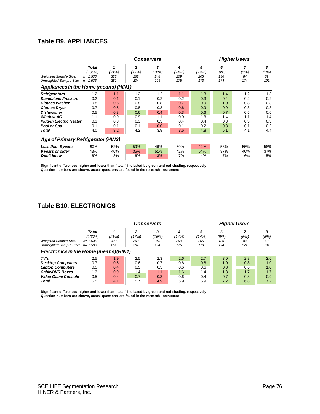# **Table B9. APPLIANCES**

|                                                                                                                                                                                                        |                                                             |                                                             |                                                             | Conservers                                                  |                                                             |                                                             |                                                             | <b>Higher Users</b>                                         |                                                             |
|--------------------------------------------------------------------------------------------------------------------------------------------------------------------------------------------------------|-------------------------------------------------------------|-------------------------------------------------------------|-------------------------------------------------------------|-------------------------------------------------------------|-------------------------------------------------------------|-------------------------------------------------------------|-------------------------------------------------------------|-------------------------------------------------------------|-------------------------------------------------------------|
| <b>Weighted Sample Size:</b><br>Unweighted Sample Size:                                                                                                                                                | Total<br>(100%)<br>$n = 1,536$<br>$n = 1,536$               | (21%)<br>323<br>251                                         | 2<br>(17%)<br>262<br>204                                    | 3<br>(16%)<br>248<br>194                                    | 4<br>(14%)<br>209<br>175                                    | 5<br>(14%)<br>205<br>173                                    | 6<br>(9%)<br>136<br>174                                     | 7<br>(5%)<br>84<br>174                                      | 8<br>(5%)<br>69<br>191                                      |
| Appliances in the Home (means) (HIN1)                                                                                                                                                                  |                                                             |                                                             |                                                             |                                                             |                                                             |                                                             |                                                             |                                                             |                                                             |
| <b>Refrigerators</b><br><b>Standalone Freezers</b><br><b>Clothes Washer</b><br><b>Clothes Dryer</b><br><b>Dishwasher</b><br><b>Window AC</b><br><b>Plug-in Electric Heater</b><br>Pool or Spa<br>Total | 1.2<br>0.2<br>0.8<br>0.7<br>0.5<br>1.1<br>0.3<br>0.1<br>4.0 | 1.1<br>0.1<br>0.6<br>0.5<br>0.3<br>0.9<br>0.3<br>0.1<br>3.2 | 1.2<br>0.1<br>0.8<br>0.8<br>0.6<br>0.9<br>0.3<br>0.1<br>4.2 | 1.2<br>0.2<br>0.8<br>0.8<br>0.4<br>1.1<br>0.3<br>0.0<br>3.9 | 1.1<br>0.2<br>0.7<br>0.6<br>0.3<br>0.9<br>0.4<br>0.1<br>3.6 | 1.3<br>0.3<br>0.9<br>0.9<br>0.6<br>1.3<br>0.4<br>0.2<br>4.8 | 1.4<br>0.4<br>1.0<br>0.9<br>0.7<br>1.4<br>0.3<br>0.3<br>5.1 | 1.2<br>0.2<br>0.8<br>0.8<br>0.5<br>1.1<br>0.3<br>0.1<br>4.1 | 1.3<br>0.2<br>0.8<br>0.8<br>0.6<br>1.4<br>0.3<br>0.2<br>4.4 |
| <b>Age of Primary Refrigerator (HIN3)</b>                                                                                                                                                              |                                                             |                                                             |                                                             |                                                             |                                                             |                                                             |                                                             |                                                             |                                                             |
| Less than 5 years<br>6 years or older<br>Don't know                                                                                                                                                    | 51%<br>43%<br>6%                                            | 52%<br>40%<br>8%                                            | 59%<br>35%<br>6%                                            | 46%<br>51%<br>3%                                            | 50%<br>42%<br>7%                                            | 42%<br>54%<br>4%                                            | 56%<br>37%<br>7%                                            | 55%<br>40%<br>6%                                            | 58%<br>37%<br>5%                                            |

**Significant differences higher and lower than "total" indicated by green and red shading, respectively Question numbers are shown, actual questions are found in the research instrument** 

# **Table B10. ELECTRONICS**

|                                                                                       |                                                  |                          |                          | <b>Conservers</b>        | <b>Higher Users</b>      |                          |                                       |                          |                          |
|---------------------------------------------------------------------------------------|--------------------------------------------------|--------------------------|--------------------------|--------------------------|--------------------------|--------------------------|---------------------------------------|--------------------------|--------------------------|
| <b>Weighted Sample Size:</b><br>Unweighted Sample Size:                               | Total<br>$(100\%)$<br>$n = 1.536$<br>$n = 1.536$ | (21%)<br>323<br>251      | 2<br>(17%)<br>262<br>204 | 3<br>(16%)<br>248<br>194 | 4<br>(14%)<br>209<br>175 | 5<br>(14%)<br>205<br>173 | 6<br>(9%)<br>136<br>174               | (5%)<br>84<br>174        | 8<br>(5%)<br>69<br>191   |
| Electronics in the Home (means) (HIN1)                                                |                                                  |                          |                          |                          |                          |                          |                                       |                          |                          |
| TV's<br><b>Desktop Computers</b><br><b>Laptop Computers</b><br><b>Cable/DVR Boxes</b> | 2.5<br>0.7<br>0.5<br>1.3                         | 1.9<br>0.5<br>0.4<br>0.9 | 2.5<br>0.6<br>0.5<br>1.4 | 2.3<br>0.7<br>0.5<br>1.1 | 2.6<br>0.6<br>0.6<br>1.6 | 2.7<br>0.8<br>0.6<br>1.4 | 3.0 <sub>2</sub><br>1.0<br>0.8<br>1.8 | 2.8<br>0.8<br>0.6<br>1.7 | 2.6<br>1.0<br>1.0<br>1.7 |
| <b>Video Game Console</b><br>Total                                                    | 0.5<br>5.5                                       | 0.4<br>4.1               | 0.7<br>5.7               | 0.3<br>4.9               | 0.6<br>5.9               | 0.4<br>5.9               | 0.7<br>7.2                            | 0.8<br>6.8               | 0.9<br>7.2               |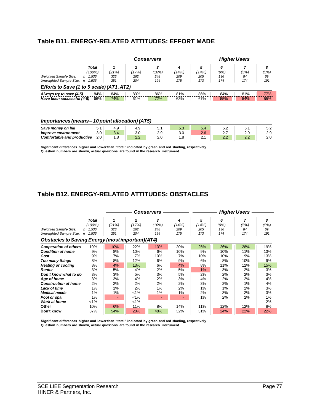# **Table B11. ENERGY-RELATED ATTITUDES: EFFORT MADE**

|                                                 |             |       | <b>Conservers</b> |       |       |       | <b>Higher Users</b> |      |      |  |  |  |
|-------------------------------------------------|-------------|-------|-------------------|-------|-------|-------|---------------------|------|------|--|--|--|
|                                                 | Total       |       | $\mathbf{z}$      | 3     | 4     | 5     | 6                   |      | 8    |  |  |  |
|                                                 | (100%)      | (21%) | (17%)             | (16%) | (14%) | (14%) | (9%)                | (5%) | (5%) |  |  |  |
| <b>Weighted Sample Size:</b>                    | $n = 1,536$ | 323   | 262               | 248   | 209   | 205   | 136                 | 84   | 69   |  |  |  |
| Unweighted Sample Size:                         | $n = 1,536$ | 251   | 204               | 194   | 175   | 173   | 174                 | 174  | 191  |  |  |  |
| Efforts to Save (1 to 5 scale) (AT1, AT2)       |             |       |                   |       |       |       |                     |      |      |  |  |  |
| Always try to save (4-5)                        | 84%         | 84%   | 83%               | 86%   | 81%   | 86%   | 84%                 | 81%  | 77%  |  |  |  |
| Have been successful (4-5)                      | 66%         | 74%   | 61%               | 72%   | 63%   | 67%   | 55%                 | 54%  | 55%  |  |  |  |
| Importances (means – 10 point allocation) (AT5) |             |       |                   |       |       |       |                     |      |      |  |  |  |
| Save money on bill                              | 5.1         | 4.9   | 4.9               | 5.1   | 5.3   | 5.4   | 5.2                 | 5.1  | 5.2  |  |  |  |
| Improve environment                             | 3.0         | 3.4   | 3.0               | 2.9   | 3.0   | 2.6   | 2.7                 | 2.9  | 2.9  |  |  |  |
| Comfortable and productive                      | 2.0         | 1.8   | 2.2               | 2.0   | 1.8   | 2.1   | 2.2                 | 2.2  | 2.0  |  |  |  |
|                                                 |             |       |                   |       |       |       |                     |      |      |  |  |  |

**Significant differences higher and lower than "total" indicated by green and red shading, respectively Question numbers are shown, actual questions are found in the research instrument** 

# **Table B12. ENERGY-RELATED ATTITUDES: OBSTACLES**

|                                                                                                                                                                                                                                                                                 |                                                                             |                                                                                             |                                                                                        | Conservers                                                                                        |                                                                                              |                                                                        | <b>Higher Users</b>                                                      |                                                                          |                                                                                |  |
|---------------------------------------------------------------------------------------------------------------------------------------------------------------------------------------------------------------------------------------------------------------------------------|-----------------------------------------------------------------------------|---------------------------------------------------------------------------------------------|----------------------------------------------------------------------------------------|---------------------------------------------------------------------------------------------------|----------------------------------------------------------------------------------------------|------------------------------------------------------------------------|--------------------------------------------------------------------------|--------------------------------------------------------------------------|--------------------------------------------------------------------------------|--|
| <b>Weighted Sample Size:</b><br>Unweighted Sample Size:                                                                                                                                                                                                                         | <b>Total</b><br>(100%)<br>$n = 1,536$<br>$n = 1.536$                        | (21%)<br>323<br>251                                                                         | $\mathbf{2}$<br>(17%)<br>262<br>204                                                    | 3<br>(16%)<br>248<br>194                                                                          | 4<br>(14%)<br>209<br>175                                                                     | 5<br>(14%)<br>205<br>173                                               | 6<br>(9%)<br>136<br>174                                                  | 7<br>(5%)<br>84<br>174                                                   | 8<br>(5%)<br>69<br>191                                                         |  |
| <b>Obstacles to Saving Energy (most important) (AT4)</b>                                                                                                                                                                                                                        |                                                                             |                                                                                             |                                                                                        |                                                                                                   |                                                                                              |                                                                        |                                                                          |                                                                          |                                                                                |  |
| <b>Cooperation of others</b><br><b>Condition of home</b><br>Cost<br>Too many things<br><b>Heating or cooling</b><br><b>Renter</b><br>Don't know what to do<br>Age of home<br><b>Construction of home</b><br>Lack of time<br><b>Medical needs</b><br>Pool or spa<br>Work at home | 19%<br>9%<br>9%<br>8%<br>8%<br>3%<br>3%<br>3%<br>2%<br>1%<br>1%<br>1%<br>1% | 10%<br>8%<br>7%<br>8%<br>4%<br>5%<br>3%<br>3%<br>2%<br>1%<br>1%<br>$\overline{\phantom{a}}$ | 22%<br>10%<br>7%<br>12%<br>13%<br>4%<br>5%<br>4%<br>2%<br>2%<br>$1\%$<br>$< 1\%$<br>1% | 13%<br>6%<br>10%<br>6%<br>6%<br>2%<br>3%<br>2%<br>2%<br>1%<br>1%<br>$\overline{\phantom{0}}$<br>- | 20%<br>10%<br>7%<br>9%<br>4%<br>5%<br>5%<br>3%<br>2%<br>2%<br>1%<br>$\overline{\phantom{0}}$ | 25%<br>9%<br>10%<br>6%<br>8%<br>1%<br>2%<br>4%<br>3%<br>1%<br>2%<br>1% | 26%<br>10%<br>10%<br>8%<br>11%<br>3%<br>2%<br>2%<br>2%<br>1%<br>3%<br>2% | 28%<br>11%<br>9%<br>10%<br>12%<br>2%<br>2%<br>2%<br>1%<br>2%<br>2%<br>2% | 19%<br>13%<br>13%<br>9%<br>15%<br>3%<br>3%<br>4%<br>4%<br>3%<br>3%<br>1%<br>2% |  |
| Other<br>Don't know                                                                                                                                                                                                                                                             | 10%<br>37%                                                                  | 6%<br>54%                                                                                   | 11%<br>28%                                                                             | 8%<br>48%                                                                                         | 14%<br>32%                                                                                   | 11%<br>31%                                                             | 12%<br>24%                                                               | 12%<br>22%                                                               | 8%<br>22%                                                                      |  |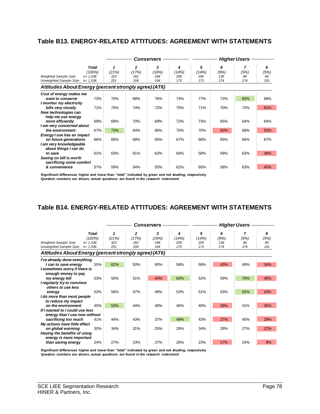# **Table B13. ENERGY-RELATED ATTITUDES: AGREEMENT WITH STATEMENTS**

|                                                                                                                       |                                                      | Conservers          |                                     |                          |                          | <b>Higher Users</b>      |                         |                        |                        |  |
|-----------------------------------------------------------------------------------------------------------------------|------------------------------------------------------|---------------------|-------------------------------------|--------------------------|--------------------------|--------------------------|-------------------------|------------------------|------------------------|--|
| Weighted Sample Size:<br>Unweighted Sample Size:                                                                      | <b>Total</b><br>(100%)<br>$n = 1.536$<br>$n = 1,536$ | (21%)<br>323<br>251 | $\mathbf{z}$<br>(17%)<br>262<br>204 | 3<br>(16%)<br>248<br>194 | 4<br>(14%)<br>209<br>175 | 5<br>(14%)<br>205<br>173 | 6<br>(9%)<br>136<br>174 | 7<br>(5%)<br>84<br>174 | 8<br>(5%)<br>69<br>191 |  |
| Attitudes About Energy (percent strongly agree) (AT6)                                                                 |                                                      |                     |                                     |                          |                          |                          |                         |                        |                        |  |
| Cost of energy makes me<br>want to conserve<br>I monitor my electricity<br>bills very closely<br>New technologies can | 73%<br>71%                                           | 70%<br>70%          | 68%<br>74%                          | 76%<br>72%               | 74%<br>70%               | 77%<br>71%               | 73%<br>70%              | 83%<br>72%             | 68%<br>61%             |  |
| help me use energy<br>more efficiently<br>I am very concerned about<br>the environment                                | 69%<br>67%                                           | 69%<br>73%          | 70%<br>64%                          | 69%<br>66%               | 72%<br>70%               | 73%<br>70%               | 65%<br>60%              | 64%<br>68%             | 64%<br>55%             |  |
| Energy I use has an impact<br>on future generations<br>I am very knowledgeable<br>about things I can do               | 66%                                                  | 66%                 | 68%                                 | 65%                      | 67%                      | 66%                      | 65%                     | 66%                    | 67%                    |  |
| to save<br>Saving on bill is worth<br>sacrificing some comfort                                                        | 61%                                                  | 63%                 | 61%                                 | 63%                      | 60%                      | 58%                      | 59%                     | 63%                    | 49%                    |  |
| & convenience                                                                                                         | 57%                                                  | 59%                 | 54%                                 | 55%                      | 62%                      | 60%                      | 58%                     | 63%                    | 45%                    |  |

**Significant differences higher and lower than "total" indicated by green and red shading, respectively Question numbers are shown, actual questions are found in the research instrument** 

# **Table B14. ENERGY-RELATED ATTITUDES: AGREEMENT WITH STATEMENTS**

|                                                                                        |                        |                     |                          | Conservers               |                          | <b>Higher Users</b>      |                         |                        |                        |  |
|----------------------------------------------------------------------------------------|------------------------|---------------------|--------------------------|--------------------------|--------------------------|--------------------------|-------------------------|------------------------|------------------------|--|
| <b>Weighted Sample Size:</b><br>$n = 1.536$<br>Unweighted Sample Size:<br>$n = 1,536$  | <b>Total</b><br>(100%) | (21%)<br>323<br>251 | 2<br>(17%)<br>262<br>204 | 3<br>(16%)<br>248<br>194 | 4<br>(14%)<br>209<br>175 | 5<br>(14%)<br>205<br>173 | 6<br>(9%)<br>136<br>174 | 7<br>(5%)<br>84<br>174 | 8<br>(5%)<br>69<br>191 |  |
| Attitudes About Energy (percent strongly agree) (AT6)                                  |                        |                     |                          |                          |                          |                          |                         |                        |                        |  |
| I've already done everything                                                           |                        |                     |                          |                          |                          |                          |                         |                        |                        |  |
| I can to save energy<br>I sometimes worry if there is<br>enough money to pay           | 55%                    | 62%                 | 50%                      | 60%                      | 58%                      | 58%                      | 43%                     | 49%                    | 34%                    |  |
| my energy bill<br>I regularly try to convince<br>others to use less                    | 53%                    | 50%                 | 51%                      | 44%                      | 64%                      | 52%                      | 59%                     | 70%                    | 45%                    |  |
| energy<br>I do more than most people<br>to reduce my impact                            | 52%                    | 56%                 | 47%                      | 49%                      | 53%                      | 51%                      | 53%                     | 62%                    | 43%                    |  |
| on the environment<br>If I wanted to I could use less<br>energy than I use now without | 45%                    | 53%                 | 44%                      | 49%                      | 46%                      | 40%                      | 39%                     | 41%                    | 35%                    |  |
| sacrificing too much<br>My actions have little effect                                  | 41%                    | 44%                 | 43%                      | 37%                      | 49%                      | 43%                      | 27%                     | 45%                    | 29%                    |  |
| on global warming<br>Having the benefits of using<br>energy is more important          | 30%                    | 34%                 | 31%                      | 25%                      | 26%                      | 34%                      | 29%                     | 27%                    | 22%                    |  |
| than saving energy                                                                     | 24%                    | 27%                 | 23%                      | 27%                      | 26%                      | 23%                      | 17%                     | 24%                    | 9%                     |  |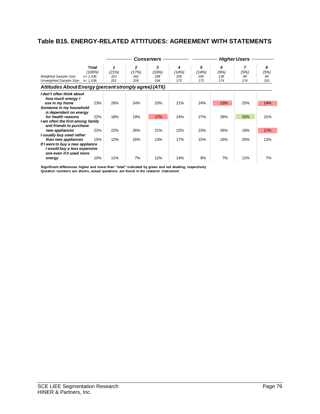# **Table B15. ENERGY-RELATED ATTITUDES: AGREEMENT WITH STATEMENTS**

|                                                                                                                                                                                                             |                                                      | Conservers          |                          |                          |                          | <b>Higher Users</b>      |                         |                        |                        |  |
|-------------------------------------------------------------------------------------------------------------------------------------------------------------------------------------------------------------|------------------------------------------------------|---------------------|--------------------------|--------------------------|--------------------------|--------------------------|-------------------------|------------------------|------------------------|--|
| <b>Weighted Sample Size:</b><br>Unweighted Sample Size:                                                                                                                                                     | <b>Total</b><br>(100%)<br>$n = 1,536$<br>$n = 1,536$ | (21%)<br>323<br>251 | 2<br>(17%)<br>262<br>204 | 3<br>(16%)<br>248<br>194 | 4<br>(14%)<br>209<br>175 | 5<br>(14%)<br>205<br>173 | 6<br>(9%)<br>136<br>174 | 7<br>(5%)<br>84<br>174 | 8<br>(5%)<br>69<br>191 |  |
| Attitudes About Energy (percent strongly agree) (AT6)                                                                                                                                                       |                                                      |                     |                          |                          |                          |                          |                         |                        |                        |  |
| I don't often think about<br>how much energy I<br>use in my home<br>Someone in my household<br>is dependent on energy<br>for health reasons<br>I am often the first among family<br>and friends to purchase | 23%<br>22%                                           | 26%<br>18%          | 24%<br>19%               | 23%<br>17%               | 21%<br>24%               | 24%<br>27%               | 13%<br>28%              | 25%<br>32%             | 14%<br>21%             |  |
| new appliances                                                                                                                                                                                              | 22%                                                  | 22%                 | 26%                      | 21%                      | 22%                      | 23%                      | 26%                     | 19%                    | 17%                    |  |
| I usually buy used rather<br>than new appliances<br>If I were to buy a new appliance<br>I would buy a less expensive<br>one even if it used more<br>energy                                                  | 15%<br>10%                                           | 12%<br>11%          | 16%<br>7%                | 13%<br>12%               | 17%<br>14%               | 15%<br>8%                | 16%<br>7%               | 20%<br>12%             | 12%<br>7%              |  |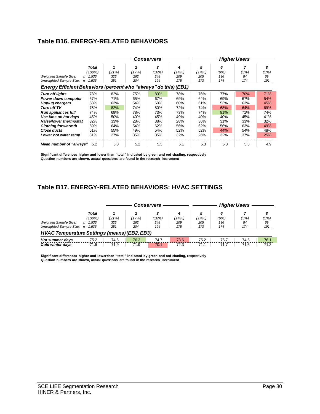# **Table B16. ENERGY-RELATED BEHAVIORS**

|                                                                 |              |       |       | Conservers |       | <b>Higher Users</b> |      |      |      |  |
|-----------------------------------------------------------------|--------------|-------|-------|------------|-------|---------------------|------|------|------|--|
|                                                                 | <b>Total</b> |       | 2     | 3          | 4     | 5                   | 6    |      | 8    |  |
|                                                                 | (100%)       | (21%) | (17%) | (16%)      | (14%) | (14%)               | (9%) | (5%) | (5%) |  |
| <b>Weighted Sample Size:</b>                                    | $n = 1,536$  | 323   | 262   | 248        | 209   | 205                 | 136  | 84   | 69   |  |
| Unweighted Sample Size:                                         | $n = 1.536$  | 251   | 204   | 194        | 175   | 173                 | 174  | 174  | 191  |  |
| Energy Efficient Behaviors (percent who "always" do this) (EB1) |              |       |       |            |       |                     |      |      |      |  |
| <b>Turn off lights</b>                                          | 78%          | 82%   | 75%   | 83%        | 78%   | 76%                 | 77%  | 70%  | 71%  |  |
| Power down computer                                             | 67%          | 71%   | 65%   | 67%        | 69%   | 64%                 | 69%  | 67%  | 54%  |  |
| <b>Unplug chargers</b>                                          | 58%          | 63%   | 54%   | 60%        | 60%   | 61%                 | 53%  | 63%  | 45%  |  |
| <b>Turn off TV</b>                                              | 75%          | 82%   | 74%   | 80%        | 72%   | 74%                 | 68%  | 64%  | 69%  |  |
| <b>Run appliances full</b>                                      | 74%          | 69%   | 78%   | 73%        | 73%   | 74%                 | 81%  | 71%  | 74%  |  |
| Use fans on hot days                                            | 45%          | 50%   | 40%   | 45%        | 49%   | 40%                 | 40%  | 45%  | 41%  |  |
| <b>Raise/lower thermostat</b>                                   | 32%          | 33%   | 28%   | 38%        | 28%   | 36%                 | 31%  | 33%  | 32%  |  |
| <b>Clothing for warmth</b>                                      | 59%          | 64%   | 54%   | 62%        | 56%   | 62%                 | 56%  | 63%  | 49%  |  |
| Close ducts                                                     | 51%          | 55%   | 49%   | 54%        | 52%   | 52%                 | 44%  | 54%  | 48%  |  |
| Lower hot water temp                                            | 31%          | 27%   | 35%   | 35%        | 32%   | 26%                 | 32%  | 37%  | 25%  |  |
| Mean number of "always"                                         | 5.2          | 5.0   | 5.2   | 5.3        | 5.1   | 5.3                 | 5.3  | 5.3  | 4.9  |  |

**Significant differences higher and lower than "total" indicated by green and red shading, respectively Question numbers are shown, actual questions are found in the research instrument** 

# **Table B17. ENERGY-RELATED BEHAVIORS: HVAC SETTINGS**

|                                                                   |                                          |                     |                     | <b>Conservers</b>        |                          |                          |                         | <b>Higher Users</b> |                        |
|-------------------------------------------------------------------|------------------------------------------|---------------------|---------------------|--------------------------|--------------------------|--------------------------|-------------------------|---------------------|------------------------|
| <b>Weighted Sample Size:</b><br>Unweighted Sample Size: $n=1,536$ | <b>Total</b><br>$(100\%)$<br>$n = 1,536$ | (21%)<br>323<br>251 | (17%)<br>262<br>204 | 3<br>(16%)<br>248<br>194 | 4<br>(14%)<br>209<br>175 | 5<br>(14%)<br>205<br>173 | 6<br>(9%)<br>136<br>174 | (5%)<br>84<br>174   | 8<br>(5%)<br>69<br>191 |
| HVAC Temperature Settings (means) (EB2, EB3)                      |                                          |                     |                     |                          |                          |                          |                         |                     |                        |
| Hot summer days<br><b>Cold winter davs</b>                        | 75.2<br>71.5                             | 74.6<br>71.9        | 76.3<br>71.9        | 74.7<br>70.1             | 73.6<br>72.3             | 75.2<br>71.1             | 75.7<br>71.7            | 74.5<br>71.6        | 76.1<br>71.3           |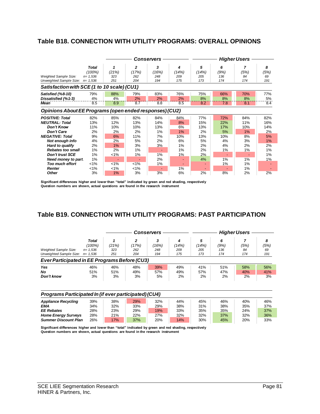# **Table B18. CONNECTION WITH UTILITY PROGRAMS: OVERALL OPINIONS**

|                                                         |                                       |                   |                   | <b>Conservers</b> |                   | <b>Higher Users</b> |                  |                 |                 |  |
|---------------------------------------------------------|---------------------------------------|-------------------|-------------------|-------------------|-------------------|---------------------|------------------|-----------------|-----------------|--|
| <b>Weighted Sample Size:</b>                            | <b>Total</b><br>(100%)<br>$n = 1.536$ | 1<br>(21%)<br>323 | 2<br>(17%)<br>262 | 3<br>(16%)<br>248 | 4<br>(14%)<br>209 | 5<br>(14%)<br>205   | 6<br>(9%)<br>136 | 7<br>(5%)<br>84 | 8<br>(5%)<br>69 |  |
| Unweighted Sample Size:                                 | $n = 1,536$                           | 251               | 204               | 194               | 175               | 173                 | 174              | 174             | 191             |  |
| Satisfaction with SCE (1 to 10 scale) (CU1)             |                                       |                   |                   |                   |                   |                     |                  |                 |                 |  |
| Satisfied (%8-10)                                       | 79%                                   | 88%               | 79%               | 83%               | 76%               | 75%                 | 66%              | 70%             | 77%             |  |
| Dissatisfied (%1-3)                                     | 4%                                    | 4%                | 2%                | 2%                | 2%                | 8%                  | 8%               | 8%              | 5%              |  |
| Mean                                                    | 8.5                                   | 8.9               | 8.7               | 8.8               | 8.5               | 8.2                 | 7.8              | 8.1             | 8.4             |  |
| Opinions About EE Programs (open ended responses) (CU2) |                                       |                   |                   |                   |                   |                     |                  |                 |                 |  |
| <b>POSITIVE: Total</b>                                  | 82%                                   | 85%               | 82%               | 84%               | 84%               | 77%                 | 72%              | 84%             | 82%             |  |
| <b>NEUTRAL: Total</b>                                   | 13%                                   | 12%               | 13%               | 14%               | 8%                | 15%                 | 22%              | 11%             | 16%             |  |
| <b>Don't Know</b>                                       | 11%                                   | 10%               | 10%               | 13%               | 6%                | 13%                 | 17%              | 10%             | 14%             |  |
| <b>Don't Care</b>                                       | 2%                                    | 2%                | 2%                | 1%                | 1%                | 2%                  | 5%               | 1%              | 2%              |  |
| <b>NEGATIVE: Total</b>                                  | 9%                                    | 6%                | 11%               | 7%                | 10%               | 13%                 | 10%              | 8%              | 5%              |  |
| Not enough info                                         | 4%                                    | 2%                | 5%                | 2%                | 6%                | 5%                  | 4%               | 3%              | 1%              |  |
| Hard to qualify                                         | 2%                                    | 1%                | 3%                | 3%                | 1%                | 2%                  | 4%               | 2%              | 2%              |  |
| <b>Rebates too small</b>                                | 1%                                    | 2%                | 1%                |                   | 1%                | 2%                  | 1%               | 1%              | 1%              |  |
| <b>Don't trust SCE</b>                                  | 1%                                    | $1\%$             | 1%                | 1%                | 1%                | 2%                  |                  |                 | 1%              |  |
| Need money to part.                                     | 1%                                    |                   |                   | 2%                |                   | 4%                  | 1%               | 1%              | 1%              |  |
| <b>Too much effort</b>                                  | $1\%$                                 | 1%                | 1%                | 1%                |                   |                     | 1%               | 1%              |                 |  |
| <b>Renter</b>                                           | $< 1\%$                               | $< 1\%$           | 1%                |                   | 1%                | ٠                   |                  | 1%              |                 |  |
| <b>Other</b>                                            | 3%                                    | 1%                | 3%                | 3%                | 6%                | 2%                  | 8%               | 2%              | 2%              |  |

**Significant differences higher and lower than "total" indicated by green and red shading, respectively Question numbers are shown, actual questions are found in the research instrument** 

# **Table B19. CONNECTION WITH UTILITY PROGRAMS: PAST PARTICIPATION**

|                                                                                                          |                                                      |                     |                          | <b>Conservers</b>        | <b>Higher Users</b>      |                          |                         |                   |                        |
|----------------------------------------------------------------------------------------------------------|------------------------------------------------------|---------------------|--------------------------|--------------------------|--------------------------|--------------------------|-------------------------|-------------------|------------------------|
| <b>Weighted Sample Size:</b><br>Unweighted Sample Size:<br>Ever Participated in EE Programs Before (CU3) | <b>Total</b><br>(100%)<br>$n = 1,536$<br>$n = 1.536$ | (21%)<br>323<br>251 | 2<br>(17%)<br>262<br>204 | 3<br>(16%)<br>248<br>194 | 4<br>(14%)<br>209<br>175 | 5<br>(14%)<br>205<br>173 | 6<br>(9%)<br>136<br>174 | (5%)<br>84<br>174 | 8<br>(5%)<br>69<br>191 |
| Yes<br>No<br>Don't know                                                                                  | 46%<br>51%<br>3%                                     | 46%<br>51%<br>3%    | 48%<br>49%<br>3%         | 39%<br>57%<br>5%         | 49%<br>49%<br>2%         | 41%<br>57%<br>2%         | 51%<br>47%<br>2%        | 58%<br>40%<br>2%  | 56%<br>41%<br>3%       |

#### *Programs Participated In (if ever participated) (CU4)*

| <b>Appliance Recycling</b>  | 39% | 38% | 29% | 32% | 44% | 45% | 46% | 40% | 46% |
|-----------------------------|-----|-----|-----|-----|-----|-----|-----|-----|-----|
| EMA                         | 34% | 32% | 33% | 29% | 38% | 31% | 38% | 35% | 37% |
| <b>EE Rebates</b>           | 28% | 23% | 29% | 19% | 33% | 35% | 35% | 24% | 37% |
| <b>Home Energy Surveys</b>  | 28% | 21% | 22% | 27% | 32% | 32% | 37% | 32% | 36% |
| <b>Summer Discount Plan</b> | 26% | 7%  | 37% | 20% | 14% | 30% | 45% | 20% | 33% |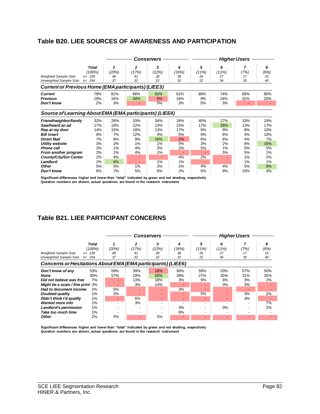# **Table B20. LIEE SOURCES OF AWARENESS AND PARTICIPATION**

|                                                            |                 |            |                       | Conservers |            | <b>Higher Users</b> |            |           |           |  |
|------------------------------------------------------------|-----------------|------------|-----------------------|------------|------------|---------------------|------------|-----------|-----------|--|
|                                                            | Total<br>(100%) | 1<br>(20%) | $\mathbf{2}$<br>(17%) | 3<br>(12%) | 4<br>(16%) | 5<br>(11%)          | 6<br>(11%) | 7<br>(7%) | 8<br>(6%) |  |
| <b>Weighted Sample Size:</b>                               | $n = 239$       | 48         | 41                    | 28         | 38         | 26                  | 27         | 17        | 15        |  |
| Unweighted Sample Size: n= 254                             |                 | 37         | 32                    | 22         | 32         | 22                  | 34         | 35        | 40        |  |
| <b>Current or Previous Home (EMA participants) (LIEE3)</b> |                 |            |                       |            |            |                     |            |           |           |  |
| <b>Current</b>                                             | 78%             | 81%        | 66%                   | 91%        | 81%        | 86%                 | 74%        | 69%       | 80%       |  |
| <b>Previous</b>                                            | 19%             | 16%        | 34%                   | 5%         | 16%        | 9%                  | 24%        | 31%       | 20%       |  |
| Don't know                                                 | 2%              | 3%         |                       | 5%         | 3%         | 5%                  | 3%         |           |           |  |
| Source of Learning About EMA (EMA participants) (LIEE4)    |                 |            |                       |            |            |                     |            |           |           |  |
| Friend/neighbor/family                                     | 32%             | 26%        | 33%                   | 34%        | 34%        | 40%                 | 27%        | 33%       | 24%       |  |
| Saw/heard an ad                                            | 17%             | 18%        | 12%                   | 13%        | 22%        | 17%                 | 26%        | 13%       | 17%       |  |
| Rep at my door                                             | 14%             | 15%        | 18%                   | 13%        | 17%        | 9%                  | 9%         | 8%        | 10%       |  |
| <b>Bill insert</b>                                         | 8%              | 7%         | 12%                   | 9%         | 5%         | 9%                  | 6%         | 4%        | 10%       |  |
| <b>Direct Mail</b>                                         | 7%              | 6%         | 9%                    | 16%        | 2%         | 6%                  | 6%         | 4%        | 7%        |  |
| Utility website                                            | 3%              | 2%         | 1%                    | 1%         | 5%         | 3%                  | 2%         | 6%        | 16%       |  |
| <b>Phone call</b>                                          | 3%              | 1%         | 4%                    | 3%         | 2%         | 5%                  | 1%         | 5%        | 5%        |  |
| From another program                                       | 2%              | 1%         | 4%                    | 1%         | ٠          |                     | 5%         | 5%        | 1%        |  |
| <b>County/City/Snr Center</b>                              | 2%              | 4%         |                       | ٠          | 4%         | 2%                  |            | 1%        | 2%        |  |
| Landlord                                                   | 2%              | 6%         |                       | 1%         | 1%         | ٠                   |            | 1%        | 1%        |  |
| <b>Other</b>                                               | 5%              | 5%         | 1%                    | 3%         | 2%         | 4%                  | 4%         | 5%        | 9%        |  |
| Don't know                                                 | 6%              | 7%         | 5%                    | 6%         | 2%         | 5%                  | 8%         | 10%       | 4%        |  |

**Significant differences higher and lower than "total" indicated by green and red shading, respectively Question numbers are shown, actual questions are found in the research instrument** 

# **Table B21. LIEE PARTICIPANT CONCERNS**

|                                                              |           |       |       | Conservers |                          | <b>Higher Users</b>      |       |      |      |  |  |
|--------------------------------------------------------------|-----------|-------|-------|------------|--------------------------|--------------------------|-------|------|------|--|--|
|                                                              | Total     |       | 2     | 3          |                          | 5                        | 6     |      | 8    |  |  |
|                                                              | (100%)    | (20%) | (17%) | (12%)      | (16%)                    | (11%)                    | (11%) | (7%) | (6%) |  |  |
| Weighted Sample Size:                                        | $n = 239$ | 48    | 41    | 28         | 38                       | 26                       | 27    | 17   | 15   |  |  |
| Unweighted Sample Size: $n=254$                              |           | 37    | 32    | 22         | 32                       | 22                       | 34    | 35   | 40   |  |  |
| Concerns or Hesitations About EMA (EMA participants) (LIEE6) |           |       |       |            |                          |                          |       |      |      |  |  |
| Don't know of any                                            | 53%       | 59%   | 59%   | 18%        | 56%                      | 59%                      | 53%   | 57%  | 50%  |  |  |
| None                                                         | 30%       | 57%   | 19%   | 50%        | 28%                      | 27%                      | 35%   | 31%  | 35%  |  |  |
| Did not believe was free                                     | 7%        |       | 13%   | 18%        | 3%                       | 9%                       | 6%    | 3%   | 2%   |  |  |
| Might be a scam / fine print 3%                              |           |       | 3%    | 14%        |                          |                          | 3%    | 3%   |      |  |  |
| Had to document income                                       | 2%        | 5%    |       |            | 3%                       |                          |       | ٠    |      |  |  |
| <b>Doubted quality</b>                                       | 1%        | 3%    |       |            | -                        | 5%                       |       | 3%   | 2%   |  |  |
| Didn't think I'd qualify                                     | 1%        |       | 6%    | -          | $\overline{\phantom{0}}$ | $\overline{\phantom{0}}$ | ۰     | 3%   |      |  |  |
| <b>Wanted more info</b>                                      | 1%        |       | 3%    |            |                          | $\overline{\phantom{a}}$ |       |      | 7%   |  |  |
| Landlord's permission                                        | 1%        |       |       |            | 3%                       |                          | 3%    |      | 2%   |  |  |
| Take too much time                                           | 1%        |       |       |            | 6%                       | $\overline{\phantom{a}}$ |       |      |      |  |  |
| <b>Other</b>                                                 | 2%        | 5%    | ٠     | 5%         | -                        | $\overline{\phantom{0}}$ | -     | -    |      |  |  |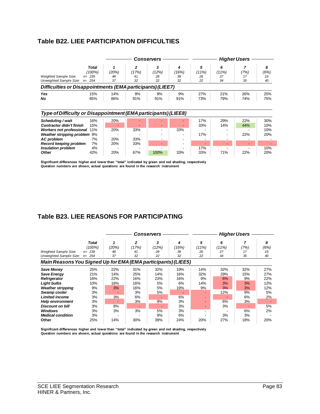# **Table B22. LIEE PARTICIPATION DIFFICULTIES**

|                                                                                                                                           |                                                  | Conservers        |                                   |                        |                        |                        | <b>Higher Users</b>    |                       |                       |  |  |
|-------------------------------------------------------------------------------------------------------------------------------------------|--------------------------------------------------|-------------------|-----------------------------------|------------------------|------------------------|------------------------|------------------------|-----------------------|-----------------------|--|--|
| <b>Weighted Sample Size:</b><br>Unweighted Sample Size:                                                                                   | <b>Total</b><br>(100%)<br>$n = 239$<br>$n = 254$ | (20%)<br>48<br>37 | $\mathbf{z}$<br>(17%)<br>41<br>32 | 3<br>(12%)<br>28<br>22 | 4<br>(16%)<br>38<br>32 | 5<br>(11%)<br>26<br>22 | 6<br>(11%)<br>27<br>34 | 7<br>(7%)<br>17<br>35 | 8<br>(6%)<br>15<br>40 |  |  |
| Difficulties or Disappointments (EMA participants) (LIEE7)                                                                                |                                                  |                   |                                   |                        |                        |                        |                        |                       |                       |  |  |
| Yes<br>No                                                                                                                                 | 15%<br>85%                                       | 14%<br>86%        | 9%<br>91%                         | 9%<br>91%              | 9%<br>91%              | 27%<br>73%             | 21%<br>79%             | 26%<br>74%            | 25%<br>75%            |  |  |
|                                                                                                                                           |                                                  |                   |                                   |                        |                        |                        |                        |                       |                       |  |  |
| Type of Difficulty or Disappointment (EMA participants) (LIEE8)                                                                           |                                                  |                   |                                   |                        |                        |                        |                        |                       |                       |  |  |
|                                                                                                                                           | 16%<br>15%                                       | 20%               |                                   |                        |                        | 17%<br>33%             | 29%<br>14%             | 22%<br>44%            | 30%<br>10%            |  |  |
| Scheduling / wait<br><b>Contractor didn't finish</b><br><b>Workers not professional</b><br>Weather stripping problem<br><b>AC</b> problem | 11%<br>8%<br>7%                                  | 20%<br>20%        | 33%<br>33%                        |                        | 33%                    | 17%<br>-               |                        | 22%                   | 10%<br>20%            |  |  |

**Significant differences higher and lower than "total" indicated by green and red shading, respectively Question numbers are shown, actual questions are found in the research instrument** 

# **Table B23. LIEE REASONS FOR PARTICIPATING**

|                                                               |           | <b>Conservers</b> |       |       |       | <b>Higher Users</b>      |       |      |      |  |
|---------------------------------------------------------------|-----------|-------------------|-------|-------|-------|--------------------------|-------|------|------|--|
|                                                               | Total     |                   | 2     | 3     | 4     | 5                        | 6     | 7    | 8    |  |
|                                                               | (100%)    | (20%)             | (17%) | (12%) | (16%) | (11%)                    | (11%) | (7%) | (6%) |  |
| <b>Weighted Sample Size:</b>                                  | $n = 239$ | 48                | 41    | 28    | 38    | 26                       | 27    | 17   | 15   |  |
| Unweighted Sample Size:                                       | $n = 254$ | 37                | 32    | 22    | 32    | 22                       | 34    | 35   | 40   |  |
| Main Reasons You Signed Up for EMA (EMA participants) (LIEE5) |           |                   |       |       |       |                          |       |      |      |  |
| <b>Save Money</b>                                             | 25%       | 22%               | 31%   | 32%   | 19%   | 14%                      | 32%   | 32%  | 27%  |  |
| <b>Save Energy</b>                                            | 21%       | 14%               | 25%   | 14%   | 16%   | 32%                      | 29%   | 15%  | 27%  |  |
| <b>Refrigerator</b>                                           | 16%       | 22%               | 16%   | 23%   | 16%   | 9%                       | 6%    | 9%   | 22%  |  |
| <b>Light bulbs</b>                                            | 10%       | 16%               | 16%   | 5%    | 6%    | 14%                      | 3%    | 3%   | 12%  |  |
| <b>Weather stripping</b>                                      | 9%        | 3%                | 16%   | 5%    | 19%   | 9%                       | 3%    | 3%   | 12%  |  |
| Swamp cooler                                                  | 3%        |                   | 3%    | 5%    |       | $\overline{\phantom{0}}$ | 12%   | 9%   | 5%   |  |
| <b>Limited income</b>                                         | 3%        | 3%                | 6%    |       | 6%    | ٠                        |       | 6%   | 2%   |  |
| <b>Help environment</b>                                       | 3%        |                   | 3%    | 9%    | 3%    | ۰.                       | 6%    | 3%   |      |  |
| <b>Discount on bill</b>                                       | 3%        | 8%                |       |       | 3%    | $\blacksquare$           | 3%    |      | 5%   |  |
| <b>Windows</b>                                                | 3%        | 3%                | 3%    | 5%    | 3%    | $\overline{\phantom{a}}$ |       | 6%   | 2%   |  |
| <b>Medical condition</b>                                      | 3%        |                   |       | 9%    | 6%    | $\blacksquare$           | 3%    | 3%   |      |  |
| Other                                                         | 25%       | 14%               | 30%   | 39%   | 24%   | 20%                      | 27%   | 18%  | 20%  |  |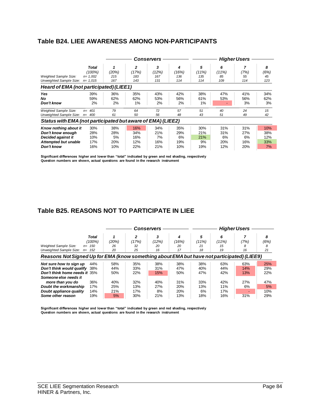# **Table B24. LIEE AWARENESS AMONG NON-PARTICIPANTS**

|                                                             |             | Conservers |       |       | <b>Higher Users</b> |            |       |      |      |
|-------------------------------------------------------------|-------------|------------|-------|-------|---------------------|------------|-------|------|------|
|                                                             | Total       |            | 2     | 3     | 4                   | 5          | 6     | 7    | 8    |
|                                                             | (100%)      | (20%)      | (17%) | (12%) | ′16%)               | (11%)      | (11%) | (7%) | (6%) |
| <b>Weighted Sample Size:</b>                                | $n = 1,002$ | 215        | 183   | 167   | 136                 | 135        | 85    | 55   | 45   |
| Unweighted Sample Size:                                     | $n = 1,015$ | 167        | 143   | 131   | 114                 | 114        | 109   | 114  | 123  |
| Heard of EMA (not participated) (LIEE1)                     |             |            |       |       |                     |            |       |      |      |
| Yes                                                         | 39%         | 36%        | 35%   | 43%   | 42%                 | 38%        | 47%   | 41%  | 34%  |
| No.                                                         | 59%         | 62%        | 62%   | 53%   | 56%                 | 61%        | 53%   | 56%  | 62%  |
| Don't know                                                  | 2%          | 2%         | 1%    | 2%    | 2%                  | 1%         |       | 3%   | 3%   |
| <b>Weighted Sample Size:</b>                                | 401<br>$n=$ | 79         | 64    | 72    | 57                  | 51         | 40    | 24   | 15   |
| Unweighted Sample Size:                                     | 400<br>$n=$ | 61         | 50    | 56    | 48                  | 43         | 51    | 49   | 42   |
| Status with EMA (not participated but aware of EMA) (LIEE2) |             |            |       |       |                     |            |       |      |      |
| Know nothing about it                                       | 30%         | 38%        | 16%   | 34%   | 35%                 | 30%        | 31%   | 31%  | 10%  |
| Don't know enough                                           | 28%         | 28%        | 34%   | 21%   | 29%                 | 21%        | 31%   | 27%  | 38%  |
| Decided against it                                          | 10%         | 5%         | 16%   | 7%    | 6%                  | <b>21%</b> | 6%    | 6%   | 12%  |
| <b>Attempted but unable</b>                                 | 17%         | 20%        | 12%   | 16%   | 19%                 | 9%         | 20%   | 16%  | 33%  |
| Don't know                                                  | 16%         | 10%        | 22%   | 21%   | 10%                 | 19%        | 12%   | 20%  | 7%   |

**Significant differences higher and lower than "total" indicated by green and red shading, respectively Question numbers are shown, actual questions are found in the research instrument**

# **Table B25. REASONS NOT TO PARTICIPATE IN LIEE**

|                                      |                                                                                            | <b>Conservers</b> |       |       |       | <b>Higher Users</b> |       |      |      |
|--------------------------------------|--------------------------------------------------------------------------------------------|-------------------|-------|-------|-------|---------------------|-------|------|------|
|                                      | <b>Total</b>                                                                               |                   | 2     | 3     | 4     | 5                   | 6     |      | 8    |
|                                      | (100%)                                                                                     | (20%)             | (17%) | (12%) | (16%) | (11%)               | (11%) | (7%) | (6%) |
| <b>Weighted Sample Size:</b><br>$n=$ | 150                                                                                        | 26                | 32    | 20    | 20    | 21                  | 15    | 8    | 8    |
| Unweighted Sample Size:<br>$n=$      | 152                                                                                        | 20                | 25    | 16    | 17    | 18                  | 19    | 16   | 21   |
|                                      | Reasons Not Signed Up for EMA (know something about EMA but have not participated) (LIEE9) |                   |       |       |       |                     |       |      |      |
| Not sure how to sign up              | 44%                                                                                        | 58%               | 35%   | 38%   | 38%   | 38%                 | 63%   | 63%  | 25%  |
| Don't think would qualify            | 38%                                                                                        | 44%               | 33%   | 31%   | 47%   | 40%                 | 44%   | 14%  | 29%  |
| Don't think home needs it 35%        |                                                                                            | 50%               | 22%   | 15%   | 50%   | 47%                 | 42%   | 13%  | 22%  |
| Someone else needs it                |                                                                                            |                   |       |       |       |                     |       |      |      |
| more than you do                     | 36%                                                                                        | 40%               | 32%   | 40%   | 31%   | 33%                 | 42%   | 27%  | 47%  |
| Doubt the workmanship                | 17%                                                                                        | 25%               | 13%   | 27%   | 20%   | 13%                 | 11%   | 6%   | 5%   |
| Doubt appliance quality              | 14%                                                                                        | 21%               | 17%   | 8%    | 20%   | 6%                  | 17%   | -    | 10%  |
| Some other reason                    | 19%                                                                                        | 5%                | 30%   | 21%   | 13%   | 18%                 | 16%   | 31%  | 29%  |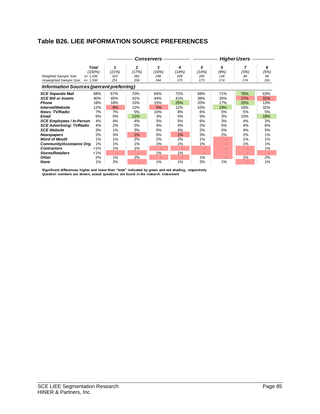# **Table B26. LIEE INFORMATION SOURCE PREFERENCES**

|                                                 |                                          |              |                   | Conservers        |                   |                   |                  | <b>Higher Users</b> |                 |
|-------------------------------------------------|------------------------------------------|--------------|-------------------|-------------------|-------------------|-------------------|------------------|---------------------|-----------------|
| <b>Weighted Sample Size:</b>                    | <b>Total</b><br>$(100\%)$<br>$n = 1,536$ | (21%)<br>323 | 2<br>(17%)<br>262 | 3<br>(16%)<br>248 | 4<br>(14%)<br>209 | 5<br>(14%)<br>205 | 6<br>(9%)<br>136 | (5%)<br>84          | 8<br>(5%)<br>69 |
| Unweighted Sample Size:                         | $n = 1,536$                              | 251          | 204               | 194               | 175               | 173               | 174              | 174                 | 191             |
| <b>Information Sources (percent preferring)</b> |                                          |              |                   |                   |                   |                   |                  |                     |                 |
| <b>SCE Separate Mail</b>                        | 68%                                      | 67%          | 70%               | 64%               | 72%               | 68%               | 71%              | 76%                 | 63%             |
| <b>SCE Bill or Inserts</b>                      | 40%                                      | 45%          | 41%               | 44%               | 41%               | 38%               | 35%              | <b>27%</b>          | 31%             |
| <b>Phone</b>                                    | 18%                                      | 18%          | 15%               | 15%               | 25%               | 20%               | 17%              | 25%                 | 13%             |
| Internet/Website                                | 12%                                      | 8%           | 12%               | 5%                | 12%               | 10%               | 19%              | 16%                 | 32%             |
| <b>News: TV/Radio</b>                           | 7%                                       | 7%           | 5%                | 10%               | 8%                | 6%                | 5%               | 5%                  | 5%              |
| Email                                           | 6%                                       | 5%           | 11%               | 3%                | 5%                | 5%                | 3%               | 10%                 | 18%             |
| <b>SCE Employees / In-Person</b>                | 4%                                       | 4%           | 4%                | 5%                | 5%                | 6%                | 3%               | 4%                  | 3%              |
| <b>SCE Advertising: TV/Radio</b>                | 4%                                       | 2%           | 5%                | 4%                | 4%                | 2%                | 5%               | 4%                  | 6%              |
| <b>SCE Website</b>                              | 3%                                       | 1%           | 3%                | 5%                | 4%                | 2%                | 5%               | 4%                  | 5%              |
| <b>Newspapers</b>                               | 2%                                       | 3%           | 1%                | 5%                | 1%                | 3%                | 2%               | 2%                  | 1%              |
| <b>Word of Mouth</b>                            | 1%                                       | 1%           | 2%                | 2%                | 2%                | 1%                |                  | 1%                  | 1%              |
| Community/Assistance Org.                       | 1%                                       | 1%           | 1%                | 1%                | 1%                | 1%                |                  | 1%                  | 1%              |
| <b>Contractors</b>                              | $1\%$                                    | 1%           | 1%                | ٠                 |                   |                   |                  |                     | 1%              |
| <b>Stores/Retailers</b>                         | $1\%$                                    | <b>-</b>     | ٠                 | 1%                | 1%                |                   | -                | <b>.</b>            | ٠               |
| Other                                           | 2%                                       | 1%           | 2%                | ٠                 |                   | 1%                |                  | 1%                  | 2%              |
| None                                            | 1%                                       | 3%           |                   | 1%                | 1%                | 3%                | 1%               |                     | 1%              |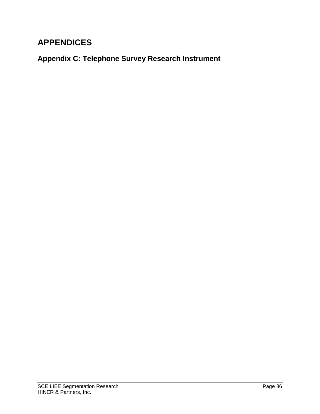# **APPENDICES**

**Appendix C: Telephone Survey Research Instrument**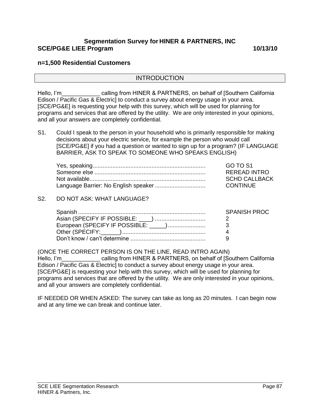### **Segmentation Survey for HINER & PARTNERS, INC SCE/PG&E LIEE Program 10/13/10**

#### **n=1,500 Residential Customers**

#### INTRODUCTION

Hello, I'm calling from HINER & PARTNERS, on behalf of [Southern California Edison / Pacific Gas & Electric] to conduct a survey about energy usage in your area. [SCE/PG&E] is requesting your help with this survey, which will be used for planning for programs and services that are offered by the utility. We are only interested in your opinions, and all your answers are completely confidential.

S1. Could I speak to the person in your household who is primarily responsible for making decisions about your electric service, for example the person who would call [SCE/PG&E] if you had a question or wanted to sign up for a program? (IF LANGUAGE BARRIER, ASK TO SPEAK TO SOMEONE WHO SPEAKS ENGLISH)

| GO TO S1             |
|----------------------|
| <b>REREAD INTRO</b>  |
| <b>SCHD CALLBACK</b> |
| CONTINUE             |

#### S2. DO NOT ASK: WHAT LANGUAGE?

| <b>SPANISH PROC</b> |
|---------------------|
|                     |
|                     |
|                     |
|                     |

(ONCE THE CORRECT PERSON IS ON THE LINE, READ INTRO AGAIN) Hello, I'm calling from HINER & PARTNERS, on behalf of [Southern California Edison / Pacific Gas & Electric] to conduct a survey about energy usage in your area. [SCE/PG&E] is requesting your help with this survey, which will be used for planning for programs and services that are offered by the utility. We are only interested in your opinions, and all your answers are completely confidential.

IF NEEDED OR WHEN ASKED: The survey can take as long as 20 minutes. I can begin now and at any time we can break and continue later.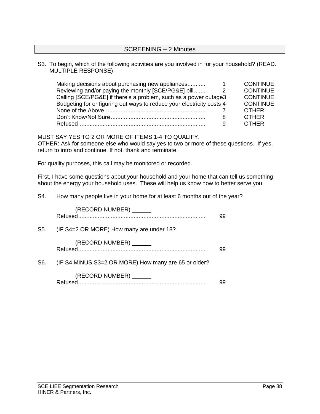#### SCREENING – 2 Minutes

#### S3. To begin, which of the following activities are you involved in for your household? (READ. MULTIPLE RESPONSE)

| Making decisions about purchasing new appliances                      | <b>CONTINUE</b> |  |
|-----------------------------------------------------------------------|-----------------|--|
| Reviewing and/or paying the monthly [SCE/PG&E] bill                   | <b>CONTINUE</b> |  |
| Calling [SCE/PG&E] if there's a problem, such as a power outage3      | <b>CONTINUE</b> |  |
| Budgeting for or figuring out ways to reduce your electricity costs 4 | <b>CONTINUE</b> |  |
|                                                                       | <b>OTHER</b>    |  |
| 8                                                                     | <b>OTHER</b>    |  |
| 9                                                                     | <b>OTHER</b>    |  |

MUST SAY YES TO 2 OR MORE OF ITEMS 1-4 TO QUALIFY.

OTHER: Ask for someone else who would say yes to two or more of these questions. If yes, return to intro and continue. If not, thank and terminate.

For quality purposes, this call may be monitored or recorded.

First, I have some questions about your household and your home that can tell us something about the energy your household uses. These will help us know how to better serve you.

S4. How many people live in your home for at least 6 months out of the year?

|     | (RECORD NUMBER) ______                               | 99 |
|-----|------------------------------------------------------|----|
| S5. | (IF S4=2 OR MORE) How many are under 18?             |    |
|     | (RECORD NUMBER) ______                               | 99 |
| S6. | (IF S4 MINUS S3=2 OR MORE) How many are 65 or older? |    |
|     | (RECORD NUMBER) ______                               |    |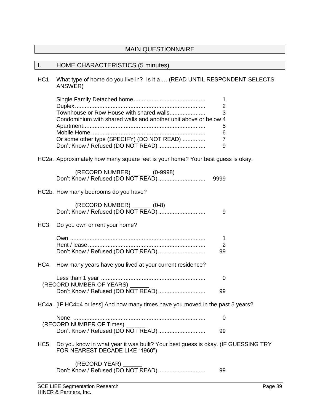## MAIN QUESTIONNAIRE

#### I. HOME CHARACTERISTICS (5 minutes)

HC1. What type of home do you live in? Is it a … (READ UNTIL RESPONDENT SELECTS ANSWER)

|                                                                 | - 3 |
|-----------------------------------------------------------------|-----|
| Condominium with shared walls and another unit above or below 4 |     |
|                                                                 |     |
|                                                                 | 6   |
| Or some other type (SPECIFY) (DO NOT READ)                      |     |
|                                                                 |     |

HC2a. Approximately how many square feet is your home? Your best guess is okay.

| (RECORD NUMBER) _______ (0-9998) |      |
|----------------------------------|------|
|                                  | 9999 |

HC2b. How many bedrooms do you have?

| (RECORD NUMBER) ______ (0-8)                                                    | 9                         |  |
|---------------------------------------------------------------------------------|---------------------------|--|
| HC3. Do you own or rent your home?                                              |                           |  |
| Don't Know / Refused (DO NOT READ)                                              | 1<br>$\overline{2}$<br>99 |  |
| HC4. How many years have you lived at your current residence?                   |                           |  |
| (RECORD NUMBER OF YEARS) ______                                                 | 0                         |  |
|                                                                                 | 99                        |  |
| HC4a. [IF HC4=4 or less] And how many times have you moved in the past 5 years? |                           |  |
| (RECORD NUMBER OF Times) ______                                                 | 0                         |  |
| Don't Know / Refused (DO NOT READ)                                              | 99                        |  |

HC5. Do you know in what year it was built? Your best guess is okay. (IF GUESSING TRY FOR NEAREST DECADE LIKE "1960")

(RECORD YEAR) \_\_\_\_\_\_ Don't Know / Refused (DO NOT READ)............................. 99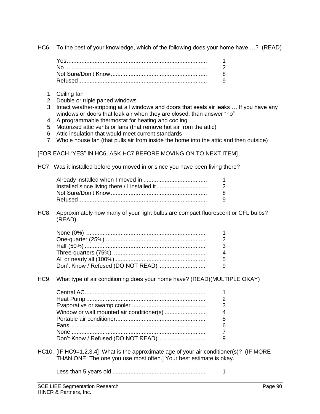HC6. To the best of your knowledge, which of the following does your home have …? (READ)

| 2   |
|-----|
|     |
| - 9 |

- 1. Ceiling fan
- 2. Double or triple paned windows
- 3. Intact weather-stripping at all windows and doors that seals air leaks … If you have any windows or doors that leak air when they are closed, than answer "no"
- 4. A programmable thermostat for heating and cooling
- 5. Motorized attic vents or fans (that remove hot air from the attic)
- 6. Attic insulation that would meet current standards
- 7. Whole house fan (that pulls air from inside the home into the attic and then outside)

[FOR EACH "YES" IN HC6, ASK HC7 BEFORE MOVING ON TO NEXT ITEM]

HC7. Was it installed before you moved in or since you have been living there?

|                                               | $\overline{\mathbf{1}}$ |
|-----------------------------------------------|-------------------------|
| Installed since living there / I installed it | $\overline{2}$          |
|                                               | -8                      |
|                                               | - 9                     |
|                                               |                         |

HC8. Approximately how many of your light bulbs are compact fluorescent or CFL bulbs? (READ)

| $\overline{\mathbf{1}}$ |
|-------------------------|
| 2                       |
| -3                      |
| $\boldsymbol{\Lambda}$  |
| -5                      |
| - 9                     |
|                         |

HC9. What type of air conditioning does your home have? (READ)(MULTIPLE OKAY)

| $\mathbf{1}$   |
|----------------|
| $\overline{2}$ |
| $\overline{3}$ |
| $\overline{4}$ |
| - 5            |
| -6             |
|                |
|                |

- HC10. [IF HC9=1,2,3,4] What is the approximate age of your air conditioner(s)? (IF MORE THAN ONE: The one you use most often.] Your best estimate is okay.
	- Less than 5 years old ......................................................... 1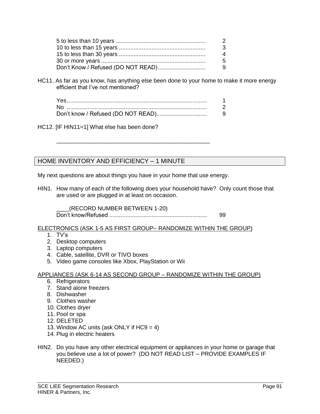| 2   |
|-----|
| -3  |
| 4   |
| -5  |
| - 9 |

HC11. As far as you know, has anything else been done to your home to make it more energy efficient that I've not mentioned?

| <b>Nc</b> |  |
|-----------|--|
|           |  |

HC12. [IF HIN11=1] What else has been done?

# HOME INVENTORY AND EFFICIENCY – 1 MINUTE

My next questions are about things you have in your home that use energy.

\_\_\_\_\_\_\_\_\_\_\_\_\_\_\_\_\_\_\_\_\_\_\_\_\_\_\_\_\_\_\_\_\_\_\_\_\_\_\_\_\_\_\_\_\_\_\_\_

HIN1. How many of each of the following does your household have? Only count those that are used or are plugged in at least on occasion.

\_\_\_\_(RECORD NUMBER BETWEEN 1-20) Don't know/Refused ............................................................ 99

ELECTRONICS (ASK 1-5 AS FIRST GROUP– RANDOMIZE WITHIN THE GROUP)

- 1. TV's
- 2. Desktop computers
- 3. Laptop computers
- 4. Cable, satellite, DVR or TIVO boxes
- 5. Video game consoles like Xbox, PlayStation or Wii

#### APPLIANCES (ASK 6-14 AS SECOND GROUP – RANDOMIZE WITHIN THE GROUP)

- 6. Refrigerators
- 7. Stand alone freezers
- 8. Dishwasher
- 9. Clothes washer
- 10. Clothes dryer
- 11. Pool or spa
- 12. DELETED
- 13. Window AC units (ask ONLY if  $HC9 = 4$ )
- 14. Plug in electric heaters
- HIN2. Do you have any other electrical equipment or appliances in your home or garage that you believe use a lot of power? (DO NOT READ LIST – PROVIDE EXAMPLES IF NEEDED.)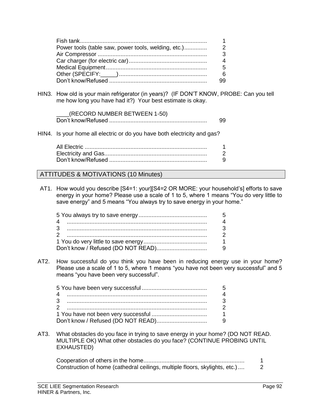|                                                     | 1              |
|-----------------------------------------------------|----------------|
| Power tools (table saw, power tools, welding, etc.) | $\overline{2}$ |
|                                                     | 3              |
|                                                     | 4              |
|                                                     | -5             |
|                                                     | -6             |
|                                                     | 99             |

HIN3. How old is your main refrigerator (in years)? (IF DON'T KNOW, PROBE: Can you tell me how long you have had it?) Your best estimate is okay.

| (RECORD NUMBER BETWEEN 1-50) |  |
|------------------------------|--|
|                              |  |

HIN4. Is your home all electric or do you have both electricity and gas?

#### ATTITUDES & MOTIVATIONS (10 Minutes)

AT1. How would you describe [S4=1: your][S4=2 OR MORE: your household's] efforts to save energy in your home? Please use a scale of 1 to 5, where 1 means "You do very little to save energy" and 5 means "You always try to save energy in your home."

| - 5            |
|----------------|
| 4              |
| $\overline{3}$ |
| 2              |
| $\overline{1}$ |
|                |

AT2. How successful do you think you have been in reducing energy use in your home? Please use a scale of 1 to 5, where 1 means "you have not been very successful" and 5 means "you have been very successful".

| - 5            |
|----------------|
| $\overline{4}$ |
| -3             |
| $\overline{2}$ |
|                |
|                |

AT3. What obstacles do you face in trying to save energy in your home? (DO NOT READ. MULTIPLE OK) What other obstacles do you face? (CONTINUE PROBING UNTIL EXHAUSTED)

| Construction of home (cathedral ceilings, multiple floors, skylights, etc.) |  |
|-----------------------------------------------------------------------------|--|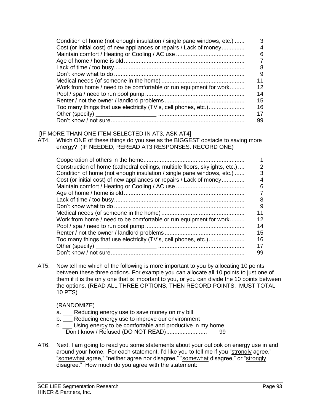| Condition of home (not enough insulation / single pane windows, etc.) | З  |
|-----------------------------------------------------------------------|----|
| Cost (or initial cost) of new appliances or repairs / Lack of money   | 4  |
|                                                                       | 6  |
|                                                                       |    |
|                                                                       | 8  |
|                                                                       | 9  |
|                                                                       | 11 |
| Work from home / need to be comfortable or run equipment for work     | 12 |
|                                                                       | 14 |
|                                                                       | 15 |
|                                                                       | 16 |
|                                                                       | 17 |
|                                                                       | 99 |

#### [IF MORE THAN ONE ITEM SELECTED IN AT3, ASK AT4]

AT4. Which ONE of these things do you see as the BIGGEST obstacle to saving more energy? (IF NEEDED, REREAD AT3 RESPONSES. RECORD ONE)

| Construction of home (cathedral ceilings, multiple floors, skylights, etc.) | 2  |
|-----------------------------------------------------------------------------|----|
| Condition of home (not enough insulation / single pane windows, etc.)       | 3  |
| Cost (or initial cost) of new appliances or repairs / Lack of money         | 4  |
|                                                                             | 6  |
|                                                                             |    |
|                                                                             | 8  |
|                                                                             | 9  |
|                                                                             | 11 |
| Work from home / need to be comfortable or run equipment for work           | 12 |
|                                                                             | 14 |
|                                                                             | 15 |
|                                                                             | 16 |
|                                                                             | 17 |
|                                                                             | 99 |

AT5. Now tell me which of the following is more important to you by allocating 10 points between these three options. For example you can allocate all 10 points to just one of them if it is the only one that is important to you, or you can divide the 10 points between the options. (READ ALL THREE OPTIONS, THEN RECORD POINTS. MUST TOTAL 10 PTS)

#### (RANDOMIZE)

- a. \_\_\_ Reducing energy use to save money on my bill
- b. \_\_\_ Reducing energy use to improve our environment
- c. Using energy to be comfortable and productive in my home Don't know / Refused (DO NOT READ)......................... 99
- AT6. Next, I am going to read you some statements about your outlook on energy use in and around your home. For each statement, I'd like you to tell me if you "strongly agree," "somewhat agree," "neither agree nor disagree," "somewhat disagree," or "strongly disagree." How much do you agree with the statement: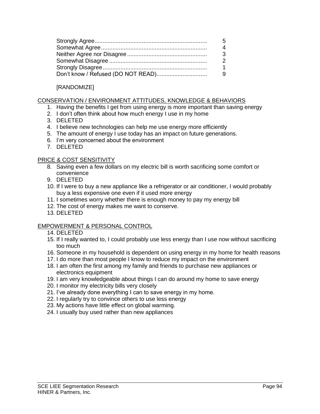| -5          |
|-------------|
| 4           |
| -3          |
| -2          |
| $\mathbf 1$ |
|             |

## [RANDOMIZE]

#### CONSERVATION / ENVIRONMENT ATTITUDES, KNOWLEDGE & BEHAVIORS

- 1. Having the benefits I get from using energy is more important than saving energy
- 2. I don't often think about how much energy I use in my home
- 3. DELETED
- 4. I believe new technologies can help me use energy more efficiently
- 5. The amount of energy I use today has an impact on future generations.
- 6. I'm very concerned about the environment
- 7. DELETED

#### PRICE & COST SENSITIVITY

- 8. Saving even a few dollars on my electric bill is worth sacrificing some comfort or convenience
- 9. DELETED
- 10. If I were to buy a new appliance like a refrigerator or air conditioner, I would probably buy a less expensive one even if it used more energy
- 11. I sometimes worry whether there is enough money to pay my energy bill
- 12. The cost of energy makes me want to conserve.
- 13. DELETED

#### EMPOWERMENT & PERSONAL CONTROL

- 14. DELETED
- 15. If I really wanted to, I could probably use less energy than I use now without sacrificing too much
- 16. Someone in my household is dependent on using energy in my home for health reasons
- 17. I do more than most people I know to reduce my impact on the environment
- 18. I am often the first among my family and friends to purchase new appliances or electronics equipment
- 19. I am very knowledgeable about things I can do around my home to save energy
- 20. I monitor my electricity bills very closely
- 21. I've already done everything I can to save energy in my home.
- 22. I regularly try to convince others to use less energy
- 23. My actions have little effect on global warming.
- 24. I usually buy used rather than new appliances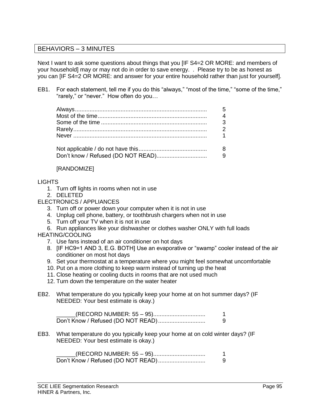## BEHAVIORS – 3 MINUTES

Next I want to ask some questions about things that you [IF S4=2 OR MORE: and members of your household] may or may not do in order to save energy. . Please try to be as honest as you can [IF S4=2 OR MORE: and answer for your entire household rather than just for yourself].

EB1. For each statement, tell me if you do this "always," "most of the time," "some of the time," "rarely," or "never." How often do you…

| - 5            |
|----------------|
| $\overline{4}$ |
| $\overline{3}$ |
|                |
|                |
|                |
|                |

#### [RANDOMIZE]

#### LIGHTS

- 1. Turn off lights in rooms when not in use
- 2. DELETED

#### ELECTRONICS / APPLIANCES

- 3. Turn off or power down your computer when it is not in use
- 4. Unplug cell phone, battery, or toothbrush chargers when not in use
- 5. Turn off your TV when it is not in use
- 6. Run appliances like your dishwasher or clothes washer ONLY with full loads

#### HEATING/COOLING

- 7. Use fans instead of an air conditioner on hot days
- 8. [IF HC9=1 AND 3, E.G. BOTH] Use an evaporative or "swamp" cooler instead of the air conditioner on most hot days
- 9. Set your thermostat at a temperature where you might feel somewhat uncomfortable
- 10. Put on a more clothing to keep warm instead of turning up the heat
- 11. Close heating or cooling ducts in rooms that are not used much
- 12. Turn down the temperature on the water heater
- EB2. What temperature do you typically keep your home at on hot summer days? (IF NEEDED: Your best estimate is okay.)

| (RECORD NUMBER: 55 – 95)           |  |
|------------------------------------|--|
| Don't Know / Refused (DO NOT READ) |  |

EB3. What temperature do you typically keep your home at on cold winter days? (IF NEEDED: Your best estimate is okay.)

| (RECORD NUMBER: 55 – 95) |  |
|--------------------------|--|
|                          |  |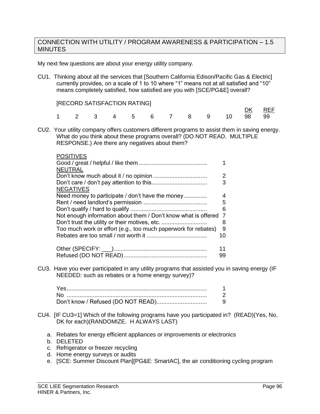#### CONNECTION WITH UTILITY / PROGRAM AWARENESS & PARTICIPATION – 1.5 **MINUTES**

My next few questions are about your energy utility company.

CU1. Thinking about all the services that [Southern California Edison/Pacific Gas & Electric] currently provides, on a scale of 1 to 10 where "1" means not at all satisfied and "10" means completely satisfied, how satisfied are you with [SCE/PG&E] overall?

|  |  |  |  |                            | <u>DK</u> REF |  |
|--|--|--|--|----------------------------|---------------|--|
|  |  |  |  | 1 2 3 4 5 6 7 8 9 10 98 99 |               |  |

CU2. Your utility company offers customers different programs to assist them in saving energy. What do you think about these programs overall? (DO NOT READ. MULTIPLE RESPONSE.) Are there any negatives about them?

| <b>POSITIVES</b>                                               |    |
|----------------------------------------------------------------|----|
|                                                                | 1  |
| <b>NEUTRAL</b>                                                 |    |
|                                                                | 2  |
|                                                                | 3  |
| <b>NEGATIVES</b>                                               |    |
| Need money to participate / don't have the money               | 4  |
|                                                                | 5  |
|                                                                | 6  |
| Not enough information about them / Don't know what is offered | 7  |
|                                                                | 8  |
| Too much work or effort (e.g., too much paperwork for rebates) | 9  |
|                                                                | 10 |
|                                                                | 11 |
|                                                                | 99 |
|                                                                |    |

CU3. Have you ever participated in any utility programs that assisted you in saving energy (IF NEEDED: such as rebates or a home energy survey)?

| Nc |  |
|----|--|
|    |  |

- CU4. [IF CU3=1] Which of the following programs have you participated in? (READ)(Yes, No, DK for each)(RANDOMIZE. H ALWAYS LAST)
	- a. Rebates for energy efficient appliances or improvements or electronics
	- b. DELETED
	- c. Refrigerator or freezer recycling
	- d. Home energy surveys or audits
	- e. [SCE: Summer Discount Plan][PG&E: SmartAC], the air conditioning cycling program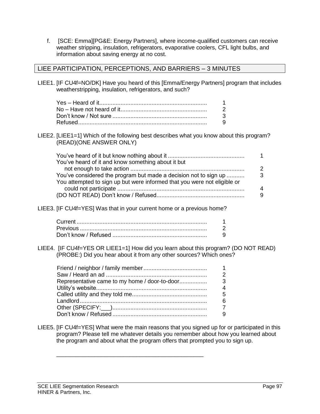f. [SCE: Emma][PG&E: Energy Partners], where income-qualified customers can receive weather stripping, insulation, refrigerators, evaporative coolers, CFL light bulbs, and information about saving energy at no cost.

#### LIEE PARTICIPATION, PERCEPTIONS, AND BARRIERS – 3 MINUTES

LIEE1. [IF CU4f=NO/DK] Have you heard of this [Emma/Energy Partners] program that includes weatherstripping, insulation, refrigerators, and such?

| $\overline{1}$ |
|----------------|
| -2             |
| -3             |
| - 9            |

LIEE2. [LIEE1=1] Which of the following best describes what you know about this program? (READ)(ONE ANSWER ONLY)

| You've heard of it and know something about it but                       |   |
|--------------------------------------------------------------------------|---|
|                                                                          | 2 |
| You've considered the program but made a decision not to sign up         | 3 |
| You attempted to sign up but were informed that you were not eligible or |   |
|                                                                          | 4 |
|                                                                          | 9 |

LIEE3. [IF CU4f=YES] Was that in your current home or a previous home?

LIEE4. [IF CU4f=YES OR LIEE1=1] How did you learn about this program? (DO NOT READ) (PROBE:) Did you hear about it from any other sources? Which ones?

| $\overline{\mathbf{1}}$ |
|-------------------------|
| $\overline{2}$          |
| 3                       |
| $\boldsymbol{\Lambda}$  |
| 5                       |
| 6                       |
| $\overline{7}$          |
| 9                       |

\_\_\_\_\_\_\_\_\_\_\_\_\_\_\_\_\_\_\_\_\_\_\_\_\_\_\_\_\_\_\_\_\_\_\_\_\_\_\_\_\_\_\_\_\_\_

LIEE5. [IF CU4f=YES] What were the main reasons that you signed up for or participated in this program? Please tell me whatever details you remember about how you learned about the program and about what the program offers that prompted you to sign up.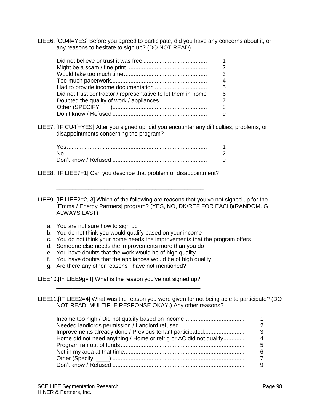LIEE6. [CU4f=YES] Before you agreed to participate, did you have any concerns about it, or any reasons to hesitate to sign up? (DO NOT READ)

|                                                               | -1             |
|---------------------------------------------------------------|----------------|
|                                                               | $\overline{2}$ |
|                                                               | 3              |
|                                                               | $\overline{4}$ |
|                                                               | 5              |
| Did not trust contractor / representative to let them in home | 6              |
|                                                               |                |
|                                                               | 8              |
|                                                               | 9              |

LIEE7. [IF CU4f=YES] After you signed up, did you encounter any difficulties, problems, or disappointments concerning the program?

| N∩ |  |
|----|--|
|    |  |

LIEE8. [IF LIEE7=1] Can you describe that problem or disappointment?

\_\_\_\_\_\_\_\_\_\_\_\_\_\_\_\_\_\_\_\_\_\_\_\_\_\_\_\_\_\_\_\_\_\_\_\_\_\_\_\_\_\_\_\_\_\_

LIEE9. [IF LIEE2=2, 3] Which of the following are reasons that you've not signed up for the [Emma / Energy Partners] program? (YES, NO, DK/REF FOR EACH)(RANDOM. G ALWAYS LAST)

- a. You are not sure how to sign up
- b. You do not think you would qualify based on your income
- c. You do not think your home needs the improvements that the program offers
- d. Someone else needs the improvements more than you do
- e. You have doubts that the work would be of high quality
- f. You have doubts that the appliances would be of high quality

\_\_\_\_\_\_\_\_\_\_\_\_\_\_\_\_\_\_\_\_\_\_\_\_\_\_\_\_\_\_\_\_\_\_\_\_\_\_\_\_\_\_\_\_\_

g. Are there any other reasons I have not mentioned?

LIEE10.[IF LIEE9g=1] What is the reason you've not signed up?

LIEE11.[IF LIEE2=4] What was the reason you were given for not being able to participate? (DO NOT READ. MULTIPLE RESPONSE OKAY.) Any other reasons?

| Improvements already done / Previous tenant participated          | 3 |
|-------------------------------------------------------------------|---|
| Home did not need anything / Home or refrig or AC did not qualify |   |
|                                                                   | 5 |
|                                                                   |   |
|                                                                   |   |
|                                                                   |   |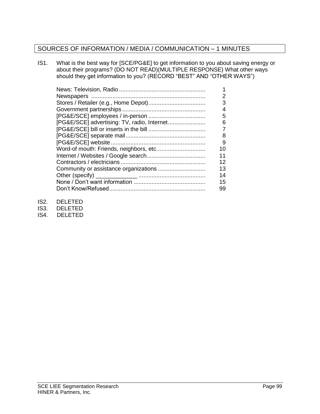# SOURCES OF INFORMATION / MEDIA / COMMUNICATION – 1 MINUTES

IS1. What is the best way for [SCE/PG&E] to get information to you about saving energy or about their programs? (DO NOT READ)(MULTIPLE RESPONSE) What other ways should they get information to you? (RECORD "BEST" AND "OTHER WAYS")

|                                             | 1  |
|---------------------------------------------|----|
|                                             | 2  |
|                                             | 3  |
|                                             | 4  |
|                                             | 5  |
| [PG&E/SCE] advertising: TV, radio, Internet | 6  |
|                                             | 7  |
|                                             | 8  |
|                                             | 9  |
|                                             | 10 |
|                                             | 11 |
|                                             | 12 |
|                                             | 13 |
|                                             | 14 |
|                                             | 15 |
|                                             | 99 |

- IS2. DELETED
- IS3. DELETED
- IS4. DELETED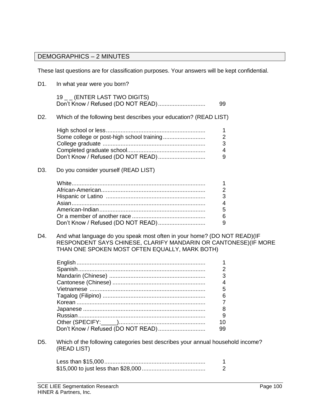### DEMOGRAPHICS – 2 MINUTES

These last questions are for classification purposes. Your answers will be kept confidential.

D1. In what year were you born? 19 (ENTER LAST TWO DIGITS) Don't Know / Refused (DO NOT READ)............................. 99 D2. Which of the following best describes your education? (READ LIST) High school or less............................................................. 1 Some college or post-high school training.......................... 2 College graduate ............................................................... 3 Completed graduate school................................................ 4 Don't Know / Refused (DO NOT READ)............................. 9 D3. Do you consider yourself (READ LIST) White.................................................................................. 1 African-American................................................................ 2 Hispanic or Latino ............................................................. 3 Asian.................................................................................. 4 American-Indian................................................................. 5 Or a member of another race ............................................. 6 Don't Know / Refused (DO NOT READ)............................. 9 D4. And what language do you speak most often in your home? (DO NOT READ)(IF RESPONDENT SAYS CHINESE, CLARIFY MANDARIN OR CANTONESE)(IF MORE THAN ONE SPOKEN MOST OFTEN EQUALLY, MARK BOTH) English ............................................................................... 1 Spanish.............................................................................. 2 Mandarin (Chinese) ........................................................... 3 Cantonese (Chinese) ......................................................... 4 Vietnamese ....................................................................... 5 Tagalog (Filipino) ............................................................... 6 Korean ............................................................................... 7 Japanese ........................................................................... 8 Russian.............................................................................. 9 Other (SPECIFY:\_\_\_\_\_)..................................................... 10 Don't Know / Refused (DO NOT READ)............................. 99 D5. Which of the following categories best describes your annual household income? (READ LIST) Less than \$15,000.............................................................. 1 \$15,000 to just less than \$28,000....................................... 2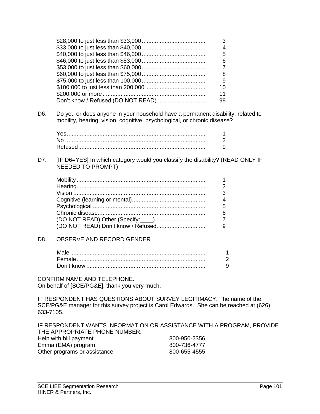|  | 3  |
|--|----|
|  | 4  |
|  | 5  |
|  | 6  |
|  |    |
|  | 8  |
|  | 9  |
|  | 10 |
|  | 11 |
|  | 99 |

D6. Do you or does anyone in your household have a permanent disability, related to mobility, hearing, vision, cognitive, psychological, or chronic disease?

| No. |  |
|-----|--|
|     |  |

D7. [IF D6=YES] In which category would you classify the disability? (READ ONLY IF NEEDED TO PROMPT)

| $\mathbf{1}$   |
|----------------|
| $\overline{2}$ |
| $\overline{3}$ |
| $\overline{4}$ |
| - 5            |
| 6              |
|                |
|                |
|                |

#### D8. OBSERVE AND RECORD GENDER

CONFIRM NAME AND TELEPHONE. On behalf of [SCE/PG&E], thank you very much.

IF RESPONDENT HAS QUESTIONS ABOUT SURVEY LEGITIMACY: The name of the SCE/PG&E manager for this survey project is Carol Edwards. She can be reached at (626) 633-7105.

IF RESPONDENT WANTS INFORMATION OR ASSISTANCE WITH A PROGRAM, PROVIDE THE APPROPRIATE PHONE NUMBER: Help with bill payment 800-950-2356 Emma (EMA) program 800-736-4777 Other programs or assistance 800-655-4555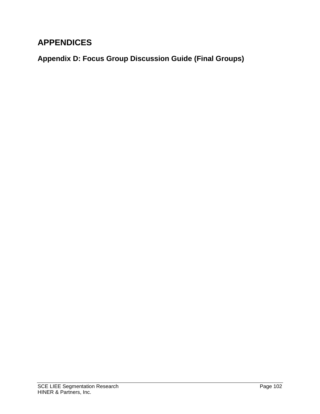# **APPENDICES**

**Appendix D: Focus Group Discussion Guide (Final Groups)**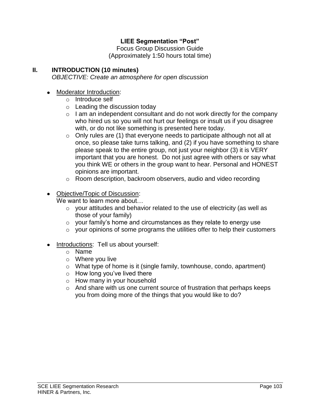# **LIEE Segmentation "Post"**

Focus Group Discussion Guide (Approximately 1:50 hours total time)

# **II. INTRODUCTION (10 minutes)**

*OBJECTIVE: Create an atmosphere for open discussion*

# • Moderator Introduction:

- o Introduce self
- $\circ$  Leading the discussion today
- $\circ$  I am an independent consultant and do not work directly for the company who hired us so you will not hurt our feelings or insult us if you disagree with, or do not like something is presented here today.
- $\circ$  Only rules are (1) that everyone needs to participate although not all at once, so please take turns talking, and (2) if you have something to share please speak to the entire group, not just your neighbor (3) it is VERY important that you are honest. Do not just agree with others or say what you think WE or others in the group want to hear. Personal and HONEST opinions are important.
- o Room description, backroom observers, audio and video recording
- Objective/Topic of Discussion:

We want to learn more about…

- o your attitudes and behavior related to the use of electricity (as well as those of your family)
- o your family's home and circumstances as they relate to energy use
- $\circ$  your opinions of some programs the utilities offer to help their customers

# Introductions: Tell us about yourself:

- o Name
- o Where you live
- o What type of home is it (single family, townhouse, condo, apartment)
- $\circ$  How long you've lived there
- o How many in your household
- o And share with us one current source of frustration that perhaps keeps you from doing more of the things that you would like to do?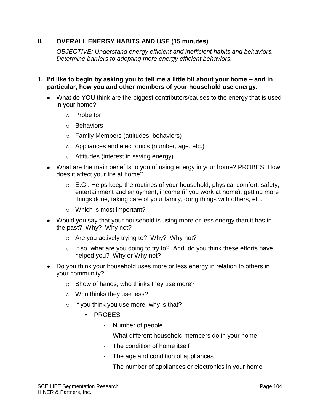# **II. OVERALL ENERGY HABITS AND USE (15 minutes)**

*OBJECTIVE: Understand energy efficient and inefficient habits and behaviors. Determine barriers to adopting more energy efficient behaviors.* 

- **1. I'd like to begin by asking you to tell me a little bit about your home – and in particular, how you and other members of your household use energy.**
	- What do YOU think are the biggest contributors/causes to the energy that is used in your home?
		- o Probe for:
		- o Behaviors
		- o Family Members (attitudes, behaviors)
		- o Appliances and electronics (number, age, etc.)
		- o Attitudes (interest in saving energy)
	- What are the main benefits to you of using energy in your home? PROBES: How does it affect your life at home?
		- $\circ$  E.G.: Helps keep the routines of your household, physical comfort, safety, entertainment and enjoyment, income (if you work at home), getting more things done, taking care of your family, dong things with others, etc.
		- o Which is most important?
	- Would you say that your household is using more or less energy than it has in the past? Why? Why not?
		- o Are you actively trying to? Why? Why not?
		- $\circ$  If so, what are you doing to try to? And, do you think these efforts have helped you? Why or Why not?
	- Do you think your household uses more or less energy in relation to others in your community?
		- o Show of hands, who thinks they use more?
		- o Who thinks they use less?
		- $\circ$  If you think you use more, why is that?
			- **PROBES:** 
				- Number of people
				- What different household members do in your home
				- The condition of home itself
				- The age and condition of appliances
				- The number of appliances or electronics in your home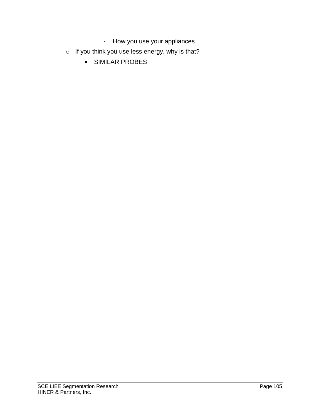- How you use your appliances
- $\circ$  If you think you use less energy, why is that?
	- SIMILAR PROBES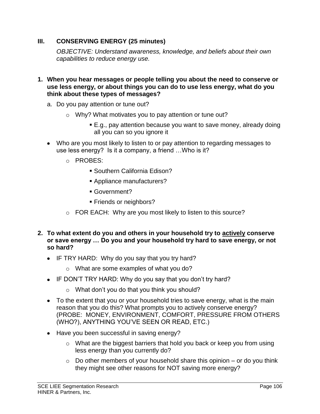# **III. CONSERVING ENERGY (25 minutes)**

*OBJECTIVE: Understand awareness, knowledge, and beliefs about their own capabilities to reduce energy use.* 

- **1. When you hear messages or people telling you about the need to conserve or use less energy, or about things you can do to use less energy, what do you think about these types of messages?** 
	- a. Do you pay attention or tune out?
		- o Why? What motivates you to pay attention or tune out?
			- E.g., pay attention because you want to save money, already doing all you can so you ignore it
	- Who are you most likely to listen to or pay attention to regarding messages to use less energy? Is it a company, a friend …Who is it?
		- o PROBES:
			- Southern California Edison?
			- Appliance manufacturers?
			- Government?
			- **Friends or neighbors?**
		- o FOR EACH: Why are you most likely to listen to this source?
- **2. To what extent do you and others in your household try to actively conserve or save energy … Do you and your household try hard to save energy, or not so hard?** 
	- IF TRY HARD: Why do you say that you try hard?
		- o What are some examples of what you do?
	- IF DON'T TRY HARD: Why do you say that you don't try hard?
		- o What don't you do that you think you should?
	- To the extent that you or your household tries to save energy, what is the main reason that you do this? What prompts you to actively conserve energy? (PROBE: MONEY, ENVIRONMENT, COMFORT, PRESSURE FROM OTHERS (WHO?), ANYTHING YOU'VE SEEN OR READ, ETC.)
	- Have you been successful in saving energy?
		- o What are the biggest barriers that hold you back or keep you from using less energy than you currently do?
		- $\circ$  Do other members of your household share this opinion or do you think they might see other reasons for NOT saving more energy?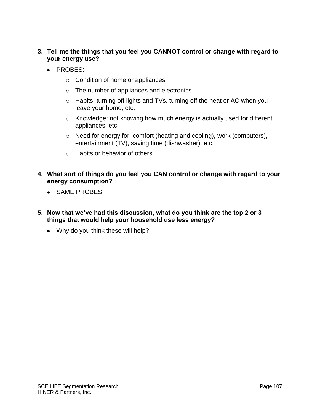# **3. Tell me the things that you feel you CANNOT control or change with regard to your energy use?**

- PROBES:
	- o Condition of home or appliances
	- o The number of appliances and electronics
	- o Habits: turning off lights and TVs, turning off the heat or AC when you leave your home, etc.
	- o Knowledge: not knowing how much energy is actually used for different appliances, etc.
	- o Need for energy for: comfort (heating and cooling), work (computers), entertainment (TV), saving time (dishwasher), etc.
	- o Habits or behavior of others
- **4. What sort of things do you feel you CAN control or change with regard to your energy consumption?**
	- SAME PROBES
- **5. Now that we've had this discussion, what do you think are the top 2 or 3 things that would help your household use less energy?** 
	- Why do you think these will help?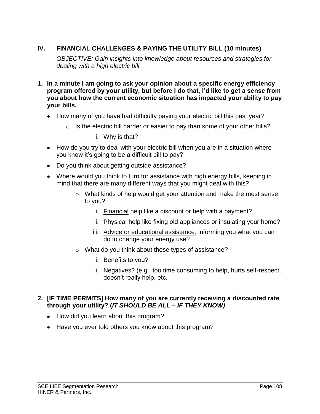# **IV. FINANCIAL CHALLENGES & PAYING THE UTILITY BILL (10 minutes)**

*OBJECTIVE: Gain insights into knowledge about resources and strategies for dealing with a high electric bill.*

- **1. In a minute I am going to ask your opinion about a specific energy efficiency program offered by your utility, but before I do that, I'd like to get a sense from you about how the current economic situation has impacted your ability to pay your bills.**
	- How many of you have had difficulty paying your electric bill this past year?
		- $\circ$  Is the electric bill harder or easier to pay than some of your other bills?

i. Why is that?

- How do you try to deal with your electric bill when you are in a situation where you know it's going to be a difficult bill to pay?
- Do you think about getting outside assistance?
- Where would you think to turn for assistance with high energy bills, keeping in mind that there are many different ways that you might deal with this?
	- o What kinds of help would get your attention and make the most sense to you?
		- i. Financial help like a discount or help with a payment?
		- ii. Physical help like fixing old appliances or insulating your home?
		- iii. Advice or educational assistance, informing you what you can do to change your energy use?
	- o What do you think about these types of assistance?
		- i. Benefits to you?
		- ii. Negatives? (e.g., too time consuming to help, hurts self-respect, doesn't really help, etc.
- **2. [IF TIME PERMITS] How many of you are currently receiving a discounted rate through your utility? (***IT SHOULD BE ALL – IF THEY KNOW)*
	- How did you learn about this program?
	- Have you ever told others you know about this program?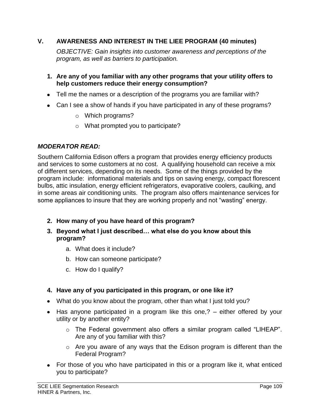## **V. AWARENESS AND INTEREST IN THE LIEE PROGRAM (40 minutes)**

*OBJECTIVE: Gain insights into customer awareness and perceptions of the program, as well as barriers to participation.* 

- **1. Are any of you familiar with any other programs that your utility offers to help customers reduce their energy consumption?**
- Tell me the names or a description of the programs you are familiar with?
- Can I see a show of hands if you have participated in any of these programs?
	- o Which programs?
	- o What prompted you to participate?

## *MODERATOR READ:*

Southern California Edison offers a program that provides energy efficiency products and services to some customers at no cost. A qualifying household can receive a mix of different services, depending on its needs. Some of the things provided by the program include: informational materials and tips on saving energy, compact florescent bulbs, attic insulation, energy efficient refrigerators, evaporative coolers, caulking, and in some areas air conditioning units. The program also offers maintenance services for some appliances to insure that they are working properly and not "wasting" energy.

- **2. How many of you have heard of this program?**
- **3. Beyond what I just described… what else do you know about this program?**
	- a. What does it include?
	- b. How can someone participate?
	- c. How do I qualify?

## **4. Have any of you participated in this program, or one like it?**

- What do you know about the program, other than what I just told you?
- Has anyone participated in a program like this one,? either offered by your utility or by another entity?
	- o The Federal government also offers a similar program called "LIHEAP". Are any of you familiar with this?
	- o Are you aware of any ways that the Edison program is different than the Federal Program?
- For those of you who have participated in this or a program like it, what enticed you to participate?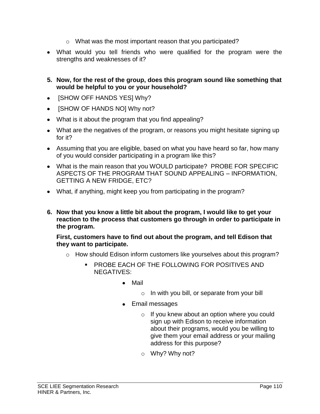- o What was the most important reason that you participated?
- What would you tell friends who were qualified for the program were the strengths and weaknesses of it?
- **5. Now, for the rest of the group, does this program sound like something that would be helpful to you or your household?**
- [SHOW OFF HANDS YES] Why?  $\bullet$
- [SHOW OF HANDS NO] Why not?
- What is it about the program that you find appealing?
- What are the negatives of the program, or reasons you might hesitate signing up for it?
- Assuming that you are eligible, based on what you have heard so far, how many of you would consider participating in a program like this?
- What is the main reason that you WOULD participate? PROBE FOR SPECIFIC ASPECTS OF THE PROGRAM THAT SOUND APPEALING – INFORMATION, GETTING A NEW FRIDGE, ETC?
- What, if anything, might keep you from participating in the program?
- **6. Now that you know a little bit about the program, I would like to get your reaction to the process that customers go through in order to participate in the program.**

**First, customers have to find out about the program, and tell Edison that they want to participate.** 

- $\circ$  How should Edison inform customers like yourselves about this program?
	- PROBE EACH OF THE FOLLOWING FOR POSITIVES AND NEGATIVES:
		- Mail
			- o In with you bill, or separate from your bill
		- Email messages
			- o If you knew about an option where you could sign up with Edison to receive information about their programs, would you be willing to give them your email address or your mailing address for this purpose?
			- o Why? Why not?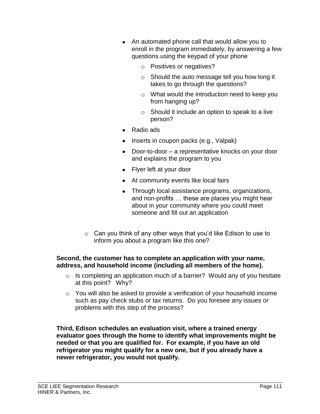- An automated phone call that would allow you to enroll in the program immediately, by answering a few questions using the keypad of your phone
	- o Positives or negatives?
	- o Should the auto message tell you how long it takes to go through the questions?
	- o What would the introduction need to keep you from hanging up?
	- o Should it include an option to speak to a live person?
- Radio ads
- Inserts in coupon packs (e.g., Valpak)
- Door-to-door a representative knocks on your door and explains the program to you
- Flyer left at your door
- At community events like local fairs
- Through local assistance programs, organizations, and non-profits … these are places you might hear about in your community where you could meet someone and fill out an application
- o Can you think of any other ways that you'd like Edison to use to inform you about a program like this one?

#### **Second, the customer has to complete an application with your name, address, and household income (including all members of the home).**

- o Is completing an application much of a barrier? Would any of you hesitate at this point? Why?
- o You will also be asked to provide a verification of your household income such as pay check stubs or tax returns. Do you foresee any issues or problems with this step of the process?

**Third, Edison schedules an evaluation visit, where a trained energy evaluator goes through the home to identify what improvements might be needed or that you are qualified for. For example, if you have an old refrigerator you might qualify for a new one, but if you already have a newer refrigerator, you would not qualify.**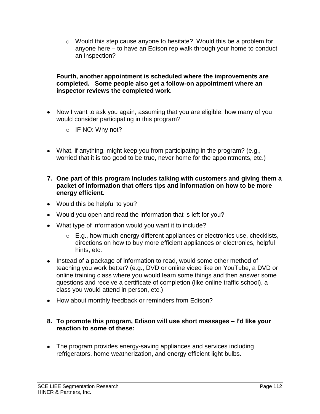o Would this step cause anyone to hesitate? Would this be a problem for anyone here – to have an Edison rep walk through your home to conduct an inspection?

#### **Fourth, another appointment is scheduled where the improvements are completed. Some people also get a follow-on appointment where an inspector reviews the completed work.**

- Now I want to ask you again, assuming that you are eligible, how many of you would consider participating in this program?
	- $\circ$  IF NO: Why not?
- What, if anything, might keep you from participating in the program? (e.g., worried that it is too good to be true, never home for the appointments, etc.)
- **7. One part of this program includes talking with customers and giving them a packet of information that offers tips and information on how to be more energy efficient.**
- Would this be helpful to you?
- Would you open and read the information that is left for you?
- What type of information would you want it to include?
	- $\circ$  E.g., how much energy different appliances or electronics use, checklists, directions on how to buy more efficient appliances or electronics, helpful hints, etc.
- Instead of a package of information to read, would some other method of teaching you work better? (e.g., DVD or online video like on YouTube, a DVD or online training class where you would learn some things and then answer some questions and receive a certificate of completion (like online traffic school), a class you would attend in person, etc.)
- How about monthly feedback or reminders from Edison?

#### **8. To promote this program, Edison will use short messages – I'd like your reaction to some of these:**

The program provides energy-saving appliances and services including refrigerators, home weatherization, and energy efficient light bulbs.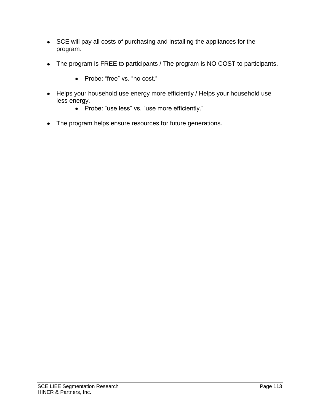- SCE will pay all costs of purchasing and installing the appliances for the program.
- The program is FREE to participants / The program is NO COST to participants.
	- Probe: "free" vs. "no cost."
- Helps your household use energy more efficiently / Helps your household use less energy.
	- Probe: "use less" vs. "use more efficiently."
- The program helps ensure resources for future generations.